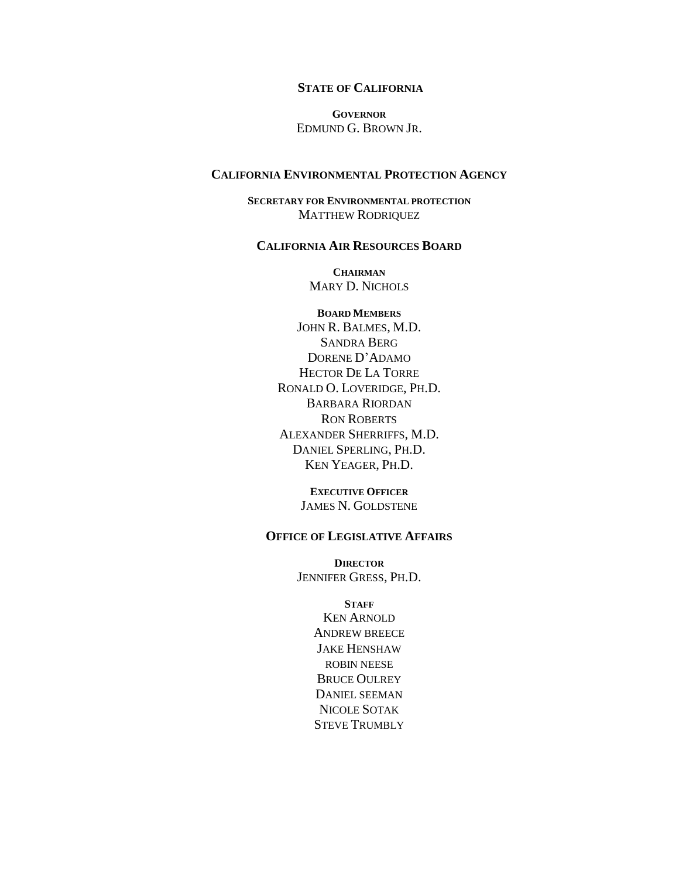#### **STATE OF CALIFORNIA**

**GOVERNOR** EDMUND G. BROWN JR.

#### **CALIFORNIA ENVIRONMENTAL PROTECTION AGENCY**

**SECRETARY FOR ENVIRONMENTAL PROTECTION** MATTHEW RODRIQUEZ

#### **CALIFORNIA AIR RESOURCES BOARD**

**CHAIRMAN** MARY D. NICHOLS

**BOARD MEMBERS** JOHN R. BALMES, M.D. SANDRA BERG DORENE D'ADAMO HECTOR DE LA TORRE RONALD O. LOVERIDGE, PH.D. BARBARA RIORDAN RON ROBERTS ALEXANDER SHERRIFFS, M.D. DANIEL SPERLING, PH.D. KEN YEAGER, PH.D.

> **EXECUTIVE OFFICER** JAMES N. GOLDSTENE

#### **OFFICE OF LEGISLATIVE AFFAIRS**

**DIRECTOR** JENNIFER GRESS, PH.D.

> **STAFF** KEN ARNOLD ANDREW BREECE JAKE HENSHAW ROBIN NEESE BRUCE OULREY DANIEL SEEMAN NICOLE SOTAK STEVE TRUMBLY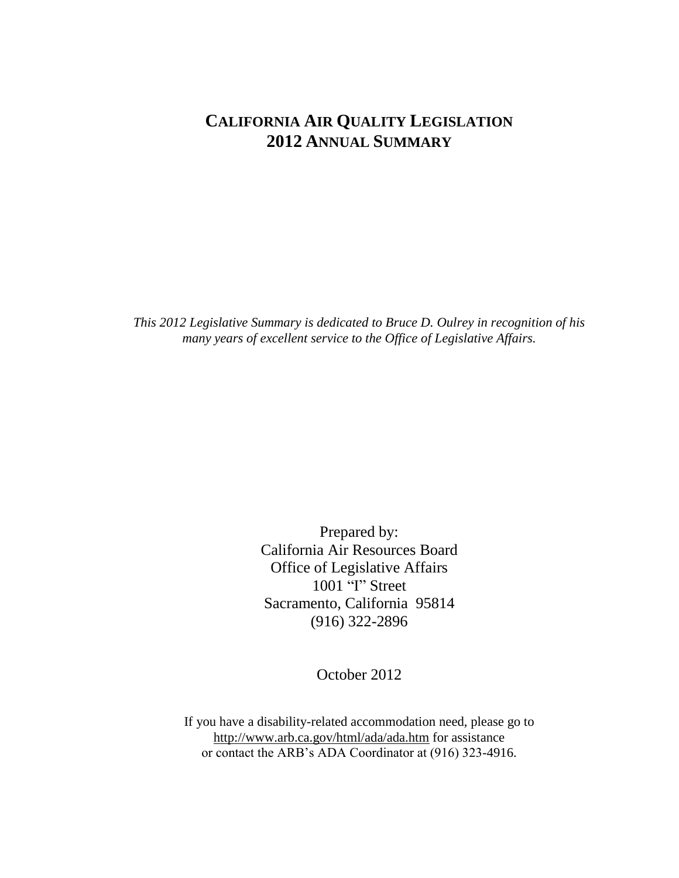# **CALIFORNIA AIR QUALITY LEGISLATION 2012 ANNUAL SUMMARY**

*This 2012 Legislative Summary is dedicated to Bruce D. Oulrey in recognition of his many years of excellent service to the Office of Legislative Affairs.*

> Prepared by: California Air Resources Board Office of Legislative Affairs 1001 "I" Street Sacramento, California 95814 (916) 322-2896

> > October 2012

If you have a disability-related accommodation need, please go to http://www.arb.ca.gov/html/ada/ada.htm for assistance or contact the ARB's ADA Coordinator at (916) 323-4916.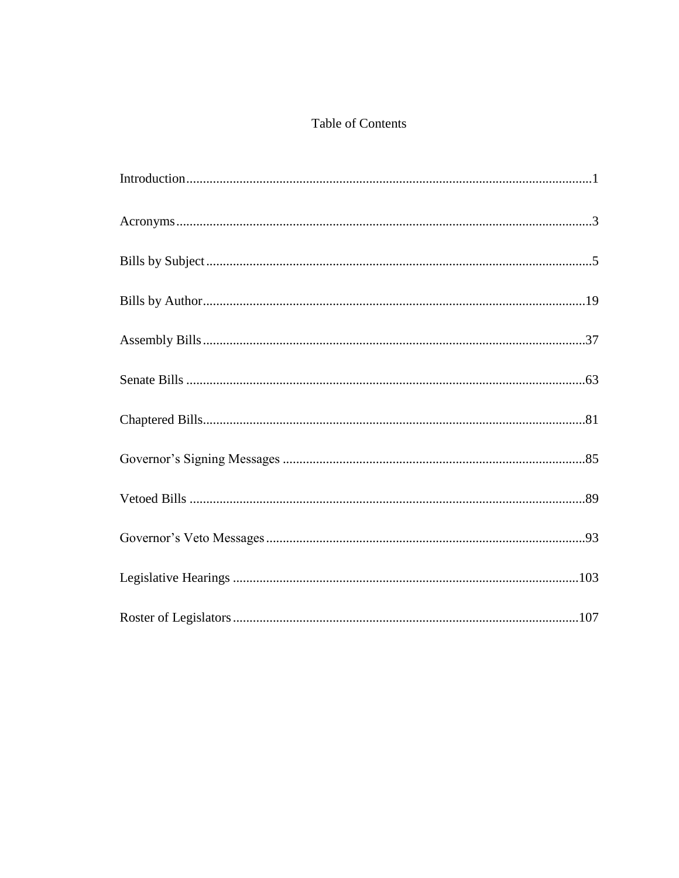## Table of Contents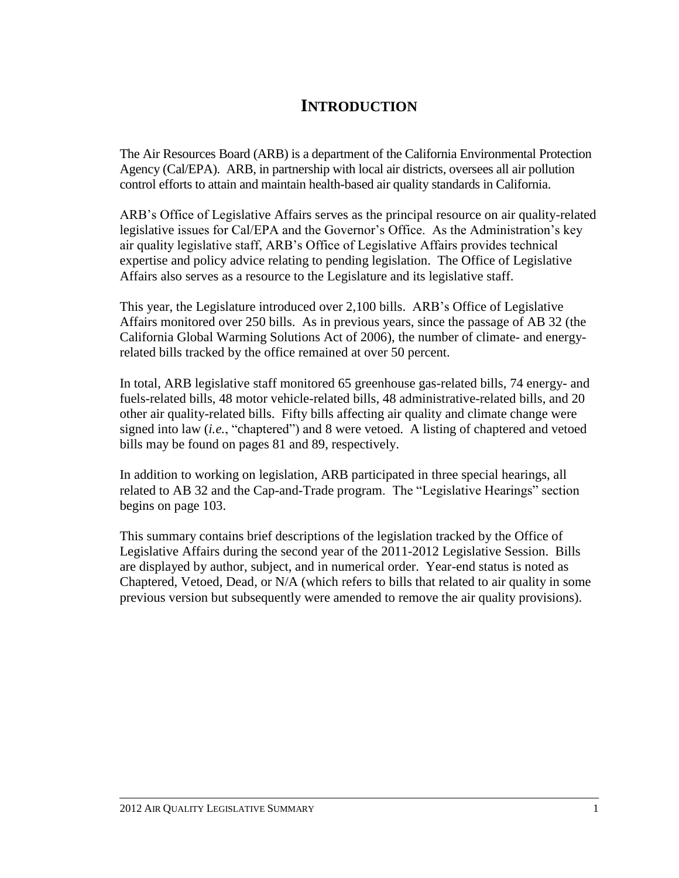# **INTRODUCTION**

The Air Resources Board (ARB) is a department of the California Environmental Protection Agency (Cal/EPA). ARB, in partnership with local air districts, oversees all air pollution control efforts to attain and maintain health-based air quality standards in California.

ARB's Office of Legislative Affairs serves as the principal resource on air quality-related legislative issues for Cal/EPA and the Governor's Office. As the Administration's key air quality legislative staff, ARB's Office of Legislative Affairs provides technical expertise and policy advice relating to pending legislation. The Office of Legislative Affairs also serves as a resource to the Legislature and its legislative staff.

This year, the Legislature introduced over 2,100 bills. ARB's Office of Legislative Affairs monitored over 250 bills. As in previous years, since the passage of AB 32 (the California Global Warming Solutions Act of 2006), the number of climate- and energyrelated bills tracked by the office remained at over 50 percent.

In total, ARB legislative staff monitored 65 greenhouse gas-related bills, 74 energy- and fuels-related bills, 48 motor vehicle-related bills, 48 administrative-related bills, and 20 other air quality-related bills. Fifty bills affecting air quality and climate change were signed into law (*i.e.*, "chaptered") and 8 were vetoed. A listing of chaptered and vetoed bills may be found on pages 81 and 89, respectively.

In addition to working on legislation, ARB participated in three special hearings, all related to AB 32 and the Cap-and-Trade program. The "Legislative Hearings" section begins on page 103.

This summary contains brief descriptions of the legislation tracked by the Office of Legislative Affairs during the second year of the 2011-2012 Legislative Session. Bills are displayed by author, subject, and in numerical order. Year-end status is noted as Chaptered, Vetoed, Dead, or N/A (which refers to bills that related to air quality in some previous version but subsequently were amended to remove the air quality provisions).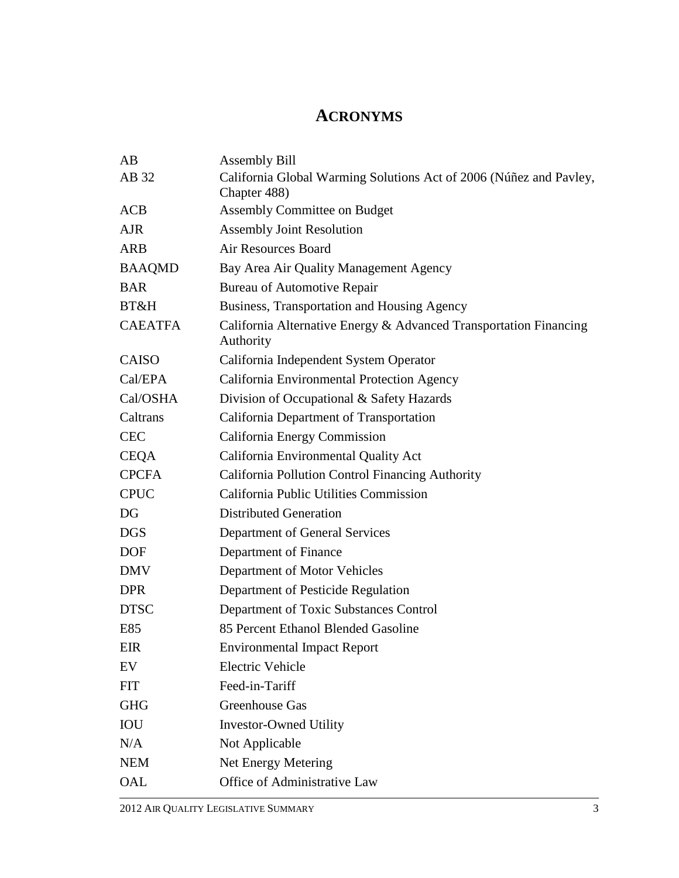# **ACRONYMS**

| AB             | <b>Assembly Bill</b>                                                           |
|----------------|--------------------------------------------------------------------------------|
| AB 32          | California Global Warming Solutions Act of 2006 (Núñez and Pavley,             |
|                | Chapter 488)                                                                   |
| <b>ACB</b>     | <b>Assembly Committee on Budget</b>                                            |
| <b>AJR</b>     | <b>Assembly Joint Resolution</b>                                               |
| <b>ARB</b>     | <b>Air Resources Board</b>                                                     |
| <b>BAAQMD</b>  | Bay Area Air Quality Management Agency                                         |
| <b>BAR</b>     | <b>Bureau of Automotive Repair</b>                                             |
| BT&H           | Business, Transportation and Housing Agency                                    |
| <b>CAEATFA</b> | California Alternative Energy & Advanced Transportation Financing<br>Authority |
| <b>CAISO</b>   | California Independent System Operator                                         |
| Cal/EPA        | California Environmental Protection Agency                                     |
| Cal/OSHA       | Division of Occupational & Safety Hazards                                      |
| Caltrans       | California Department of Transportation                                        |
| <b>CEC</b>     | California Energy Commission                                                   |
| <b>CEQA</b>    | California Environmental Quality Act                                           |
| <b>CPCFA</b>   | California Pollution Control Financing Authority                               |
| <b>CPUC</b>    | California Public Utilities Commission                                         |
| DG             | <b>Distributed Generation</b>                                                  |
| <b>DGS</b>     | Department of General Services                                                 |
| <b>DOF</b>     | Department of Finance                                                          |
| <b>DMV</b>     | Department of Motor Vehicles                                                   |
| <b>DPR</b>     | Department of Pesticide Regulation                                             |
| <b>DTSC</b>    | Department of Toxic Substances Control                                         |
| E85            | 85 Percent Ethanol Blended Gasoline                                            |
| EIR            | <b>Environmental Impact Report</b>                                             |
| EV             | Electric Vehicle                                                               |
| <b>FIT</b>     | Feed-in-Tariff                                                                 |
| <b>GHG</b>     | Greenhouse Gas                                                                 |
| IOU            | <b>Investor-Owned Utility</b>                                                  |
| N/A            | Not Applicable                                                                 |
| <b>NEM</b>     | Net Energy Metering                                                            |
| OAL            | Office of Administrative Law                                                   |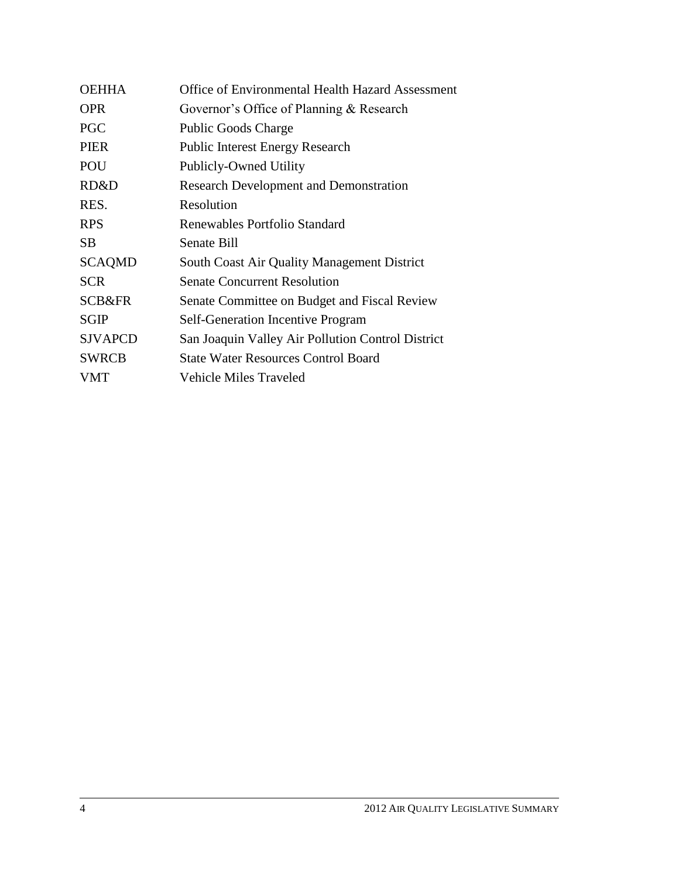| <b>OEHHA</b>      | <b>Office of Environmental Health Hazard Assessment</b> |
|-------------------|---------------------------------------------------------|
| <b>OPR</b>        | Governor's Office of Planning & Research                |
| <b>PGC</b>        | <b>Public Goods Charge</b>                              |
| <b>PIER</b>       | <b>Public Interest Energy Research</b>                  |
| POU               | Publicly-Owned Utility                                  |
| RD&D              | <b>Research Development and Demonstration</b>           |
| RES.              | Resolution                                              |
| <b>RPS</b>        | Renewables Portfolio Standard                           |
| SB.               | Senate Bill                                             |
| <b>SCAQMD</b>     | <b>South Coast Air Quality Management District</b>      |
| <b>SCR</b>        | <b>Senate Concurrent Resolution</b>                     |
| <b>SCB&amp;FR</b> | Senate Committee on Budget and Fiscal Review            |
| <b>SGIP</b>       | <b>Self-Generation Incentive Program</b>                |
| <b>SJVAPCD</b>    | San Joaquin Valley Air Pollution Control District       |
| <b>SWRCB</b>      | <b>State Water Resources Control Board</b>              |
| <b>VMT</b>        | <b>Vehicle Miles Traveled</b>                           |
|                   |                                                         |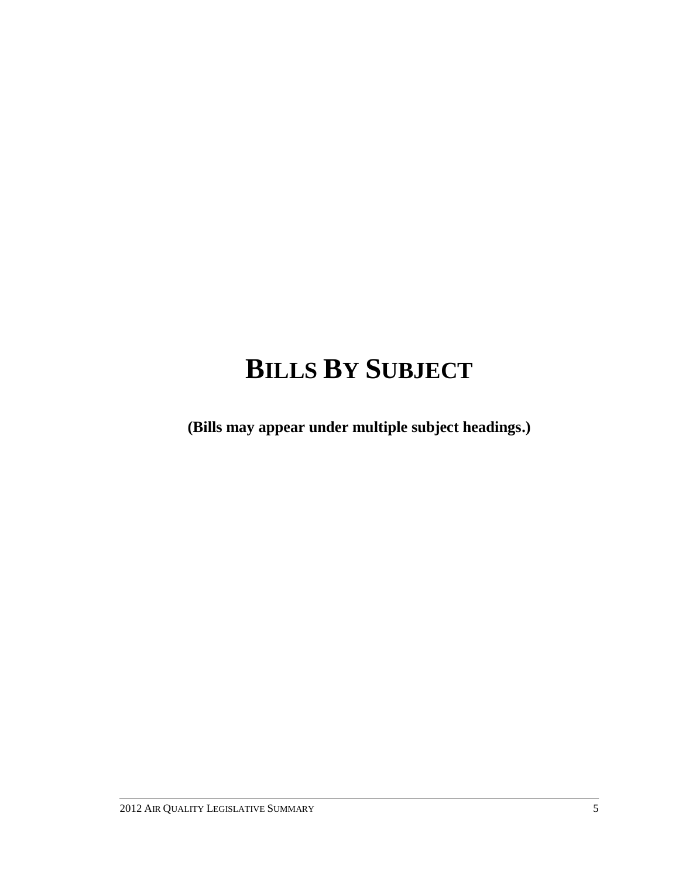# **BILLS BY SUBJECT**

**(Bills may appear under multiple subject headings.)**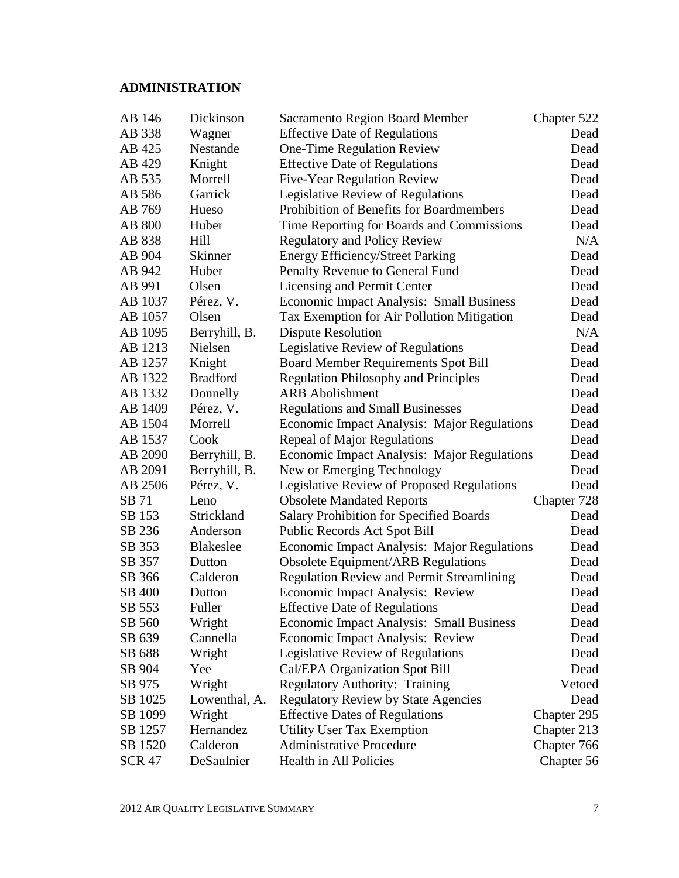## **ADMINISTRATION**

| AB 146        | Dickinson        | <b>Sacramento Region Board Member</b>              | Chapter 522 |
|---------------|------------------|----------------------------------------------------|-------------|
| AB 338        | Wagner           | <b>Effective Date of Regulations</b>               | Dead        |
| AB 425        | Nestande         | One-Time Regulation Review                         | Dead        |
| AB 429        | Knight           | <b>Effective Date of Regulations</b>               | Dead        |
| AB 535        | Morrell          | <b>Five-Year Regulation Review</b>                 | Dead        |
| AB 586        | Garrick          | Legislative Review of Regulations                  | Dead        |
| AB 769        | Hueso            | Prohibition of Benefits for Boardmembers           | Dead        |
| <b>AB 800</b> | Huber            | Time Reporting for Boards and Commissions          | Dead        |
| AB 838        | Hill             | <b>Regulatory and Policy Review</b>                | N/A         |
| AB 904        | Skinner          | <b>Energy Efficiency/Street Parking</b>            | Dead        |
| AB 942        | Huber            | Penalty Revenue to General Fund                    | Dead        |
| AB 991        | Olsen            | Licensing and Permit Center                        | Dead        |
| AB 1037       | Pérez, V.        | <b>Economic Impact Analysis: Small Business</b>    | Dead        |
| AB 1057       | Olsen            | Tax Exemption for Air Pollution Mitigation         | Dead        |
| AB 1095       | Berryhill, B.    | <b>Dispute Resolution</b>                          | N/A         |
| AB 1213       | Nielsen          | Legislative Review of Regulations                  | Dead        |
| AB 1257       | Knight           | <b>Board Member Requirements Spot Bill</b>         | Dead        |
| AB 1322       | <b>Bradford</b>  | <b>Regulation Philosophy and Principles</b>        | Dead        |
| AB 1332       | Donnelly         | <b>ARB</b> Abolishment                             | Dead        |
| AB 1409       | Pérez, V.        | <b>Regulations and Small Businesses</b>            | Dead        |
| AB 1504       | Morrell          | <b>Economic Impact Analysis: Major Regulations</b> | Dead        |
| AB 1537       | Cook             | Repeal of Major Regulations                        | Dead        |
| AB 2090       | Berryhill, B.    | Economic Impact Analysis: Major Regulations        | Dead        |
| AB 2091       | Berryhill, B.    | New or Emerging Technology                         | Dead        |
| AB 2506       | Pérez, V.        | Legislative Review of Proposed Regulations         | Dead        |
| SB 71         | Leno             | <b>Obsolete Mandated Reports</b>                   | Chapter 728 |
| SB 153        | Strickland       | <b>Salary Prohibition for Specified Boards</b>     | Dead        |
| SB 236        | Anderson         | Public Records Act Spot Bill                       | Dead        |
| SB 353        | <b>Blakeslee</b> | <b>Economic Impact Analysis: Major Regulations</b> | Dead        |
| SB 357        | Dutton           | Obsolete Equipment/ARB Regulations                 | Dead        |
| SB 366        | Calderon         | <b>Regulation Review and Permit Streamlining</b>   | Dead        |
| SB 400        | Dutton           | Economic Impact Analysis: Review                   | Dead        |
| SB 553        | Fuller           | <b>Effective Date of Regulations</b>               | Dead        |
| SB 560        | Wright           | Economic Impact Analysis: Small Business           | Dead        |
| SB 639        | Cannella         | <b>Economic Impact Analysis: Review</b>            | Dead        |
| SB 688        | Wright           | Legislative Review of Regulations                  | Dead        |
| SB 904        | Yee              | Cal/EPA Organization Spot Bill                     | Dead        |
| SB 975        | Wright           | <b>Regulatory Authority: Training</b>              | Vetoed      |
| SB 1025       | Lowenthal, A.    | <b>Regulatory Review by State Agencies</b>         | Dead        |
| SB 1099       | Wright           | <b>Effective Dates of Regulations</b>              | Chapter 295 |
| SB 1257       | Hernandez        | <b>Utility User Tax Exemption</b>                  | Chapter 213 |
| SB 1520       | Calderon         | <b>Administrative Procedure</b>                    | Chapter 766 |
| <b>SCR 47</b> | DeSaulnier       | Health in All Policies                             | Chapter 56  |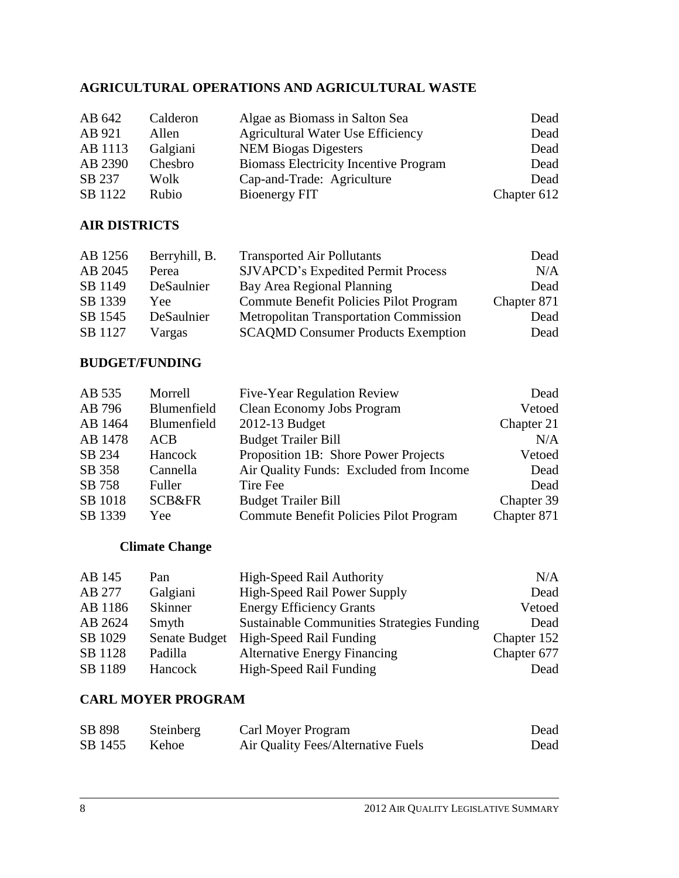## **AGRICULTURAL OPERATIONS AND AGRICULTURAL WASTE**

| AB 642  | Calderon | Algae as Biomass in Salton Sea               | Dead        |
|---------|----------|----------------------------------------------|-------------|
| AB 921  | Allen    | <b>Agricultural Water Use Efficiency</b>     | Dead        |
| AB 1113 | Galgiani | <b>NEM Biogas Digesters</b>                  | Dead        |
| AB 2390 | Chesbro  | <b>Biomass Electricity Incentive Program</b> | Dead        |
| SB 237  | Wolk     | Cap-and-Trade: Agriculture                   | Dead        |
| SB 1122 | Rubio    | Bioenergy FIT                                | Chapter 612 |

## **AIR DISTRICTS**

| Berryhill, B. | <b>Transported Air Pollutants</b>             | Dead        |
|---------------|-----------------------------------------------|-------------|
| Perea         | <b>SJVAPCD's Expedited Permit Process</b>     | N/A         |
| DeSaulnier    | Bay Area Regional Planning                    | Dead        |
| Yee.          | Commute Benefit Policies Pilot Program        | Chapter 871 |
| DeSaulnier    | <b>Metropolitan Transportation Commission</b> | Dead        |
| Vargas        | <b>SCAQMD Consumer Products Exemption</b>     | Dead        |
|               |                                               |             |

### **BUDGET/FUNDING**

| AB 535  | Morrell           | <b>Five-Year Regulation Review</b>      | Dead        |
|---------|-------------------|-----------------------------------------|-------------|
| AB 796  | Blumenfield       | Clean Economy Jobs Program              | Vetoed      |
| AB 1464 | Blumenfield       | 2012-13 Budget                          | Chapter 21  |
| AB 1478 | ACB               | <b>Budget Trailer Bill</b>              | N/A         |
| SB 234  | Hancock           | Proposition 1B: Shore Power Projects    | Vetoed      |
| SB 358  | Cannella          | Air Quality Funds: Excluded from Income | Dead        |
| SB 758  | Fuller            | Tire Fee                                | Dead        |
| SB 1018 | <b>SCB&amp;FR</b> | <b>Budget Trailer Bill</b>              | Chapter 39  |
| SB 1339 | Yee               | Commute Benefit Policies Pilot Program  | Chapter 871 |

## **Climate Change**

| AB 145  | Pan            | High-Speed Rail Authority                         | N/A         |
|---------|----------------|---------------------------------------------------|-------------|
| AB 277  | Galgiani       | <b>High-Speed Rail Power Supply</b>               | Dead        |
| AB 1186 | <b>Skinner</b> | <b>Energy Efficiency Grants</b>                   | Vetoed      |
| AB 2624 | Smyth          | <b>Sustainable Communities Strategies Funding</b> | Dead        |
| SB 1029 | Senate Budget  | High-Speed Rail Funding                           | Chapter 152 |
| SB 1128 | Padilla        | <b>Alternative Energy Financing</b>               | Chapter 677 |
| SB 1189 | Hancock        | High-Speed Rail Funding                           | Dead        |

## **CARL MOYER PROGRAM**

| SB 898  | Steinberg | Carl Moyer Program                 | Dead |
|---------|-----------|------------------------------------|------|
| SB 1455 | Kehoe     | Air Quality Fees/Alternative Fuels | Dead |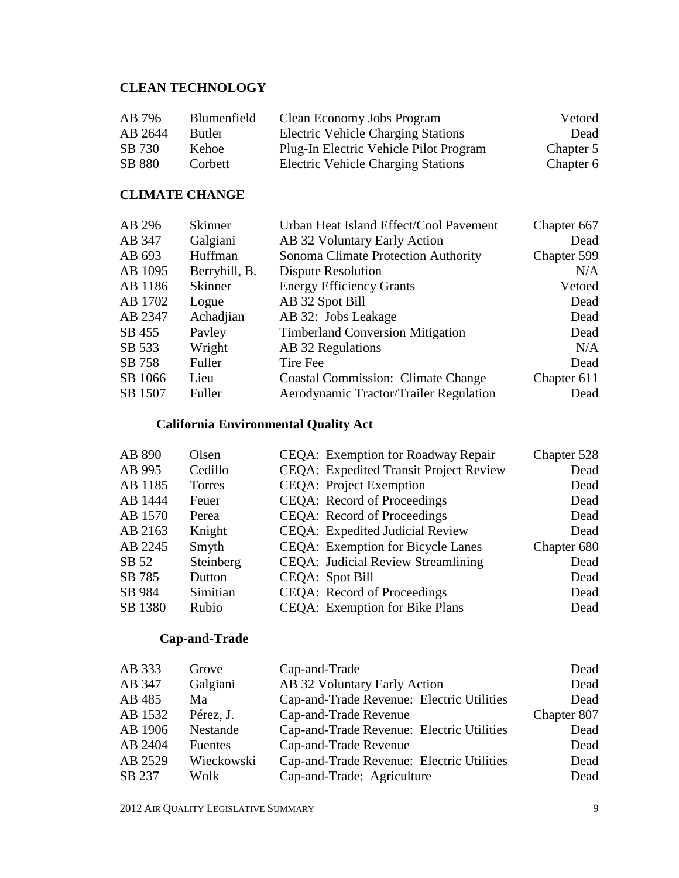## **CLEAN TECHNOLOGY**

| AB 796  | <b>Blumenfield</b> | Clean Economy Jobs Program                | Vetoed    |
|---------|--------------------|-------------------------------------------|-----------|
| AB 2644 | <b>Butler</b>      | <b>Electric Vehicle Charging Stations</b> | Dead      |
| SB 730  | <b>Kehoe</b>       | Plug-In Electric Vehicle Pilot Program    | Chapter 5 |
| SB 880  | Corbett            | <b>Electric Vehicle Charging Stations</b> | Chapter 6 |

## **CLIMATE CHANGE**

| AB 296  | Skinner        | Urban Heat Island Effect/Cool Pavement    | Chapter 667 |
|---------|----------------|-------------------------------------------|-------------|
| AB 347  | Galgiani       | AB 32 Voluntary Early Action              | Dead        |
| AB 693  | Huffman        | Sonoma Climate Protection Authority       | Chapter 599 |
| AB 1095 | Berryhill, B.  | <b>Dispute Resolution</b>                 | N/A         |
| AB 1186 | <b>Skinner</b> | <b>Energy Efficiency Grants</b>           | Vetoed      |
| AB 1702 | Logue          | AB 32 Spot Bill                           | Dead        |
| AB 2347 | Achadjian      | AB 32: Jobs Leakage                       | Dead        |
| SB 455  | Payley         | <b>Timberland Conversion Mitigation</b>   | Dead        |
| SB 533  | Wright         | AB 32 Regulations                         | N/A         |
| SB 758  | Fuller         | Tire Fee                                  | Dead        |
| SB 1066 | Lieu           | <b>Coastal Commission: Climate Change</b> | Chapter 611 |
| SB 1507 | Fuller         | Aerodynamic Tractor/Trailer Regulation    | Dead        |

## **California Environmental Quality Act**

| AB 890  | Olsen     | CEQA: Exemption for Roadway Repair            | Chapter 528 |
|---------|-----------|-----------------------------------------------|-------------|
| AB 995  | Cedillo   | <b>CEQA:</b> Expedited Transit Project Review | Dead        |
| AB 1185 | Torres    | <b>CEQA:</b> Project Exemption                | Dead        |
| AB 1444 | Feuer     | CEQA: Record of Proceedings                   | Dead        |
| AB 1570 | Perea     | CEQA: Record of Proceedings                   | Dead        |
| AB 2163 | Knight    | CEQA: Expedited Judicial Review               | Dead        |
| AB 2245 | Smyth     | CEQA: Exemption for Bicycle Lanes             | Chapter 680 |
| SB 52   | Steinberg | CEQA: Judicial Review Streamlining            | Dead        |
| SB 785  | Dutton    | CEQA: Spot Bill                               | Dead        |
| SB 984  | Simitian  | CEQA: Record of Proceedings                   | Dead        |
| SB 1380 | Rubio     | CEQA: Exemption for Bike Plans                | Dead        |

## **Cap-and-Trade**

| AB 333  | Grove          | Cap-and-Trade                             | Dead        |
|---------|----------------|-------------------------------------------|-------------|
| AB 347  | Galgiani       | AB 32 Voluntary Early Action              | Dead        |
| AB 485  | Ma             | Cap-and-Trade Revenue: Electric Utilities | Dead        |
| AB 1532 | Pérez, J.      | Cap-and-Trade Revenue                     | Chapter 807 |
| AB 1906 | Nestande       | Cap-and-Trade Revenue: Electric Utilities | Dead        |
| AB 2404 | <b>Fuentes</b> | Cap-and-Trade Revenue                     | Dead        |
| AB 2529 | Wieckowski     | Cap-and-Trade Revenue: Electric Utilities | Dead        |
| SB 237  | Wolk           | Cap-and-Trade: Agriculture                | Dead        |
|         |                |                                           |             |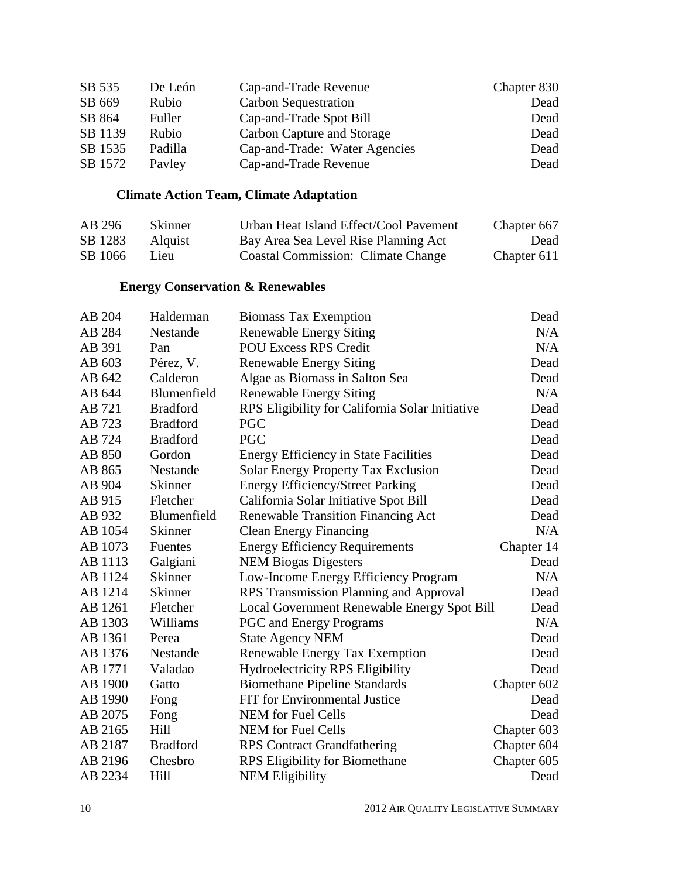| SB 535  | De León | Cap-and-Trade Revenue         | Chapter 830 |
|---------|---------|-------------------------------|-------------|
| SB 669  | Rubio   | Carbon Sequestration          | Dead        |
| SB 864  | Fuller  | Cap-and-Trade Spot Bill       | Dead        |
| SB 1139 | Rubio   | Carbon Capture and Storage    | Dead        |
| SB 1535 | Padilla | Cap-and-Trade: Water Agencies | Dead        |
| SB 1572 | Payley  | Cap-and-Trade Revenue         | Dead        |

## **Climate Action Team, Climate Adaptation**

| AB 296  | <b>Skinner</b> | Urban Heat Island Effect/Cool Pavement    | Chapter 667 |
|---------|----------------|-------------------------------------------|-------------|
| SB 1283 | <b>Alquist</b> | Bay Area Sea Level Rise Planning Act      | Dead        |
| SB 1066 | L 1eu          | <b>Coastal Commission: Climate Change</b> | Chapter 611 |

## **Energy Conservation & Renewables**

| AB 204  | Halderman       | <b>Biomass Tax Exemption</b>                    | Dead        |
|---------|-----------------|-------------------------------------------------|-------------|
| AB 284  | Nestande        | <b>Renewable Energy Siting</b>                  | N/A         |
| AB 391  | Pan             | <b>POU Excess RPS Credit</b>                    | N/A         |
| AB 603  | Pérez, V.       | <b>Renewable Energy Siting</b>                  | Dead        |
| AB 642  | Calderon        | Algae as Biomass in Salton Sea                  | Dead        |
| AB 644  | Blumenfield     | <b>Renewable Energy Siting</b>                  | N/A         |
| AB 721  | <b>Bradford</b> | RPS Eligibility for California Solar Initiative | Dead        |
| AB 723  | <b>Bradford</b> | <b>PGC</b>                                      | Dead        |
| AB 724  | <b>Bradford</b> | <b>PGC</b>                                      | Dead        |
| AB 850  | Gordon          | <b>Energy Efficiency in State Facilities</b>    | Dead        |
| AB 865  | Nestande        | <b>Solar Energy Property Tax Exclusion</b>      | Dead        |
| AB 904  | <b>Skinner</b>  | <b>Energy Efficiency/Street Parking</b>         | Dead        |
| AB 915  | Fletcher        | California Solar Initiative Spot Bill           | Dead        |
| AB 932  | Blumenfield     | <b>Renewable Transition Financing Act</b>       | Dead        |
| AB 1054 | <b>Skinner</b>  | <b>Clean Energy Financing</b>                   | N/A         |
| AB 1073 | Fuentes         | <b>Energy Efficiency Requirements</b>           | Chapter 14  |
| AB 1113 | Galgiani        | <b>NEM Biogas Digesters</b>                     | Dead        |
| AB 1124 | <b>Skinner</b>  | Low-Income Energy Efficiency Program            | N/A         |
| AB 1214 | <b>Skinner</b>  | <b>RPS Transmission Planning and Approval</b>   | Dead        |
| AB 1261 | Fletcher        | Local Government Renewable Energy Spot Bill     | Dead        |
| AB 1303 | Williams        | <b>PGC</b> and Energy Programs                  | N/A         |
| AB 1361 | Perea           | <b>State Agency NEM</b>                         | Dead        |
| AB 1376 | Nestande        | Renewable Energy Tax Exemption                  | Dead        |
| AB 1771 | Valadao         | <b>Hydroelectricity RPS Eligibility</b>         | Dead        |
| AB 1900 | Gatto           | <b>Biomethane Pipeline Standards</b>            | Chapter 602 |
| AB 1990 | Fong            | FIT for Environmental Justice                   | Dead        |
| AB 2075 | Fong            | <b>NEM</b> for Fuel Cells                       | Dead        |
| AB 2165 | Hill            | <b>NEM</b> for Fuel Cells                       | Chapter 603 |
| AB 2187 | <b>Bradford</b> | <b>RPS</b> Contract Grandfathering              | Chapter 604 |
| AB 2196 | Chesbro         | <b>RPS</b> Eligibility for Biomethane           | Chapter 605 |
| AB 2234 | Hill            | <b>NEM Eligibility</b>                          | Dead        |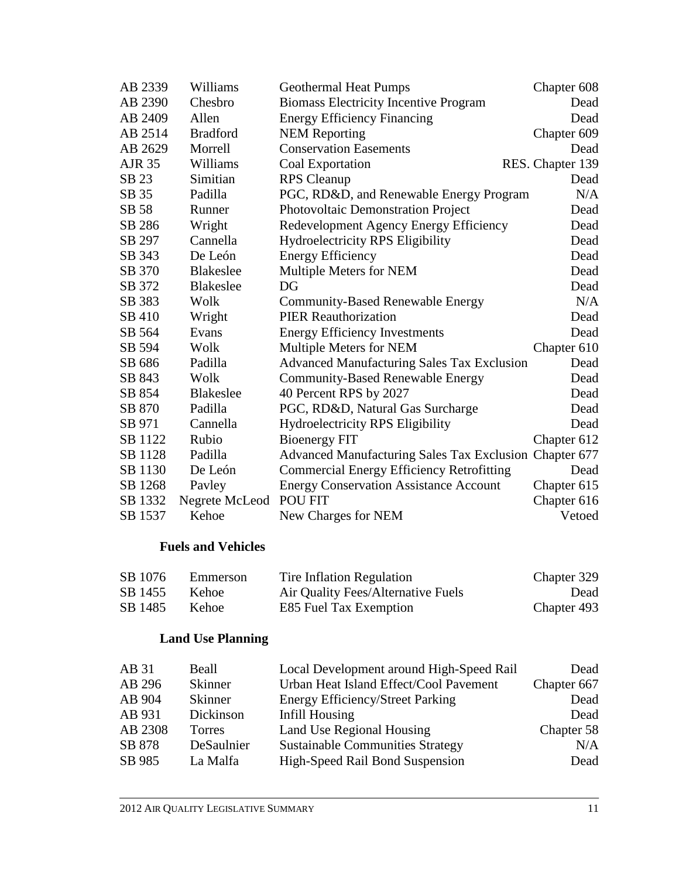| AB 2339       | Williams         | <b>Geothermal Heat Pumps</b>                           | Chapter 608      |
|---------------|------------------|--------------------------------------------------------|------------------|
| AB 2390       | Chesbro          | <b>Biomass Electricity Incentive Program</b>           | Dead             |
| AB 2409       | Allen            | <b>Energy Efficiency Financing</b>                     | Dead             |
| AB 2514       | <b>Bradford</b>  | <b>NEM Reporting</b>                                   | Chapter 609      |
| AB 2629       | Morrell          | <b>Conservation Easements</b>                          | Dead             |
| <b>AJR 35</b> | Williams         | Coal Exportation                                       | RES. Chapter 139 |
| SB 23         | Simitian         | <b>RPS</b> Cleanup                                     | Dead             |
| SB 35         | Padilla          | PGC, RD&D, and Renewable Energy Program                | N/A              |
| SB 58         | Runner           | Photovoltaic Demonstration Project                     | Dead             |
| SB 286        | Wright           | Redevelopment Agency Energy Efficiency                 | Dead             |
| SB 297        | Cannella         | Hydroelectricity RPS Eligibility                       | Dead             |
| SB 343        | De León          | <b>Energy Efficiency</b>                               | Dead             |
| SB 370        | <b>Blakeslee</b> | Multiple Meters for NEM                                | Dead             |
| SB 372        | <b>Blakeslee</b> | DG                                                     | Dead             |
| SB 383        | Wolk             | <b>Community-Based Renewable Energy</b>                | N/A              |
| SB 410        | Wright           | <b>PIER Reauthorization</b>                            | Dead             |
| SB 564        | Evans            | <b>Energy Efficiency Investments</b>                   | Dead             |
| SB 594        | Wolk             | Multiple Meters for NEM                                | Chapter 610      |
| SB 686        | Padilla          | <b>Advanced Manufacturing Sales Tax Exclusion</b>      | Dead             |
| SB 843        | Wolk             | <b>Community-Based Renewable Energy</b>                | Dead             |
| SB 854        | <b>Blakeslee</b> | 40 Percent RPS by 2027                                 | Dead             |
| SB 870        | Padilla          | PGC, RD&D, Natural Gas Surcharge                       | Dead             |
| SB 971        | Cannella         | Hydroelectricity RPS Eligibility                       | Dead             |
| SB 1122       | Rubio            | <b>Bioenergy FIT</b>                                   | Chapter 612      |
| SB 1128       | Padilla          | Advanced Manufacturing Sales Tax Exclusion Chapter 677 |                  |
| SB 1130       | De León          | <b>Commercial Energy Efficiency Retrofitting</b>       | Dead             |
| SB 1268       | Payley           | <b>Energy Conservation Assistance Account</b>          | Chapter 615      |
| SB 1332       | Negrete McLeod   | <b>POU FIT</b>                                         | Chapter 616      |
| SB 1537       | Kehoe            | New Charges for NEM                                    | Vetoed           |

#### **Fuels and Vehicles**

| SB 1076 | Emmerson     | Tire Inflation Regulation          | Chapter 329 |
|---------|--------------|------------------------------------|-------------|
| SB 1455 | Kehoe.       | Air Quality Fees/Alternative Fuels | Dead        |
| SB 1485 | <b>Kehoe</b> | E85 Fuel Tax Exemption             | Chapter 493 |

# **Land Use Planning**

| AB 31   | Beall          | Local Development around High-Speed Rail | Dead        |
|---------|----------------|------------------------------------------|-------------|
| AB 296  | <b>Skinner</b> | Urban Heat Island Effect/Cool Pavement   | Chapter 667 |
| AB 904  | <b>Skinner</b> | <b>Energy Efficiency/Street Parking</b>  | Dead        |
| AB 931  | Dickinson      | Infill Housing                           | Dead        |
| AB 2308 | <b>Torres</b>  | Land Use Regional Housing                | Chapter 58  |
| SB 878  | DeSaulnier     | <b>Sustainable Communities Strategy</b>  | N/A         |
| SB 985  | La Malfa       | High-Speed Rail Bond Suspension          | Dead        |
|         |                |                                          |             |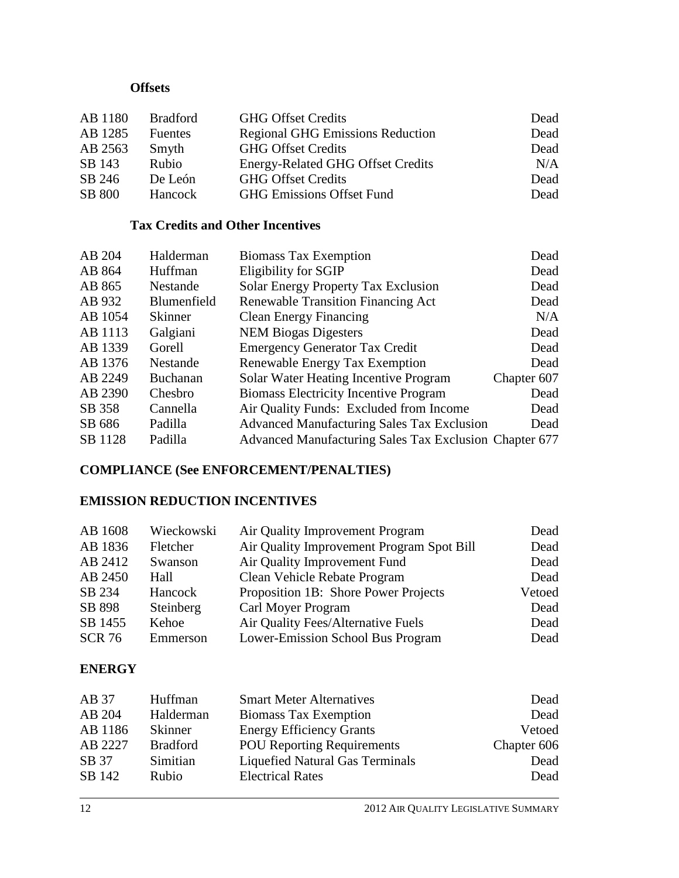## **Offsets**

| AB 1180       | <b>Bradford</b> | <b>GHG Offset Credits</b>                | Dead |
|---------------|-----------------|------------------------------------------|------|
| AB 1285       | <b>Fuentes</b>  | <b>Regional GHG Emissions Reduction</b>  | Dead |
| AB 2563       | Smyth           | <b>GHG Offset Credits</b>                | Dead |
| SB 143        | Rubio           | <b>Energy-Related GHG Offset Credits</b> | N/A  |
| SB 246        | De León         | <b>GHG Offset Credits</b>                | Dead |
| <b>SB 800</b> | Hancock         | <b>GHG Emissions Offset Fund</b>         | Dead |

#### **Tax Credits and Other Incentives**

| AB 204  | Halderman       | <b>Biomass Tax Exemption</b>                           | Dead        |
|---------|-----------------|--------------------------------------------------------|-------------|
| AB 864  | Huffman         | Eligibility for SGIP                                   | Dead        |
| AB 865  | Nestande        | Solar Energy Property Tax Exclusion                    | Dead        |
| AB 932  | Blumenfield     | <b>Renewable Transition Financing Act</b>              | Dead        |
| AB 1054 | Skinner         | <b>Clean Energy Financing</b>                          | N/A         |
| AB 1113 | Galgiani        | <b>NEM Biogas Digesters</b>                            | Dead        |
| AB 1339 | Gorell          | <b>Emergency Generator Tax Credit</b>                  | Dead        |
| AB 1376 | Nestande        | Renewable Energy Tax Exemption                         | Dead        |
| AB 2249 | <b>Buchanan</b> | Solar Water Heating Incentive Program                  | Chapter 607 |
| AB 2390 | Chesbro         | <b>Biomass Electricity Incentive Program</b>           | Dead        |
| SB 358  | Cannella        | Air Quality Funds: Excluded from Income                | Dead        |
| SB 686  | Padilla         | <b>Advanced Manufacturing Sales Tax Exclusion</b>      | Dead        |
| SB 1128 | Padilla         | Advanced Manufacturing Sales Tax Exclusion Chapter 677 |             |

## **COMPLIANCE (See ENFORCEMENT/PENALTIES)**

## **EMISSION REDUCTION INCENTIVES**

| AB 1608       | Wieckowski | Air Quality Improvement Program           | Dead   |
|---------------|------------|-------------------------------------------|--------|
| AB 1836       | Fletcher   | Air Quality Improvement Program Spot Bill | Dead   |
| AB 2412       | Swanson    | Air Quality Improvement Fund              | Dead   |
| AB 2450       | Hall       | Clean Vehicle Rebate Program              | Dead   |
| SB 234        | Hancock    | Proposition 1B: Shore Power Projects      | Vetoed |
| SB 898        | Steinberg  | Carl Moyer Program                        | Dead   |
| SB 1455       | Kehoe      | Air Quality Fees/Alternative Fuels        | Dead   |
| <b>SCR 76</b> | Emmerson   | Lower-Emission School Bus Program         | Dead   |

#### **ENERGY**

| AB 37   | Huffman         | <b>Smart Meter Alternatives</b>        | Dead        |
|---------|-----------------|----------------------------------------|-------------|
| AB 204  | Halderman       | <b>Biomass Tax Exemption</b>           | Dead        |
| AB 1186 | Skinner         | <b>Energy Efficiency Grants</b>        | Vetoed      |
| AB 2227 | <b>Bradford</b> | <b>POU Reporting Requirements</b>      | Chapter 606 |
| SB 37   | Simitian        | <b>Liquefied Natural Gas Terminals</b> | Dead        |
| SB 142  | Rubio           | <b>Electrical Rates</b>                | Dead        |
|         |                 |                                        |             |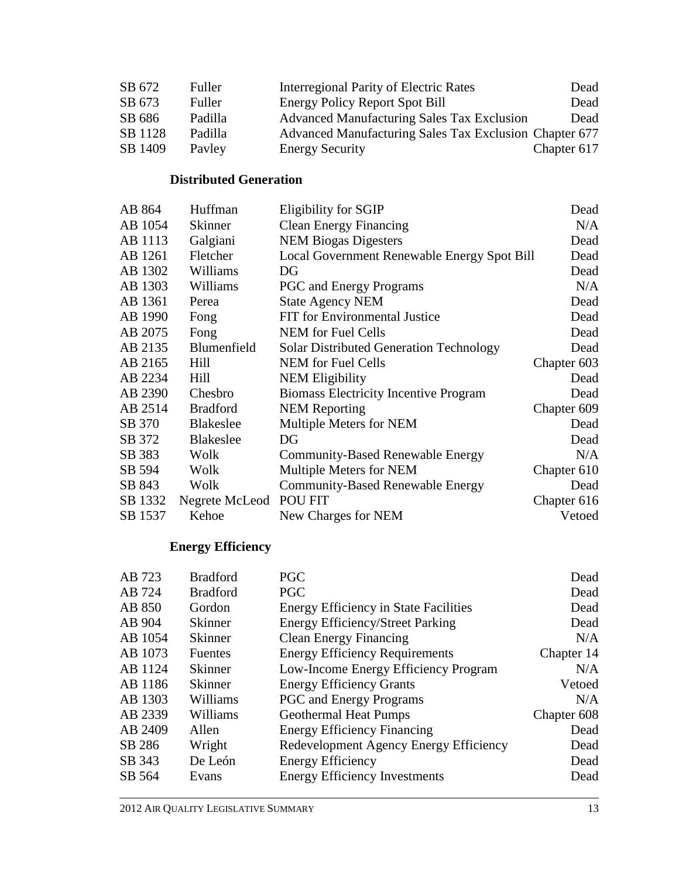| SB 672  | Fuller  | Interregional Parity of Electric Rates                 | Dead        |
|---------|---------|--------------------------------------------------------|-------------|
| SB 673  | Fuller  | <b>Energy Policy Report Spot Bill</b>                  | Dead        |
| SB 686  | Padilla | <b>Advanced Manufacturing Sales Tax Exclusion</b>      | Dead        |
| SB 1128 | Padilla | Advanced Manufacturing Sales Tax Exclusion Chapter 677 |             |
| SB 1409 | Payley  | <b>Energy Security</b>                                 | Chapter 617 |

## **Distributed Generation**

| AB 864  | Huffman          | Eligibility for SGIP                           | Dead        |
|---------|------------------|------------------------------------------------|-------------|
| AB 1054 | Skinner          | <b>Clean Energy Financing</b>                  | N/A         |
| AB 1113 | Galgiani         | <b>NEM Biogas Digesters</b>                    | Dead        |
| AB 1261 | Fletcher         | Local Government Renewable Energy Spot Bill    | Dead        |
| AB 1302 | Williams         | DG                                             | Dead        |
| AB 1303 | Williams         | <b>PGC</b> and Energy Programs                 | N/A         |
| AB 1361 | Perea            | <b>State Agency NEM</b>                        | Dead        |
| AB 1990 | Fong             | <b>FIT</b> for Environmental Justice           | Dead        |
| AB 2075 | Fong             | <b>NEM</b> for Fuel Cells                      | Dead        |
| AB 2135 | Blumenfield      | <b>Solar Distributed Generation Technology</b> | Dead        |
| AB 2165 | Hill             | <b>NEM</b> for Fuel Cells                      | Chapter 603 |
| AB 2234 | Hill             | <b>NEM Eligibility</b>                         | Dead        |
| AB 2390 | Chesbro          | <b>Biomass Electricity Incentive Program</b>   | Dead        |
| AB 2514 | <b>Bradford</b>  | <b>NEM Reporting</b>                           | Chapter 609 |
| SB 370  | <b>Blakeslee</b> | Multiple Meters for NEM                        | Dead        |
| SB 372  | <b>Blakeslee</b> | DG                                             | Dead        |
| SB 383  | Wolk             | <b>Community-Based Renewable Energy</b>        | N/A         |
| SB 594  | Wolk             | Multiple Meters for NEM                        | Chapter 610 |
| SB 843  | Wolk             | <b>Community-Based Renewable Energy</b>        | Dead        |
| SB 1332 | Negrete McLeod   | POU FIT                                        | Chapter 616 |
| SB 1537 | Kehoe            | New Charges for NEM                            | Vetoed      |

# **Energy Efficiency**

| AB 723  | <b>Bradford</b> | <b>PGC</b>                                   | Dead        |
|---------|-----------------|----------------------------------------------|-------------|
| AB 724  | <b>Bradford</b> | <b>PGC</b>                                   | Dead        |
| AB 850  | Gordon          | <b>Energy Efficiency in State Facilities</b> | Dead        |
| AB 904  | <b>Skinner</b>  | <b>Energy Efficiency/Street Parking</b>      | Dead        |
| AB 1054 | <b>Skinner</b>  | <b>Clean Energy Financing</b>                | N/A         |
| AB 1073 | <b>Fuentes</b>  | <b>Energy Efficiency Requirements</b>        | Chapter 14  |
| AB 1124 | <b>Skinner</b>  | Low-Income Energy Efficiency Program         | N/A         |
| AB 1186 | Skinner         | <b>Energy Efficiency Grants</b>              | Vetoed      |
| AB 1303 | Williams        | <b>PGC</b> and Energy Programs               | N/A         |
| AB 2339 | Williams        | <b>Geothermal Heat Pumps</b>                 | Chapter 608 |
| AB 2409 | Allen           | <b>Energy Efficiency Financing</b>           | Dead        |
| SB 286  | Wright          | Redevelopment Agency Energy Efficiency       | Dead        |
| SB 343  | De León         | <b>Energy Efficiency</b>                     | Dead        |
| SB 564  | Evans           | <b>Energy Efficiency Investments</b>         | Dead        |
|         |                 |                                              |             |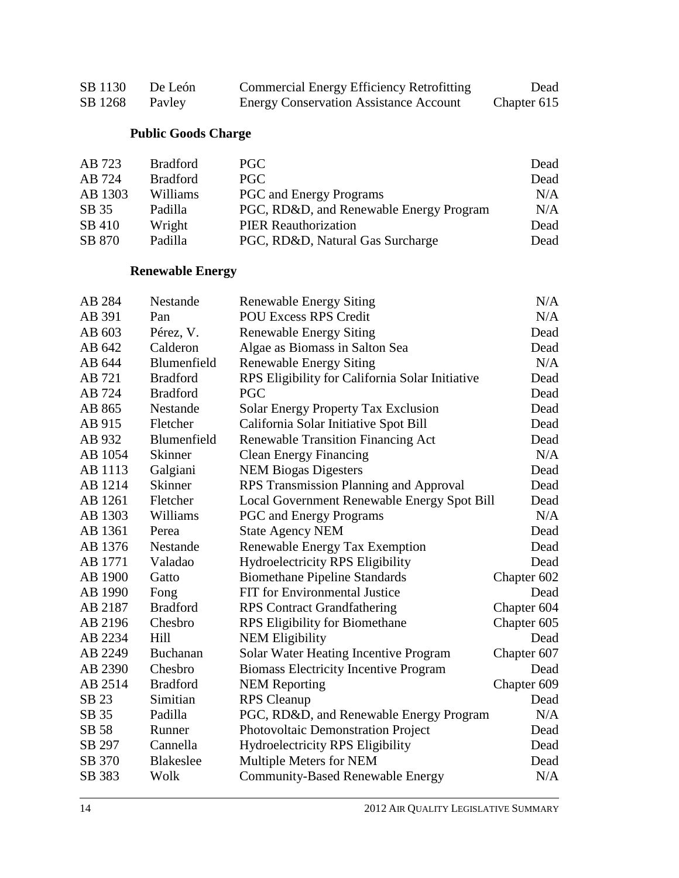| SB 1130 | De León | <b>Commercial Energy Efficiency Retrofitting</b> | Dead        |
|---------|---------|--------------------------------------------------|-------------|
| SB 1268 | Payley  | <b>Energy Conservation Assistance Account</b>    | Chapter 615 |

# **Public Goods Charge**

| AB 723  | <b>Bradford</b> | PGC                                     | Dead |
|---------|-----------------|-----------------------------------------|------|
| AB 724  | <b>Bradford</b> | <b>PGC</b>                              | Dead |
| AB 1303 | Williams        | <b>PGC</b> and Energy Programs          | N/A  |
| SB 35   | Padilla         | PGC, RD&D, and Renewable Energy Program | N/A  |
| SB 410  | Wright          | <b>PIER Reauthorization</b>             | Dead |
| SB 870  | Padilla         | PGC, RD&D, Natural Gas Surcharge        | Dead |

# **Renewable Energy**

| AB 284  | Nestande         | <b>Renewable Energy Siting</b>                  | N/A         |
|---------|------------------|-------------------------------------------------|-------------|
| AB 391  | Pan              | <b>POU Excess RPS Credit</b>                    | N/A         |
| AB 603  | Pérez, V.        | <b>Renewable Energy Siting</b>                  | Dead        |
| AB 642  | Calderon         | Algae as Biomass in Salton Sea                  | Dead        |
| AB 644  | Blumenfield      | <b>Renewable Energy Siting</b>                  | N/A         |
| AB 721  | <b>Bradford</b>  | RPS Eligibility for California Solar Initiative | Dead        |
| AB 724  | <b>Bradford</b>  | <b>PGC</b>                                      | Dead        |
| AB 865  | Nestande         | <b>Solar Energy Property Tax Exclusion</b>      | Dead        |
| AB 915  | Fletcher         | California Solar Initiative Spot Bill           | Dead        |
| AB 932  | Blumenfield      | <b>Renewable Transition Financing Act</b>       | Dead        |
| AB 1054 | <b>Skinner</b>   | <b>Clean Energy Financing</b>                   | N/A         |
| AB 1113 | Galgiani         | <b>NEM Biogas Digesters</b>                     | Dead        |
| AB 1214 | <b>Skinner</b>   | RPS Transmission Planning and Approval          | Dead        |
| AB 1261 | Fletcher         | Local Government Renewable Energy Spot Bill     | Dead        |
| AB 1303 | Williams         | <b>PGC</b> and Energy Programs                  | N/A         |
| AB 1361 | Perea            | <b>State Agency NEM</b>                         | Dead        |
| AB 1376 | Nestande         | Renewable Energy Tax Exemption                  | Dead        |
| AB 1771 | Valadao          | <b>Hydroelectricity RPS Eligibility</b>         | Dead        |
| AB 1900 | Gatto            | <b>Biomethane Pipeline Standards</b>            | Chapter 602 |
| AB 1990 | Fong             | FIT for Environmental Justice                   | Dead        |
| AB 2187 | <b>Bradford</b>  | <b>RPS</b> Contract Grandfathering              | Chapter 604 |
| AB 2196 | Chesbro          | RPS Eligibility for Biomethane                  | Chapter 605 |
| AB 2234 | Hill             | <b>NEM Eligibility</b>                          | Dead        |
| AB 2249 | <b>Buchanan</b>  | Solar Water Heating Incentive Program           | Chapter 607 |
| AB 2390 | Chesbro          | <b>Biomass Electricity Incentive Program</b>    | Dead        |
| AB 2514 | <b>Bradford</b>  | <b>NEM Reporting</b>                            | Chapter 609 |
| SB 23   | Simitian         | <b>RPS</b> Cleanup                              | Dead        |
| SB 35   | Padilla          | PGC, RD&D, and Renewable Energy Program         | N/A         |
| SB 58   | Runner           | Photovoltaic Demonstration Project              | Dead        |
| SB 297  | Cannella         | <b>Hydroelectricity RPS Eligibility</b>         | Dead        |
| SB 370  | <b>Blakeslee</b> | Multiple Meters for NEM                         | Dead        |
| SB 383  | Wolk             | <b>Community-Based Renewable Energy</b>         | N/A         |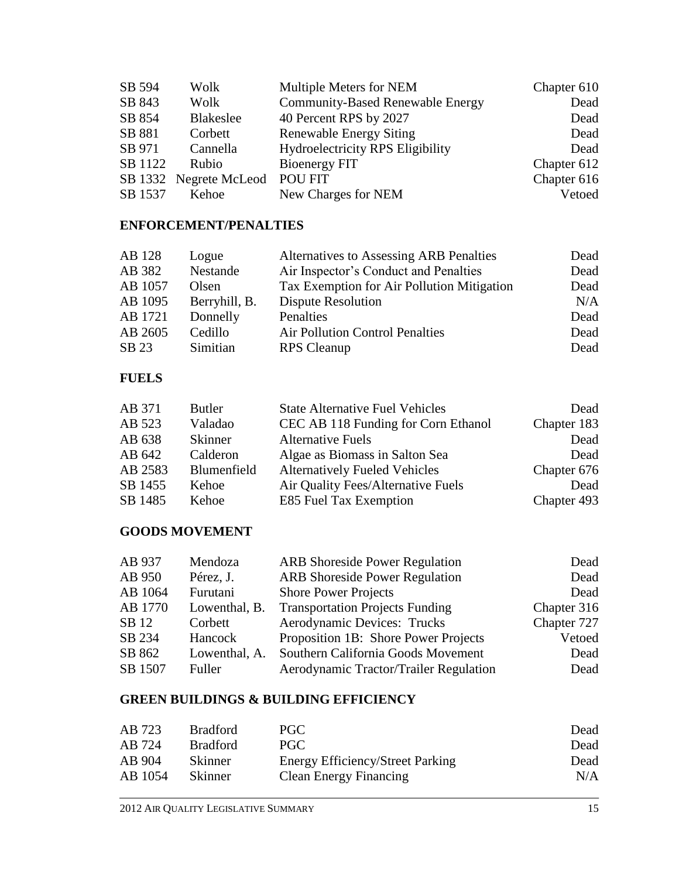| SB 594  | Wolk                   | Multiple Meters for NEM                 | Chapter 610 |
|---------|------------------------|-----------------------------------------|-------------|
| SB 843  | Wolk                   | <b>Community-Based Renewable Energy</b> | Dead        |
| SB 854  | Blakeslee              | 40 Percent RPS by 2027                  | Dead        |
| SB 881  | Corbett                | <b>Renewable Energy Siting</b>          | Dead        |
| SB 971  | Cannella               | Hydroelectricity RPS Eligibility        | Dead        |
| SB 1122 | Rubio                  | Bioenergy FIT                           | Chapter 612 |
|         | SB 1332 Negrete McLeod | <b>POU FIT</b>                          | Chapter 616 |
| SB 1537 | Kehoe                  | New Charges for NEM                     | Vetoed      |

## **ENFORCEMENT/PENALTIES**

| AB 128  | Logue         | Alternatives to Assessing ARB Penalties    | Dead |
|---------|---------------|--------------------------------------------|------|
| AB 382  | Nestande      | Air Inspector's Conduct and Penalties      | Dead |
| AB 1057 | Olsen         | Tax Exemption for Air Pollution Mitigation | Dead |
| AB 1095 | Berryhill, B. | <b>Dispute Resolution</b>                  | N/A  |
| AB 1721 | Donnelly      | Penalties                                  | Dead |
| AB 2605 | Cedillo       | <b>Air Pollution Control Penalties</b>     | Dead |
| SB 23   | Simitian      | <b>RPS</b> Cleanup                         | Dead |

#### **FUELS**

| AB 371  | <b>Butler</b>  | <b>State Alternative Fuel Vehicles</b> | Dead        |
|---------|----------------|----------------------------------------|-------------|
| AB 523  | Valadao        | CEC AB 118 Funding for Corn Ethanol    | Chapter 183 |
| AB 638  | <b>Skinner</b> | <b>Alternative Fuels</b>               | Dead        |
| AB 642  | Calderon       | Algae as Biomass in Salton Sea         | Dead        |
| AB 2583 | Blumenfield    | <b>Alternatively Fueled Vehicles</b>   | Chapter 676 |
| SB 1455 | Kehoe          | Air Quality Fees/Alternative Fuels     | Dead        |
| SB 1485 | Kehoe          | E85 Fuel Tax Exemption                 | Chapter 493 |

#### **GOODS MOVEMENT**

| AB 937  | Mendoza       | <b>ARB</b> Shoreside Power Regulation  | Dead        |
|---------|---------------|----------------------------------------|-------------|
| AB 950  | Pérez, J.     | <b>ARB</b> Shoreside Power Regulation  | Dead        |
| AB 1064 | Furutani      | <b>Shore Power Projects</b>            | Dead        |
| AB 1770 | Lowenthal, B. | <b>Transportation Projects Funding</b> | Chapter 316 |
| SB 12   | Corbett       | Aerodynamic Devices: Trucks            | Chapter 727 |
| SB 234  | Hancock       | Proposition 1B: Shore Power Projects   | Vetoed      |
| SB 862  | Lowenthal, A. | Southern California Goods Movement     | Dead        |
| SB 1507 | Fuller        | Aerodynamic Tractor/Trailer Regulation | Dead        |

## **GREEN BUILDINGS & BUILDING EFFICIENCY**

| AB 723  | <b>Bradford</b> | PGC                                     | Dead |
|---------|-----------------|-----------------------------------------|------|
| AB 724  | <b>Bradford</b> | PGC                                     | Dead |
| AB 904  | Skinner         | <b>Energy Efficiency/Street Parking</b> | Dead |
| AB 1054 | <b>Skinner</b>  | <b>Clean Energy Financing</b>           | N/A  |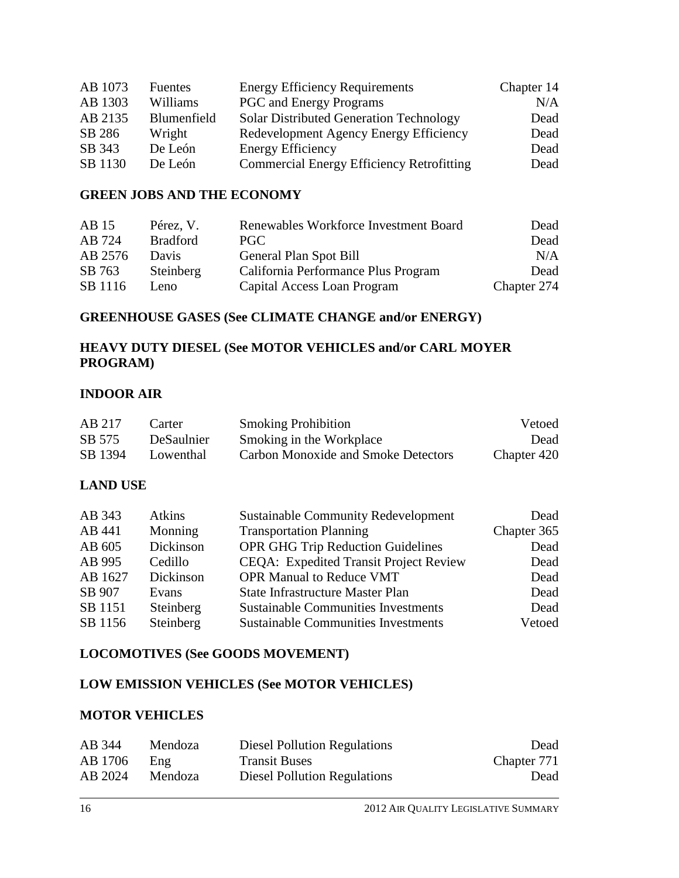| AB 1073 | <b>Fuentes</b> | <b>Energy Efficiency Requirements</b>            | Chapter 14 |
|---------|----------------|--------------------------------------------------|------------|
| AB 1303 | Williams       | <b>PGC</b> and Energy Programs                   | N/A        |
| AB 2135 | Blumenfield    | <b>Solar Distributed Generation Technology</b>   | Dead       |
| SB 286  | Wright         | Redevelopment Agency Energy Efficiency           | Dead       |
| SB 343  | De León        | <b>Energy Efficiency</b>                         | Dead       |
| SB 1130 | De León        | <b>Commercial Energy Efficiency Retrofitting</b> | Dead       |

#### **GREEN JOBS AND THE ECONOMY**

| AB15    | Pérez, V.       | Renewables Workforce Investment Board | Dead        |
|---------|-----------------|---------------------------------------|-------------|
| AB 724  | <b>Bradford</b> | PGC.                                  | Dead        |
| AB 2576 | Davis           | General Plan Spot Bill                | N/A         |
| SB 763  | Steinberg       | California Performance Plus Program   | Dead        |
| SB 1116 | Leno.           | Capital Access Loan Program           | Chapter 274 |

#### **GREENHOUSE GASES (See CLIMATE CHANGE and/or ENERGY)**

#### **HEAVY DUTY DIESEL (See MOTOR VEHICLES and/or CARL MOYER PROGRAM)**

#### **INDOOR AIR**

| AB 217  | Carter     | <b>Smoking Prohibition</b>          | Vetoed      |
|---------|------------|-------------------------------------|-------------|
| SB 575  | DeSaulnier | Smoking in the Workplace            | Dead        |
| SB 1394 | Lowenthal  | Carbon Monoxide and Smoke Detectors | Chapter 420 |

#### **LAND USE**

| AB 343  | Atkins    | <b>Sustainable Community Redevelopment</b>    | Dead        |
|---------|-----------|-----------------------------------------------|-------------|
| AB 441  | Monning   | <b>Transportation Planning</b>                | Chapter 365 |
| AB 605  | Dickinson | <b>OPR GHG Trip Reduction Guidelines</b>      | Dead        |
| AB 995  | Cedillo   | <b>CEQA:</b> Expedited Transit Project Review | Dead        |
| AB 1627 | Dickinson | <b>OPR Manual to Reduce VMT</b>               | Dead        |
| SB 907  | Evans     | <b>State Infrastructure Master Plan</b>       | Dead        |
| SB 1151 | Steinberg | <b>Sustainable Communities Investments</b>    | Dead        |
| SB 1156 | Steinberg | <b>Sustainable Communities Investments</b>    | Vetoed      |

#### **LOCOMOTIVES (See GOODS MOVEMENT)**

#### **LOW EMISSION VEHICLES (See MOTOR VEHICLES)**

#### **MOTOR VEHICLES**

| AB 344  | Mendoza | <b>Diesel Pollution Regulations</b> | Dead        |
|---------|---------|-------------------------------------|-------------|
| AB 1706 | Eng     | <b>Transit Buses</b>                | Chapter 771 |
| AB 2024 | Mendoza | <b>Diesel Pollution Regulations</b> | Dead        |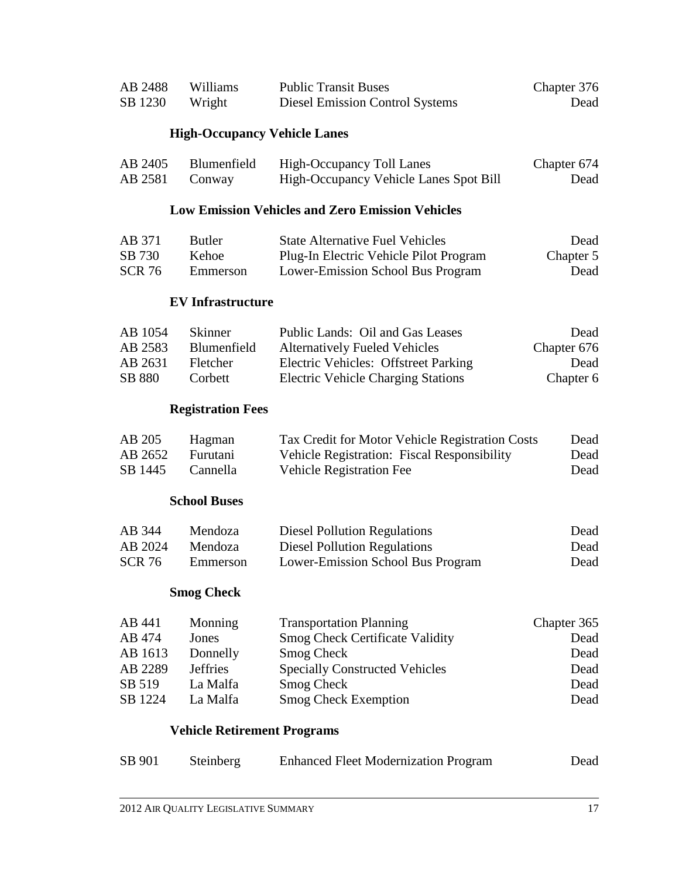|                     | TT' I A            |                    |
|---------------------|--------------------|--------------------|
| Chapter 376<br>Dead | Williams<br>Wright | AB 2488<br>SB 1230 |
|                     |                    |                    |
|                     |                    |                    |

#### **High-Occupancy Vehicle Lanes**

| AB 2405        | Blumenfield | High-Occupancy Toll Lanes              | Chapter 674 |
|----------------|-------------|----------------------------------------|-------------|
| AB 2581 Conway |             | High-Occupancy Vehicle Lanes Spot Bill | Dead        |

#### **Low Emission Vehicles and Zero Emission Vehicles**

| AB 371        | <b>Butler</b> | <b>State Alternative Fuel Vehicles</b> | Dead      |
|---------------|---------------|----------------------------------------|-----------|
| SB 730        | Kehoe         | Plug-In Electric Vehicle Pilot Program | Chapter 5 |
| <b>SCR 76</b> | Emmerson      | Lower-Emission School Bus Program      | Dead      |

#### **EV Infrastructure**

| AB 1054       | <b>Skinner</b>  | Public Lands: Oil and Gas Leases          | Dead        |
|---------------|-----------------|-------------------------------------------|-------------|
| AB 2583       | Blumenfield     | <b>Alternatively Fueled Vehicles</b>      | Chapter 676 |
| AB 2631       | <b>Fletcher</b> | Electric Vehicles: Offstreet Parking      | Dead        |
| <b>SB 880</b> | Corbett         | <b>Electric Vehicle Charging Stations</b> | Chapter 6   |

### **Registration Fees**

| AB 205  | Hagman   | Tax Credit for Motor Vehicle Registration Costs | Dead |
|---------|----------|-------------------------------------------------|------|
| AB 2652 | Furutani | Vehicle Registration: Fiscal Responsibility     | Dead |
| SB 1445 | Cannella | Vehicle Registration Fee                        | Dead |

## **School Buses**

| AB 344  | Mendoza  | <b>Diesel Pollution Regulations</b> | Dead |
|---------|----------|-------------------------------------|------|
| AB 2024 | Mendoza  | Diesel Pollution Regulations        | Dead |
| SCR 76  | Emmerson | Lower-Emission School Bus Program   | Dead |

#### **Smog Check**

| AB 441  | Monning         | <b>Transportation Planning</b>         | Chapter 365 |
|---------|-----------------|----------------------------------------|-------------|
| AB 474  | Jones           | <b>Smog Check Certificate Validity</b> | Dead        |
| AB 1613 | Donnelly        | Smog Check                             | Dead        |
| AB 2289 | <b>Jeffries</b> | <b>Specially Constructed Vehicles</b>  | Dead        |
| SB 519  | La Malfa        | Smog Check                             | Dead        |
| SB 1224 | La Malfa        | <b>Smog Check Exemption</b>            | Dead        |

#### **Vehicle Retirement Programs**

| SB 901 | <b>Steinberg</b> | <b>Enhanced Fleet Modernization Program</b> | Dead |
|--------|------------------|---------------------------------------------|------|
|--------|------------------|---------------------------------------------|------|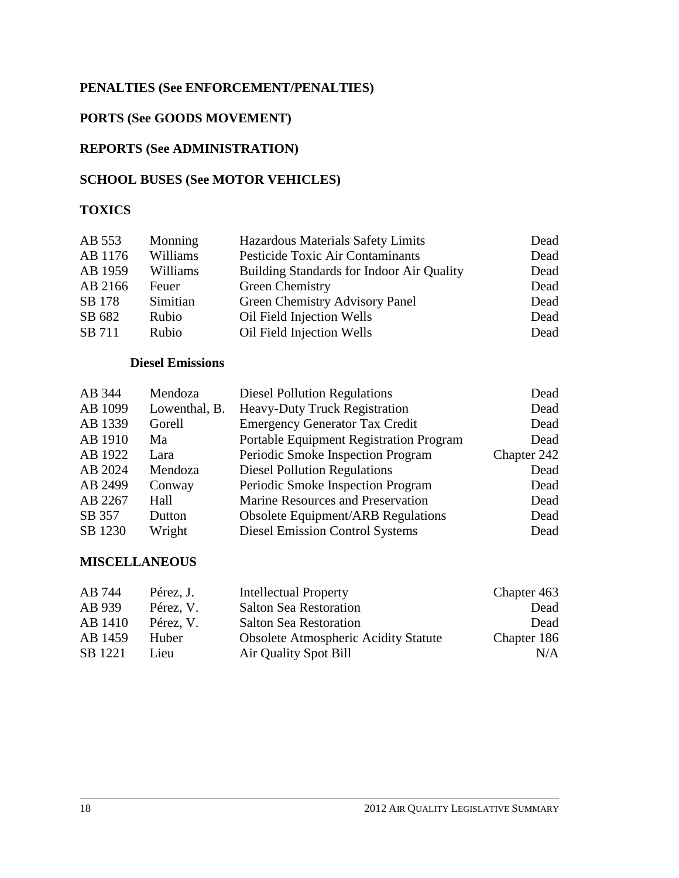## **PENALTIES (See ENFORCEMENT/PENALTIES)**

## **PORTS (See GOODS MOVEMENT)**

## **REPORTS (See ADMINISTRATION)**

## **SCHOOL BUSES (See MOTOR VEHICLES)**

## **TOXICS**

| AB 553  | Monning  | Hazardous Materials Safety Limits                | Dead |
|---------|----------|--------------------------------------------------|------|
| AB 1176 | Williams | Pesticide Toxic Air Contaminants                 | Dead |
| AB 1959 | Williams | <b>Building Standards for Indoor Air Quality</b> | Dead |
| AB 2166 | Feuer    | Green Chemistry                                  | Dead |
| SB 178  | Simitian | Green Chemistry Advisory Panel                   | Dead |
| SB 682  | Rubio    | Oil Field Injection Wells                        | Dead |
| SB 711  | Rubio    | Oil Field Injection Wells                        | Dead |

## **Diesel Emissions**

| AB 344  | Mendoza       | <b>Diesel Pollution Regulations</b>       | Dead        |
|---------|---------------|-------------------------------------------|-------------|
| AB 1099 | Lowenthal, B. | <b>Heavy-Duty Truck Registration</b>      | Dead        |
| AB 1339 | Gorell        | <b>Emergency Generator Tax Credit</b>     | Dead        |
| AB 1910 | Ma            | Portable Equipment Registration Program   | Dead        |
| AB 1922 | Lara          | Periodic Smoke Inspection Program         | Chapter 242 |
| AB 2024 | Mendoza       | <b>Diesel Pollution Regulations</b>       | Dead        |
| AB 2499 | Conway        | Periodic Smoke Inspection Program         | Dead        |
| AB 2267 | Hall          | Marine Resources and Preservation         | Dead        |
| SB 357  | Dutton        | <b>Obsolete Equipment/ARB Regulations</b> | Dead        |
| SB 1230 | Wright        | <b>Diesel Emission Control Systems</b>    | Dead        |

#### **MISCELLANEOUS**

| AB 744  | Pérez, J. | Intellectual Property                       | Chapter 463 |
|---------|-----------|---------------------------------------------|-------------|
| AB 939  | Pérez, V. | <b>Salton Sea Restoration</b>               | Dead        |
| AB 1410 | Pérez, V. | <b>Salton Sea Restoration</b>               | Dead        |
| AB 1459 | Huber     | <b>Obsolete Atmospheric Acidity Statute</b> | Chapter 186 |
| SB 1221 | Lieu      | Air Quality Spot Bill                       | N/A         |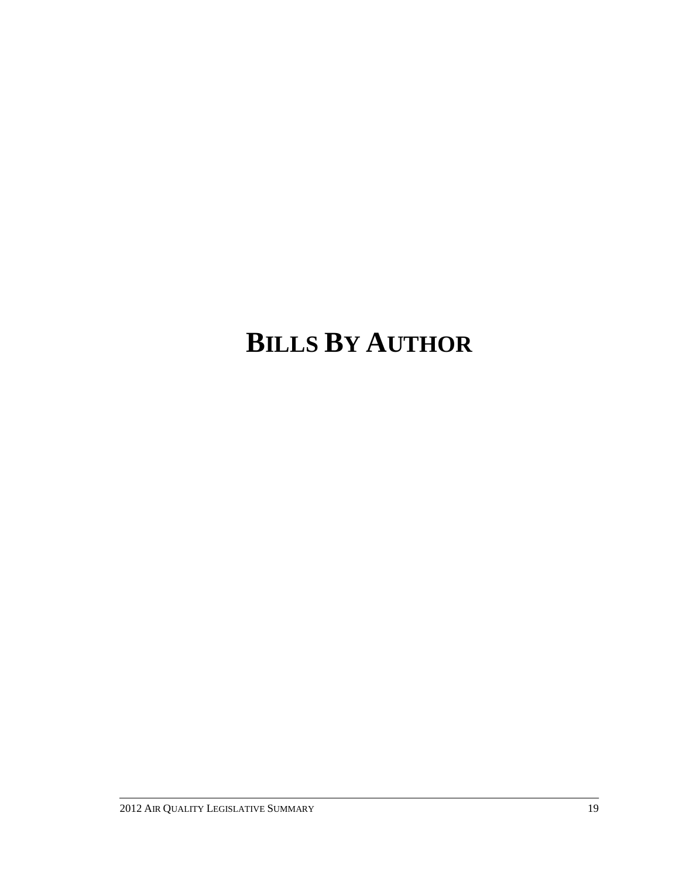# **BILLS BY AUTHOR**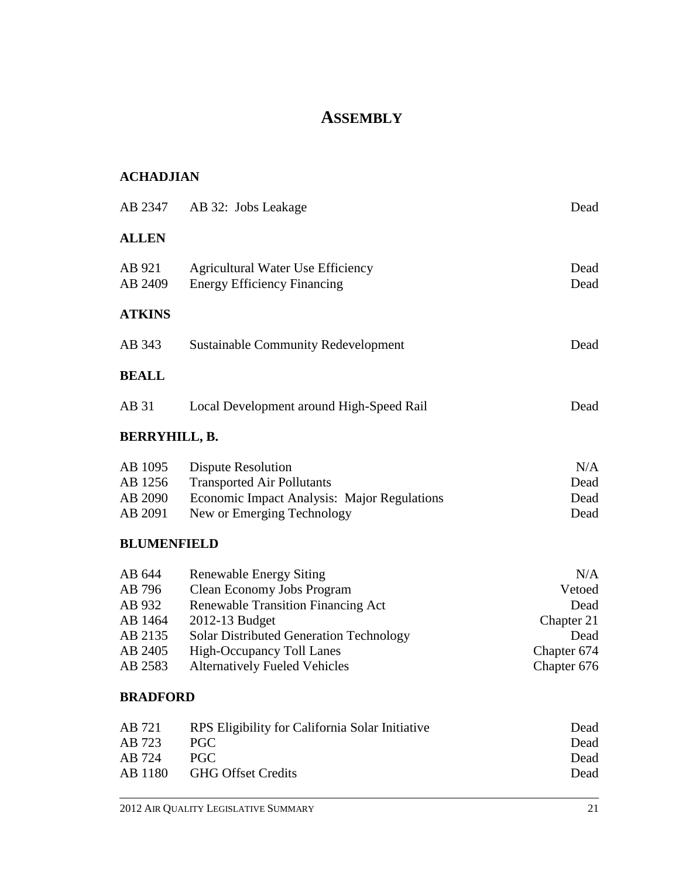# **ASSEMBLY**

## **ACHADJIAN**

|                                          | AB 2347 AB 32: Jobs Leakage                                                                                                          | Dead                        |
|------------------------------------------|--------------------------------------------------------------------------------------------------------------------------------------|-----------------------------|
| <b>ALLEN</b>                             |                                                                                                                                      |                             |
| AB 921<br>AB 2409                        | <b>Agricultural Water Use Efficiency</b><br><b>Energy Efficiency Financing</b>                                                       | Dead<br>Dead                |
| <b>ATKINS</b>                            |                                                                                                                                      |                             |
| AB 343                                   | <b>Sustainable Community Redevelopment</b>                                                                                           | Dead                        |
| <b>BEALL</b>                             |                                                                                                                                      |                             |
| AB 31                                    | Local Development around High-Speed Rail                                                                                             | Dead                        |
| <b>BERRYHILL, B.</b>                     |                                                                                                                                      |                             |
| AB 1095<br>AB 1256<br>AB 2090<br>AB 2091 | Dispute Resolution<br><b>Transported Air Pollutants</b><br>Economic Impact Analysis: Major Regulations<br>New or Emerging Technology | N/A<br>Dead<br>Dead<br>Dead |

## **BLUMENFIELD**

| AB 644  | <b>Renewable Energy Siting</b>                 | N/A         |
|---------|------------------------------------------------|-------------|
| AB 796  | Clean Economy Jobs Program                     | Vetoed      |
| AB 932  | <b>Renewable Transition Financing Act</b>      | Dead        |
| AB 1464 | 2012-13 Budget                                 | Chapter 21  |
| AB 2135 | <b>Solar Distributed Generation Technology</b> | Dead        |
| AB 2405 | High-Occupancy Toll Lanes                      | Chapter 674 |
| AB 2583 | <b>Alternatively Fueled Vehicles</b>           | Chapter 676 |

## **BRADFORD**

| AB 721 | RPS Eligibility for California Solar Initiative | Dead |
|--------|-------------------------------------------------|------|
| AB 723 | PGC.                                            | Dead |
| AB 724 | PGC.                                            | Dead |
|        | AB 1180 GHG Offset Credits                      | Dead |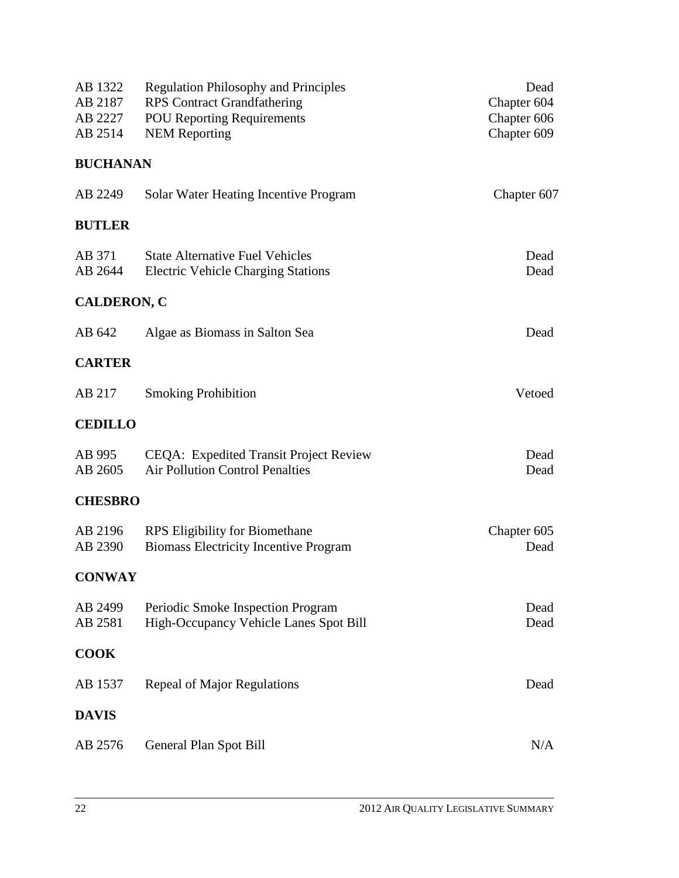| AB 1322<br>AB 2187<br>AB 2227<br>AB 2514 | <b>Regulation Philosophy and Principles</b><br><b>RPS</b> Contract Grandfathering<br><b>POU Reporting Requirements</b><br><b>NEM Reporting</b> | Dead<br>Chapter 604<br>Chapter 606<br>Chapter 609 |
|------------------------------------------|------------------------------------------------------------------------------------------------------------------------------------------------|---------------------------------------------------|
| <b>BUCHANAN</b>                          |                                                                                                                                                |                                                   |
| AB 2249                                  | Solar Water Heating Incentive Program                                                                                                          | Chapter 607                                       |
| <b>BUTLER</b>                            |                                                                                                                                                |                                                   |
| AB 371<br>AB 2644                        | <b>State Alternative Fuel Vehicles</b><br><b>Electric Vehicle Charging Stations</b>                                                            | Dead<br>Dead                                      |
| <b>CALDERON, C</b>                       |                                                                                                                                                |                                                   |
| AB 642                                   | Algae as Biomass in Salton Sea                                                                                                                 | Dead                                              |
| <b>CARTER</b>                            |                                                                                                                                                |                                                   |
| AB 217                                   | <b>Smoking Prohibition</b>                                                                                                                     | Vetoed                                            |
| <b>CEDILLO</b>                           |                                                                                                                                                |                                                   |
| AB 995<br>AB 2605                        | CEQA: Expedited Transit Project Review<br><b>Air Pollution Control Penalties</b>                                                               | Dead<br>Dead                                      |
| <b>CHESBRO</b>                           |                                                                                                                                                |                                                   |
| AB 2196<br>AB 2390                       | <b>RPS</b> Eligibility for Biomethane<br><b>Biomass Electricity Incentive Program</b>                                                          | Chapter 605<br>Dead                               |
| <b>CONWAY</b>                            |                                                                                                                                                |                                                   |
| AB 2499<br>AB 2581                       | Periodic Smoke Inspection Program<br>High-Occupancy Vehicle Lanes Spot Bill                                                                    | Dead<br>Dead                                      |
| <b>COOK</b>                              |                                                                                                                                                |                                                   |
| AB 1537                                  | Repeal of Major Regulations                                                                                                                    | Dead                                              |
| <b>DAVIS</b>                             |                                                                                                                                                |                                                   |
| AB 2576                                  | General Plan Spot Bill                                                                                                                         | N/A                                               |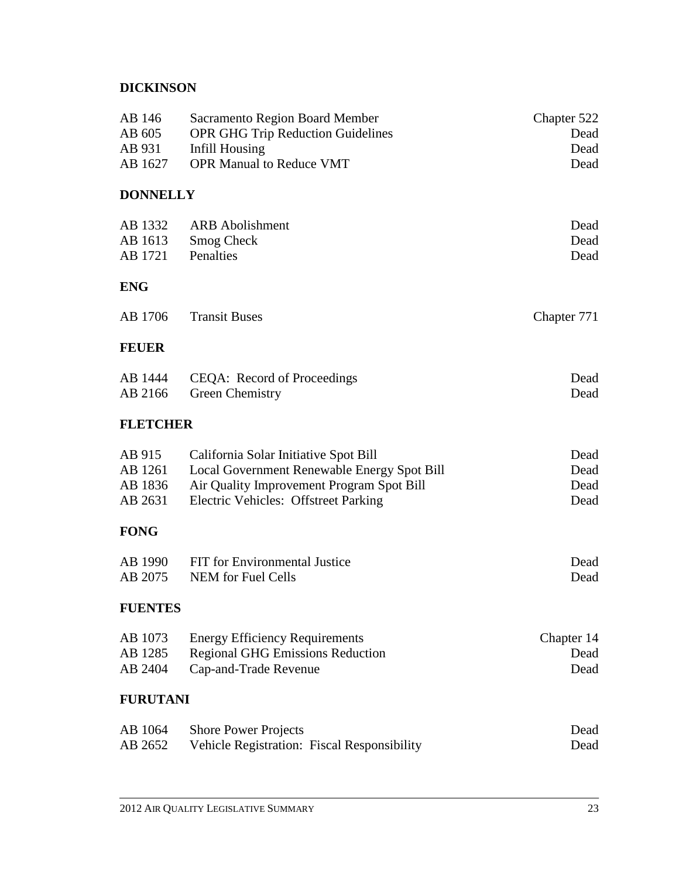## **DICKINSON**

| AB 146<br>AB 605<br>AB 931<br>AB 1627 | <b>Sacramento Region Board Member</b><br><b>OPR GHG Trip Reduction Guidelines</b><br>Infill Housing<br><b>OPR Manual to Reduce VMT</b> | Chapter 522<br>Dead<br>Dead<br>Dead |
|---------------------------------------|----------------------------------------------------------------------------------------------------------------------------------------|-------------------------------------|
| <b>DONNELLY</b>                       |                                                                                                                                        |                                     |
| AB 1332                               | <b>ARB</b> Abolishment                                                                                                                 | Dead                                |
| AB 1613<br>AB 1721                    | <b>Smog Check</b><br>Penalties                                                                                                         | Dead<br>Dead                        |
| <b>ENG</b>                            |                                                                                                                                        |                                     |
| AB 1706                               | <b>Transit Buses</b>                                                                                                                   | Chapter 771                         |
| <b>FEUER</b>                          |                                                                                                                                        |                                     |
| AB 1444<br>AB 2166                    | CEQA: Record of Proceedings                                                                                                            | Dead<br>Dead                        |
| <b>FLETCHER</b>                       | Green Chemistry                                                                                                                        |                                     |
|                                       |                                                                                                                                        |                                     |
| AB 915<br>AB 1261                     | California Solar Initiative Spot Bill<br>Local Government Renewable Energy Spot Bill                                                   | Dead<br>Dead                        |
| AB 1836                               | Air Quality Improvement Program Spot Bill                                                                                              | Dead                                |
| AB 2631                               | Electric Vehicles: Offstreet Parking                                                                                                   | Dead                                |
| <b>FONG</b>                           |                                                                                                                                        |                                     |
| AB 1990                               | FIT for Environmental Justice                                                                                                          | Dead                                |
| AB 2075                               | <b>NEM</b> for Fuel Cells                                                                                                              | Dead                                |
| <b>FUENTES</b>                        |                                                                                                                                        |                                     |
| AB 1073                               | <b>Energy Efficiency Requirements</b>                                                                                                  | Chapter 14                          |
| AB 1285                               | <b>Regional GHG Emissions Reduction</b>                                                                                                | Dead                                |
| AB 2404                               | Cap-and-Trade Revenue                                                                                                                  | Dead                                |
| <b>FURUTANI</b>                       |                                                                                                                                        |                                     |
| AB 1064                               | <b>Shore Power Projects</b>                                                                                                            | Dead                                |
| AB 2652                               | Vehicle Registration: Fiscal Responsibility                                                                                            | Dead                                |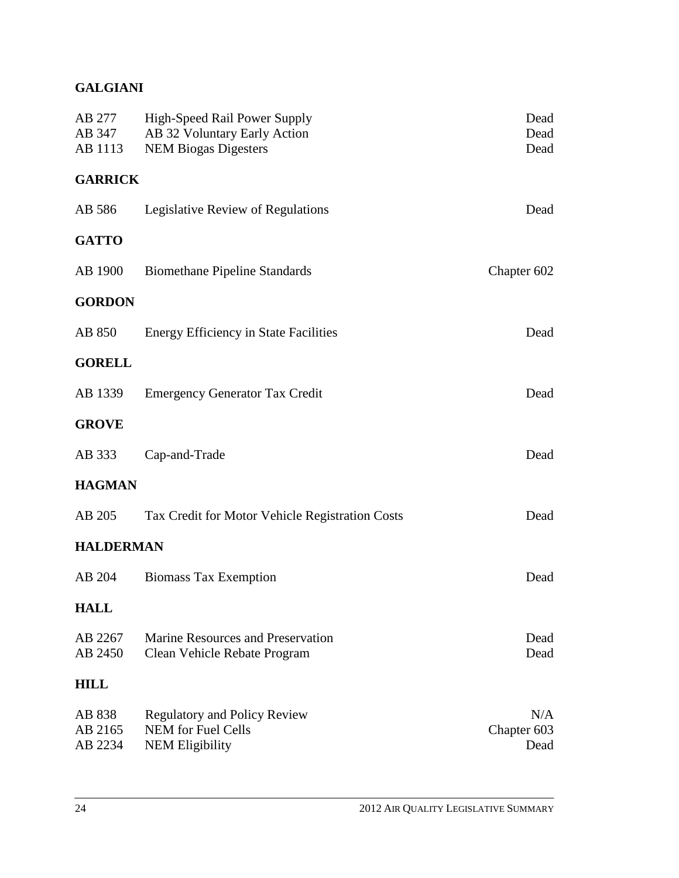## **GALGIANI**

| AB 277<br>AB 347 | <b>High-Speed Rail Power Supply</b><br>AB 32 Voluntary Early Action | Dead<br>Dead |
|------------------|---------------------------------------------------------------------|--------------|
| AB 1113          | <b>NEM Biogas Digesters</b>                                         | Dead         |
| <b>GARRICK</b>   |                                                                     |              |
| AB 586           | Legislative Review of Regulations                                   | Dead         |
| <b>GATTO</b>     |                                                                     |              |
| AB 1900          | <b>Biomethane Pipeline Standards</b>                                | Chapter 602  |
| <b>GORDON</b>    |                                                                     |              |
| AB 850           | <b>Energy Efficiency in State Facilities</b>                        | Dead         |
| <b>GORELL</b>    |                                                                     |              |
| AB 1339          | <b>Emergency Generator Tax Credit</b>                               | Dead         |
| <b>GROVE</b>     |                                                                     |              |
| AB 333           | Cap-and-Trade                                                       | Dead         |
| <b>HAGMAN</b>    |                                                                     |              |
| AB 205           | Tax Credit for Motor Vehicle Registration Costs                     | Dead         |
| <b>HALDERMAN</b> |                                                                     |              |
| AB 204           | <b>Biomass Tax Exemption</b>                                        | Dead         |
| <b>HALL</b>      |                                                                     |              |
| AB 2267          | Marine Resources and Preservation                                   | Dead         |
| AB 2450          | Clean Vehicle Rebate Program                                        | Dead         |
| <b>HILL</b>      |                                                                     |              |
| AB 838           | <b>Regulatory and Policy Review</b>                                 | N/A          |
| AB 2165          | <b>NEM</b> for Fuel Cells                                           | Chapter 603  |
| AB 2234          | <b>NEM Eligibility</b>                                              | Dead         |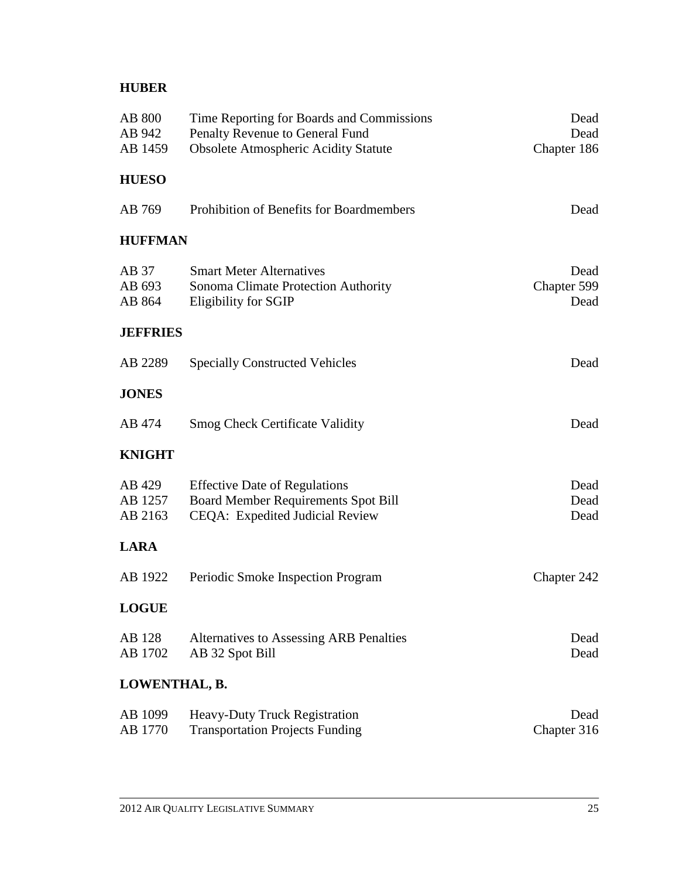## **HUBER**

| AB 800<br>AB 942<br>AB 1459  | Time Reporting for Boards and Commissions<br>Penalty Revenue to General Fund<br><b>Obsolete Atmospheric Acidity Statute</b> | Dead<br>Dead<br>Chapter 186 |
|------------------------------|-----------------------------------------------------------------------------------------------------------------------------|-----------------------------|
| <b>HUESO</b>                 |                                                                                                                             |                             |
| AB 769                       | Prohibition of Benefits for Boardmembers                                                                                    | Dead                        |
| <b>HUFFMAN</b>               |                                                                                                                             |                             |
| AB 37<br>AB 693<br>AB 864    | <b>Smart Meter Alternatives</b><br>Sonoma Climate Protection Authority<br>Eligibility for SGIP                              | Dead<br>Chapter 599<br>Dead |
| <b>JEFFRIES</b>              |                                                                                                                             |                             |
| AB 2289                      | <b>Specially Constructed Vehicles</b>                                                                                       | Dead                        |
| <b>JONES</b>                 |                                                                                                                             |                             |
| AB 474                       | <b>Smog Check Certificate Validity</b>                                                                                      | Dead                        |
| <b>KNIGHT</b>                |                                                                                                                             |                             |
| AB 429<br>AB 1257<br>AB 2163 | <b>Effective Date of Regulations</b><br>Board Member Requirements Spot Bill<br>CEQA: Expedited Judicial Review              | Dead<br>Dead<br>Dead        |
| <b>LARA</b>                  |                                                                                                                             |                             |
| AB 1922                      | Periodic Smoke Inspection Program                                                                                           | Chapter 242                 |
| <b>LOGUE</b>                 |                                                                                                                             |                             |
| AB 128<br>AB 1702            | <b>Alternatives to Assessing ARB Penalties</b><br>AB 32 Spot Bill                                                           | Dead<br>Dead                |
| LOWENTHAL, B.                |                                                                                                                             |                             |
| AB 1099<br>AB 1770           | Heavy-Duty Truck Registration<br><b>Transportation Projects Funding</b>                                                     | Dead<br>Chapter 316         |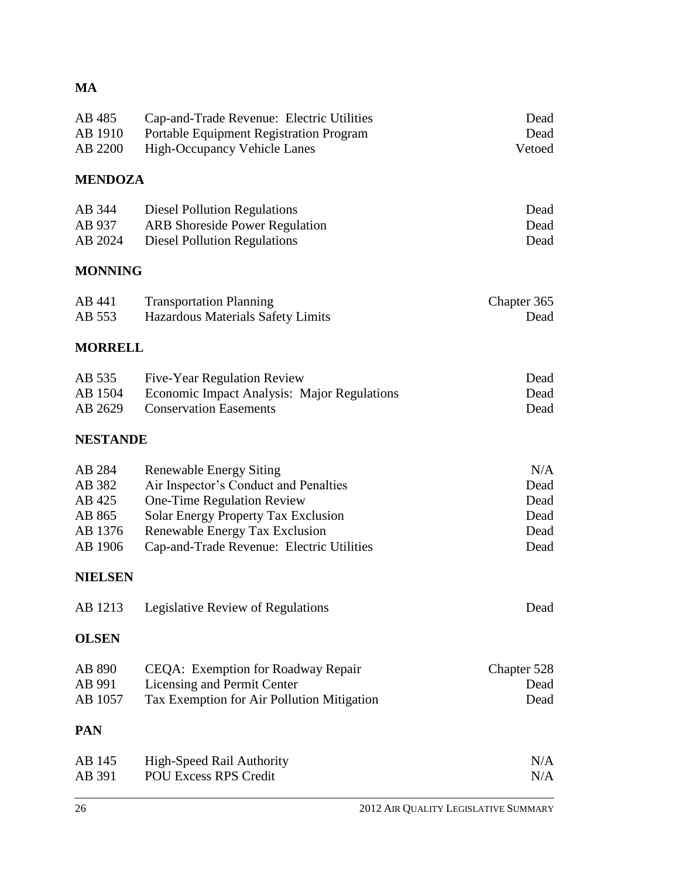## **MA**

| AB 485<br>AB 1910<br>AB 2200                               | Cap-and-Trade Revenue: Electric Utilities<br>Portable Equipment Registration Program<br><b>High-Occupancy Vehicle Lanes</b>                                                                                                        | Dead<br>Dead<br>Vetoed                      |
|------------------------------------------------------------|------------------------------------------------------------------------------------------------------------------------------------------------------------------------------------------------------------------------------------|---------------------------------------------|
| <b>MENDOZA</b>                                             |                                                                                                                                                                                                                                    |                                             |
| AB 344<br>AB 937<br>AB 2024                                | <b>Diesel Pollution Regulations</b><br><b>ARB</b> Shoreside Power Regulation<br><b>Diesel Pollution Regulations</b>                                                                                                                | Dead<br>Dead<br>Dead                        |
| <b>MONNING</b>                                             |                                                                                                                                                                                                                                    |                                             |
| AB 441<br>AB 553                                           | <b>Transportation Planning</b><br>Hazardous Materials Safety Limits                                                                                                                                                                | Chapter 365<br>Dead                         |
| <b>MORRELL</b>                                             |                                                                                                                                                                                                                                    |                                             |
| AB 535<br>AB 1504<br>AB 2629                               | Five-Year Regulation Review<br><b>Economic Impact Analysis: Major Regulations</b><br><b>Conservation Easements</b>                                                                                                                 | Dead<br>Dead<br>Dead                        |
| <b>NESTANDE</b>                                            |                                                                                                                                                                                                                                    |                                             |
| AB 284<br>AB 382<br>AB 425<br>AB 865<br>AB 1376<br>AB 1906 | <b>Renewable Energy Siting</b><br>Air Inspector's Conduct and Penalties<br>One-Time Regulation Review<br><b>Solar Energy Property Tax Exclusion</b><br>Renewable Energy Tax Exclusion<br>Cap-and-Trade Revenue: Electric Utilities | N/A<br>Dead<br>Dead<br>Dead<br>Dead<br>Dead |
| <b>NIELSEN</b>                                             |                                                                                                                                                                                                                                    |                                             |
|                                                            | AB 1213 Legislative Review of Regulations                                                                                                                                                                                          | Dead                                        |
| <b>OLSEN</b>                                               |                                                                                                                                                                                                                                    |                                             |
| AB 890<br>AB 991<br>AB 1057                                | CEQA: Exemption for Roadway Repair<br>Licensing and Permit Center<br>Tax Exemption for Air Pollution Mitigation                                                                                                                    | Chapter 528<br>Dead<br>Dead                 |
| <b>PAN</b>                                                 |                                                                                                                                                                                                                                    |                                             |
| AB 145<br>AB 391                                           | High-Speed Rail Authority<br><b>POU Excess RPS Credit</b>                                                                                                                                                                          | N/A<br>N/A                                  |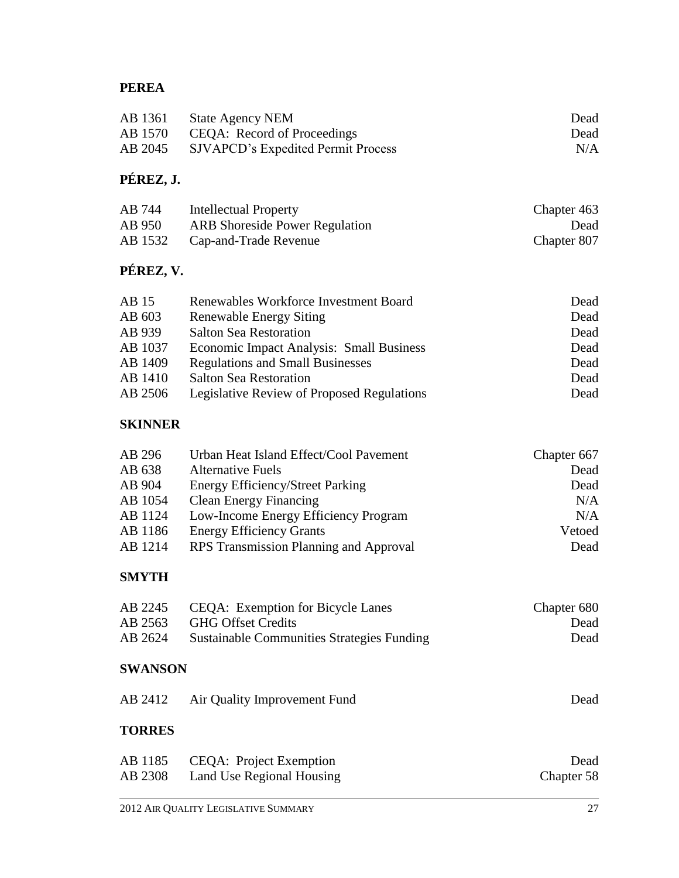## **PEREA**

| AB 1361 | <b>State Agency NEM</b>                   | Dead |
|---------|-------------------------------------------|------|
|         | AB 1570 CEQA: Record of Proceedings       | Dead |
| AB 2045 | <b>SJVAPCD's Expedited Permit Process</b> | N/A  |

# **PÉREZ, J.**

| AB 744  | Intellectual Property                 | Chapter 463 |
|---------|---------------------------------------|-------------|
| AB 950  | <b>ARB</b> Shoreside Power Regulation | Dead        |
| AB 1532 | Cap-and-Trade Revenue                 | Chapter 807 |

# **PÉREZ, V.**

| AB 15   | Renewables Workforce Investment Board      | Dead |
|---------|--------------------------------------------|------|
| AB 603  | <b>Renewable Energy Siting</b>             | Dead |
| AB 939  | <b>Salton Sea Restoration</b>              | Dead |
| AB 1037 | Economic Impact Analysis: Small Business   | Dead |
| AB 1409 | <b>Regulations and Small Businesses</b>    | Dead |
| AB 1410 | <b>Salton Sea Restoration</b>              | Dead |
| AB 2506 | Legislative Review of Proposed Regulations | Dead |

## **SKINNER**

| AB 296  | Urban Heat Island Effect/Cool Pavement  | Chapter 667 |
|---------|-----------------------------------------|-------------|
| AB 638  | <b>Alternative Fuels</b>                | Dead        |
| AB 904  | <b>Energy Efficiency/Street Parking</b> | Dead        |
| AB 1054 | <b>Clean Energy Financing</b>           | N/A         |
| AB 1124 | Low-Income Energy Efficiency Program    | N/A         |
| AB 1186 | <b>Energy Efficiency Grants</b>         | Vetoed      |
| AB 1214 | RPS Transmission Planning and Approval  | Dead        |

## **SMYTH**

|         | AB 2245 CEQA: Exemption for Bicycle Lanes  | Chapter 680 |
|---------|--------------------------------------------|-------------|
|         | AB 2563 GHG Offset Credits                 | Dead        |
| AB 2624 | Sustainable Communities Strategies Funding | Dead        |

## **SWANSON**

|               | AB 2412 Air Quality Improvement Fund | Dead |
|---------------|--------------------------------------|------|
| <b>TORRES</b> |                                      |      |

| AB 1185<br>CEQA: Project Exemption   | Dead       |
|--------------------------------------|------------|
| AB 2308<br>Land Use Regional Housing | Chapter 58 |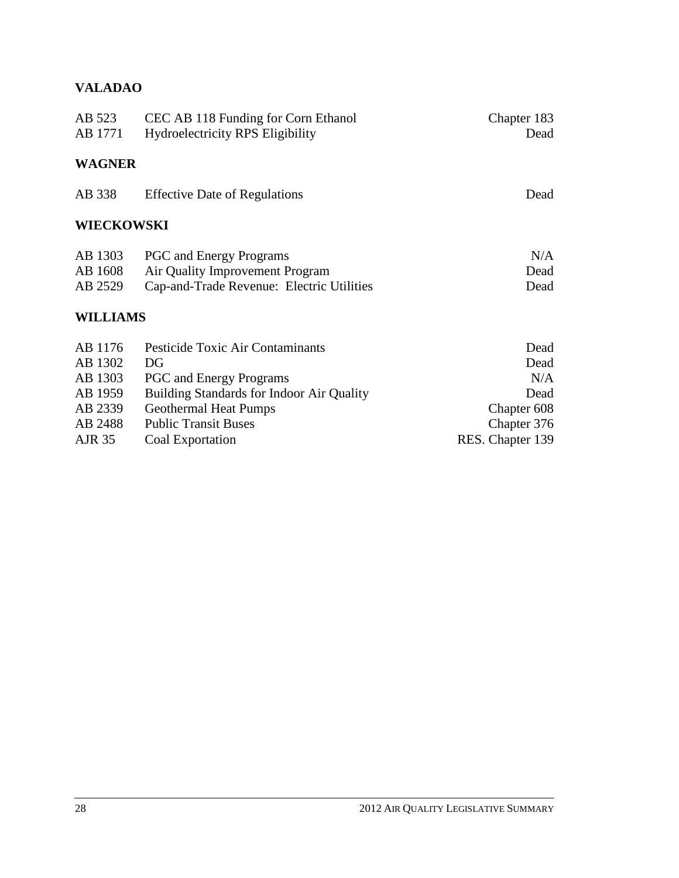## **VALADAO**

| AB 523<br>AB 1771 | CEC AB 118 Funding for Corn Ethanol<br><b>Hydroelectricity RPS Eligibility</b> | Chapter 183<br>Dead |
|-------------------|--------------------------------------------------------------------------------|---------------------|
| <b>WAGNER</b>     |                                                                                |                     |
| AB 338            | <b>Effective Date of Regulations</b>                                           | Dead                |
| WIECKOWSKI        |                                                                                |                     |
| AB 1303           | <b>PGC</b> and Energy Programs                                                 | N/A                 |
| AB 1608           | Air Quality Improvement Program                                                | Dead                |
| AB 2529           | Cap-and-Trade Revenue: Electric Utilities<br>Dead                              |                     |
| <b>WILLIAMS</b>   |                                                                                |                     |
| AB 1176           | Pesticide Toxic Air Contaminants                                               | Dead                |
| AB 1302           | DG                                                                             | Dead                |
| AB 1303           | N/A<br><b>PGC</b> and Energy Programs                                          |                     |
| AB 1959           | Building Standards for Indoor Air Quality                                      | Dead                |
| AB 2339           | <b>Geothermal Heat Pumps</b>                                                   | Chapter 608         |
| AB 2488           | <b>Public Transit Buses</b><br>Chapter 376                                     |                     |

| $\cdots$ | $1.00118$ $1.001010$ $1.0000$ | $\sim$ $\sim$ $\sim$ $\sim$ $\sim$ |
|----------|-------------------------------|------------------------------------|
| AJR 35   | Coal Exportation              | RES. Chapter 139                   |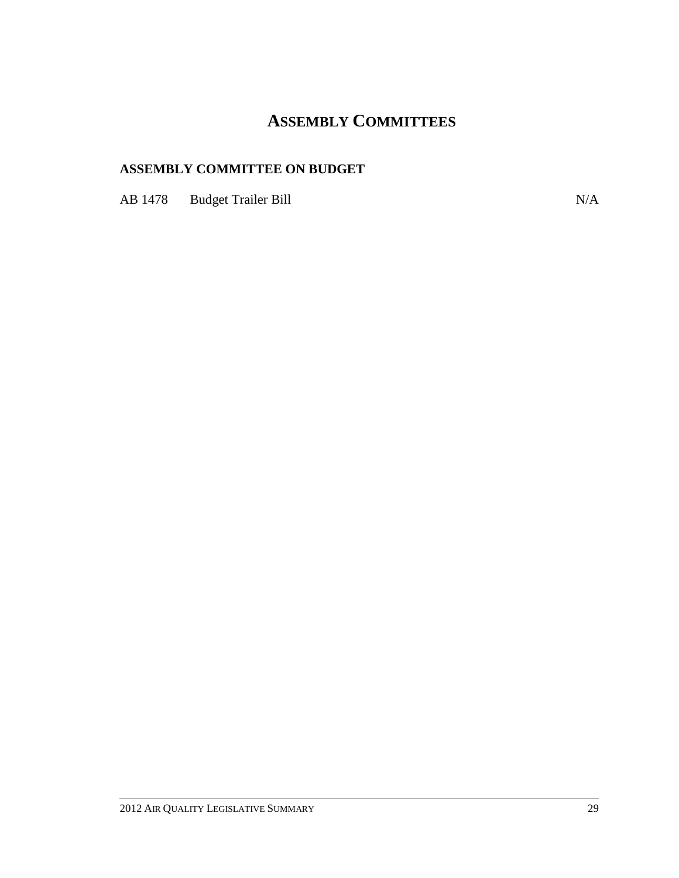# **ASSEMBLY COMMITTEES**

## **ASSEMBLY COMMITTEE ON BUDGET**

AB 1478 Budget Trailer Bill N/A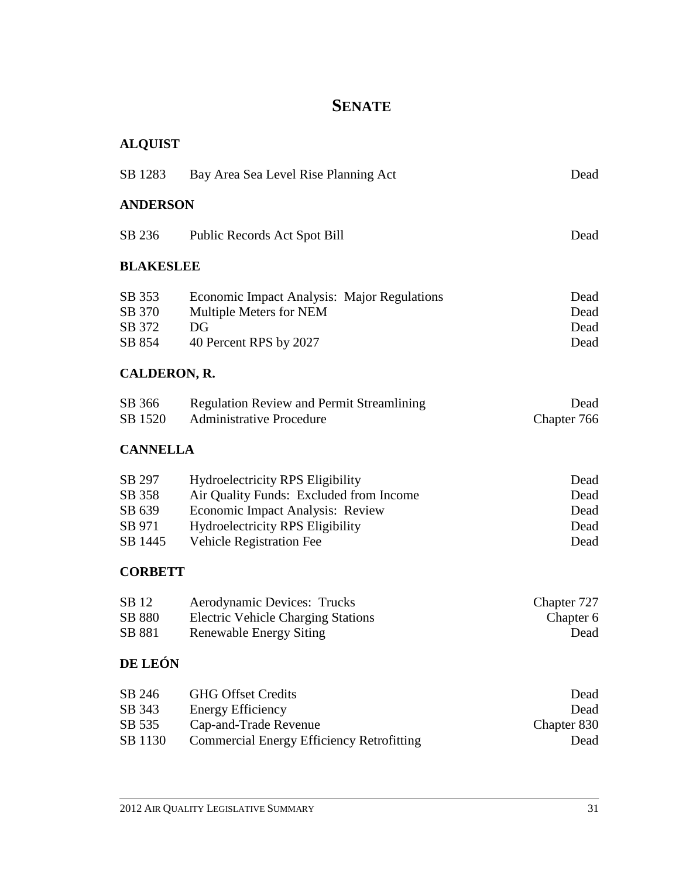# **SENATE**

# **ALQUIST**

| SB 1283                              | Bay Area Sea Level Rise Planning Act                                                                   | Dead                         |
|--------------------------------------|--------------------------------------------------------------------------------------------------------|------------------------------|
| <b>ANDERSON</b>                      |                                                                                                        |                              |
| SB 236                               | Public Records Act Spot Bill                                                                           | Dead                         |
| <b>BLAKESLEE</b>                     |                                                                                                        |                              |
| SB 353<br>SB 370<br>SB 372<br>SB 854 | Economic Impact Analysis: Major Regulations<br>Multiple Meters for NEM<br>DG<br>40 Percent RPS by 2027 | Dead<br>Dead<br>Dead<br>Dead |
| <b>CALDERON, R.</b>                  |                                                                                                        |                              |
| SB 366<br>SB 1520                    | <b>Regulation Review and Permit Streamlining</b><br><b>Administrative Procedure</b>                    | Dead<br>Chapter 766          |
| <b>CANNELLA</b>                      |                                                                                                        |                              |
| SB 297                               | <b>Hydroelectricity RPS Eligibility</b>                                                                | Dead                         |

| II, dioclectricity is to Englority      | <u>_</u> |
|-----------------------------------------|----------|
| Air Quality Funds: Excluded from Income | Dead     |
| Economic Impact Analysis: Review        | Dead     |
| <b>Hydroelectricity RPS Eligibility</b> | Dead     |
| <b>Vehicle Registration Fee</b>         | Dead     |
|                                         |          |

# **CORBETT**

| SB 12  | Aerodynamic Devices: Trucks               | Chapter 727 |
|--------|-------------------------------------------|-------------|
| SB 880 | <b>Electric Vehicle Charging Stations</b> | Chapter 6   |
| SB 881 | Renewable Energy Siting                   | Dead        |

# **DE LEÓN**

| SB 246  | <b>GHG Offset Credits</b>                        | Dead        |
|---------|--------------------------------------------------|-------------|
| SB 343  | <b>Energy Efficiency</b>                         | Dead        |
| SB 535  | Cap-and-Trade Revenue                            | Chapter 830 |
| SB 1130 | <b>Commercial Energy Efficiency Retrofitting</b> | Dead        |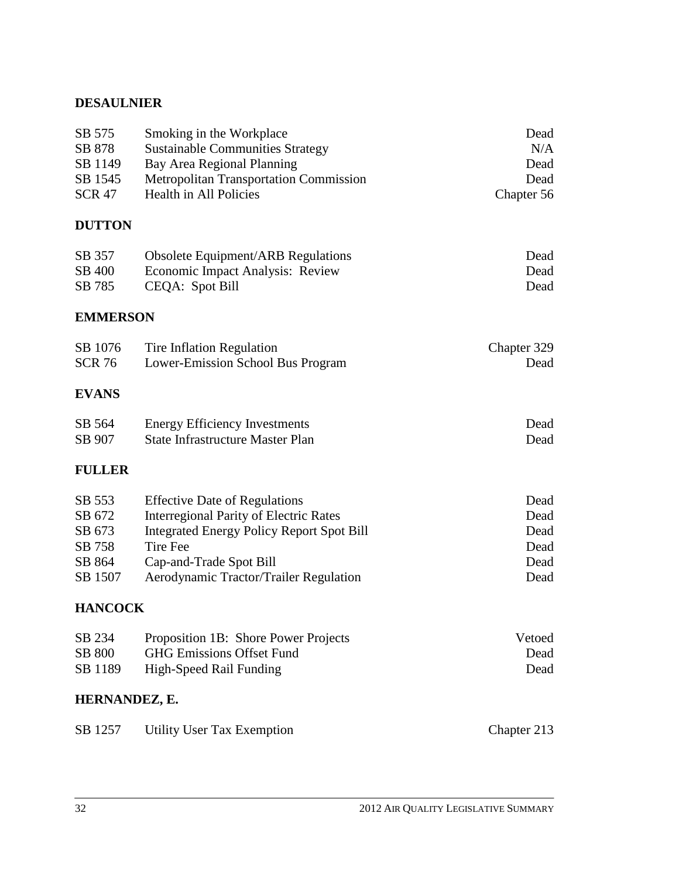### **DESAULNIER**

| SB 575<br>SB 878<br>SB 1149<br>SB 1545<br><b>SCR 47</b>   | Smoking in the Workplace<br><b>Sustainable Communities Strategy</b><br>Bay Area Regional Planning<br><b>Metropolitan Transportation Commission</b><br><b>Health in All Policies</b>                                               | Dead<br>N/A<br>Dead<br>Dead<br>Chapter 56    |
|-----------------------------------------------------------|-----------------------------------------------------------------------------------------------------------------------------------------------------------------------------------------------------------------------------------|----------------------------------------------|
| <b>DUTTON</b>                                             |                                                                                                                                                                                                                                   |                                              |
| SB 357<br>SB 400<br>SB 785                                | <b>Obsolete Equipment/ARB Regulations</b><br>Economic Impact Analysis: Review<br>CEQA: Spot Bill                                                                                                                                  | Dead<br>Dead<br>Dead                         |
| <b>EMMERSON</b>                                           |                                                                                                                                                                                                                                   |                                              |
| SB 1076<br><b>SCR 76</b>                                  | Tire Inflation Regulation<br>Lower-Emission School Bus Program                                                                                                                                                                    | Chapter 329<br>Dead                          |
| <b>EVANS</b>                                              |                                                                                                                                                                                                                                   |                                              |
| SB 564<br>SB 907                                          | <b>Energy Efficiency Investments</b><br>State Infrastructure Master Plan                                                                                                                                                          | Dead<br>Dead                                 |
| <b>FULLER</b>                                             |                                                                                                                                                                                                                                   |                                              |
| SB 553<br>SB 672<br>SB 673<br>SB 758<br>SB 864<br>SB 1507 | <b>Effective Date of Regulations</b><br><b>Interregional Parity of Electric Rates</b><br><b>Integrated Energy Policy Report Spot Bill</b><br><b>Tire Fee</b><br>Cap-and-Trade Spot Bill<br>Aerodynamic Tractor/Trailer Regulation | Dead<br>Dead<br>Dead<br>Dead<br>Dead<br>Dead |
| <b>HANCOCK</b>                                            |                                                                                                                                                                                                                                   |                                              |
| SB 234<br>SB 800<br>SB 1189                               | Proposition 1B: Shore Power Projects<br><b>GHG Emissions Offset Fund</b><br>High-Speed Rail Funding                                                                                                                               | Vetoed<br>Dead<br>Dead                       |
| HERNANDEZ, E.                                             |                                                                                                                                                                                                                                   |                                              |
| SB 1257                                                   | <b>Utility User Tax Exemption</b>                                                                                                                                                                                                 | Chapter 213                                  |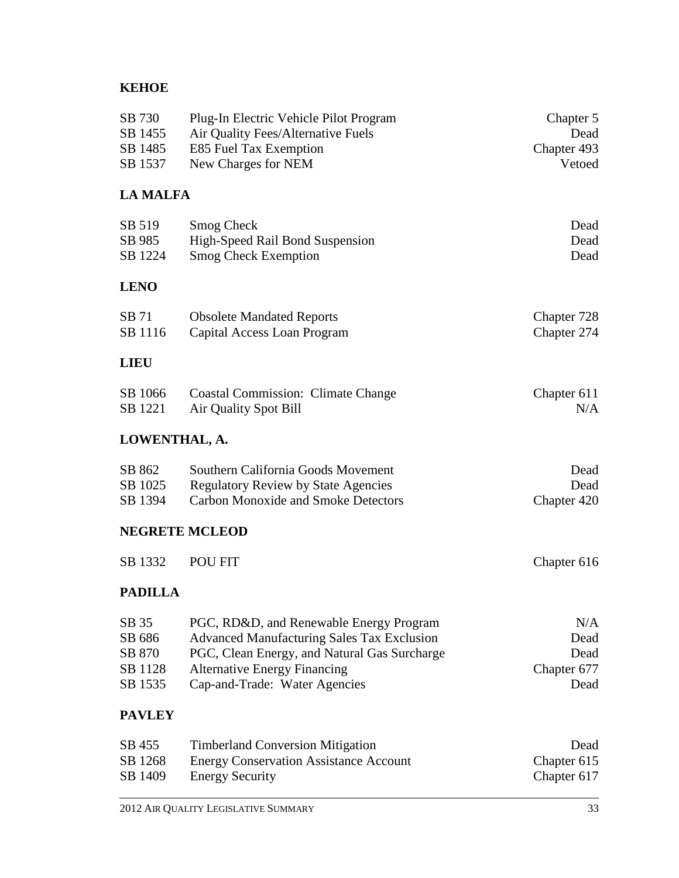# **KEHOE**

| SB 730<br>SB 1455<br>SB 1485<br>SB 1537         | Plug-In Electric Vehicle Pilot Program<br>Air Quality Fees/Alternative Fuels<br>E85 Fuel Tax Exemption<br>New Charges for NEM                                                                                        | Chapter 5<br>Dead<br>Chapter 493<br>Vetoed |
|-------------------------------------------------|----------------------------------------------------------------------------------------------------------------------------------------------------------------------------------------------------------------------|--------------------------------------------|
| <b>LA MALFA</b>                                 |                                                                                                                                                                                                                      |                                            |
| SB 519<br>SB 985<br>SB 1224                     | <b>Smog Check</b><br>High-Speed Rail Bond Suspension<br><b>Smog Check Exemption</b>                                                                                                                                  | Dead<br>Dead<br>Dead                       |
| <b>LENO</b>                                     |                                                                                                                                                                                                                      |                                            |
| SB 71<br>SB 1116                                | <b>Obsolete Mandated Reports</b><br>Capital Access Loan Program                                                                                                                                                      | Chapter 728<br>Chapter 274                 |
| <b>LIEU</b>                                     |                                                                                                                                                                                                                      |                                            |
| SB 1066<br>SB 1221                              | <b>Coastal Commission: Climate Change</b><br><b>Air Quality Spot Bill</b>                                                                                                                                            | Chapter 611<br>N/A                         |
| LOWENTHAL, A.                                   |                                                                                                                                                                                                                      |                                            |
| SB 862<br>SB 1025<br>SB 1394                    | Southern California Goods Movement<br><b>Regulatory Review by State Agencies</b><br><b>Carbon Monoxide and Smoke Detectors</b>                                                                                       | Dead<br>Dead<br>Chapter 420                |
| <b>NEGRETE MCLEOD</b>                           |                                                                                                                                                                                                                      |                                            |
| SB 1332                                         | POU FIT                                                                                                                                                                                                              | Chapter 616                                |
| <b>PADILLA</b>                                  |                                                                                                                                                                                                                      |                                            |
| SB 35<br>SB 686<br>SB 870<br>SB 1128<br>SB 1535 | PGC, RD&D, and Renewable Energy Program<br><b>Advanced Manufacturing Sales Tax Exclusion</b><br>PGC, Clean Energy, and Natural Gas Surcharge<br><b>Alternative Energy Financing</b><br>Cap-and-Trade: Water Agencies | N/A<br>Dead<br>Dead<br>Chapter 677<br>Dead |
| <b>PAVLEY</b>                                   |                                                                                                                                                                                                                      |                                            |
| SB 455<br>SB 1268<br>SB 1409                    | <b>Timberland Conversion Mitigation</b><br><b>Energy Conservation Assistance Account</b><br><b>Energy Security</b>                                                                                                   | Dead<br>Chapter 615<br>Chapter 617         |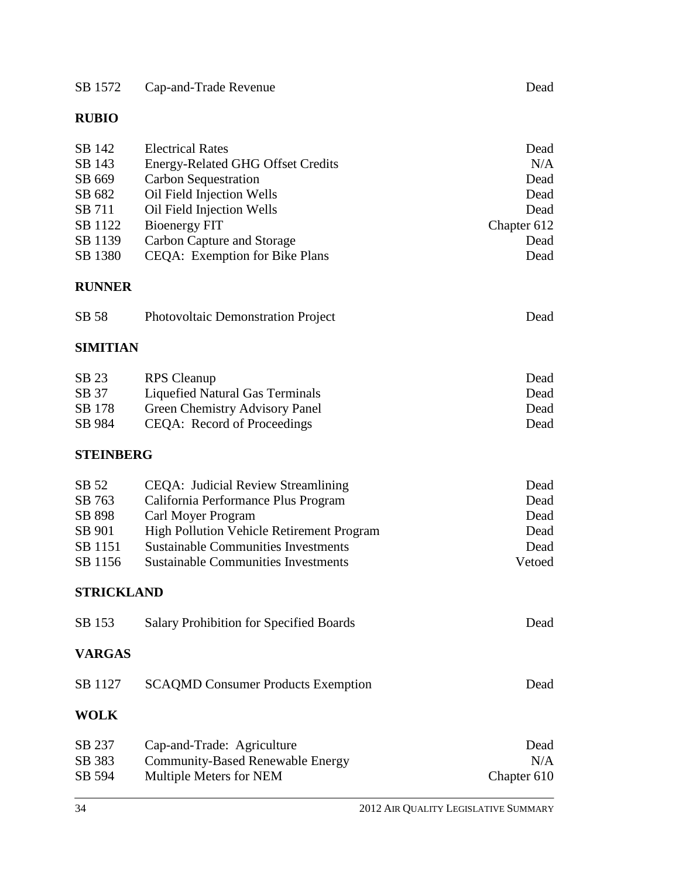| SB 1572 | Cap-and-Trade Revenue | Dead |
|---------|-----------------------|------|
|         |                       |      |

# **RUBIO**

| SB 142<br>SB 143<br>SB 669<br>SB 682<br>SB 711<br>SB 1122<br>SB 1139<br>SB 1380 | <b>Electrical Rates</b><br>Energy-Related GHG Offset Credits<br><b>Carbon Sequestration</b><br>Oil Field Injection Wells<br>Oil Field Injection Wells<br><b>Bioenergy FIT</b><br><b>Carbon Capture and Storage</b><br>CEQA: Exemption for Bike Plans | Dead<br>N/A<br>Dead<br>Dead<br>Dead<br>Chapter 612<br>Dead<br>Dead |
|---------------------------------------------------------------------------------|------------------------------------------------------------------------------------------------------------------------------------------------------------------------------------------------------------------------------------------------------|--------------------------------------------------------------------|
| <b>RUNNER</b>                                                                   |                                                                                                                                                                                                                                                      |                                                                    |
| SB 58                                                                           | <b>Photovoltaic Demonstration Project</b>                                                                                                                                                                                                            | Dead                                                               |
| <b>SIMITIAN</b>                                                                 |                                                                                                                                                                                                                                                      |                                                                    |
| SB 23<br>SB 37<br>SB 178<br>SB 984                                              | <b>RPS</b> Cleanup<br><b>Liquefied Natural Gas Terminals</b><br><b>Green Chemistry Advisory Panel</b><br>CEQA: Record of Proceedings                                                                                                                 | Dead<br>Dead<br>Dead<br>Dead                                       |
| <b>STEINBERG</b>                                                                |                                                                                                                                                                                                                                                      |                                                                    |
| SB 52<br>SB 763<br>SB 898<br>SB 901<br>SB 1151<br>SB 1156                       | CEQA: Judicial Review Streamlining<br>California Performance Plus Program<br>Carl Moyer Program<br>High Pollution Vehicle Retirement Program<br><b>Sustainable Communities Investments</b><br><b>Sustainable Communities Investments</b>             | Dead<br>Dead<br>Dead<br>Dead<br>Dead<br>Vetoed                     |
| <b>STRICKLAND</b>                                                               |                                                                                                                                                                                                                                                      |                                                                    |
| SB 153                                                                          | <b>Salary Prohibition for Specified Boards</b>                                                                                                                                                                                                       | Dead                                                               |
| <b>VARGAS</b>                                                                   |                                                                                                                                                                                                                                                      |                                                                    |
| SB 1127                                                                         | <b>SCAQMD Consumer Products Exemption</b>                                                                                                                                                                                                            | Dead                                                               |
| <b>WOLK</b>                                                                     |                                                                                                                                                                                                                                                      |                                                                    |
| SB 237<br>SB 383<br>SB 594                                                      | Cap-and-Trade: Agriculture<br><b>Community-Based Renewable Energy</b><br>Multiple Meters for NEM                                                                                                                                                     | Dead<br>N/A<br>Chapter 610                                         |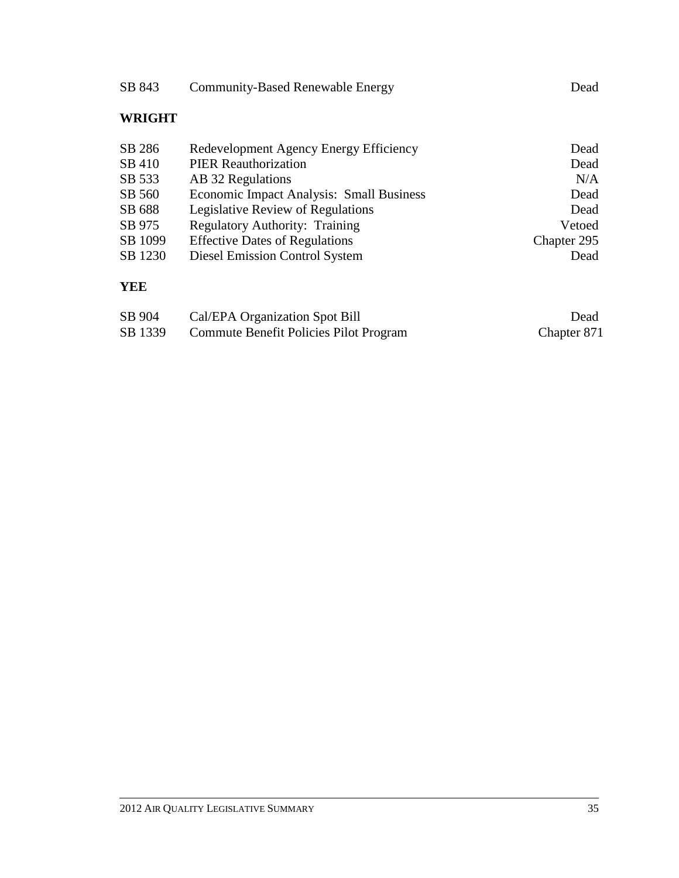| SB 843        | <b>Community-Based Renewable Energy</b>  | Dead        |
|---------------|------------------------------------------|-------------|
| <b>WRIGHT</b> |                                          |             |
| SB 286        | Redevelopment Agency Energy Efficiency   | Dead        |
| SB 410        | <b>PIER Reauthorization</b>              | Dead        |
| SB 533        | AB 32 Regulations                        | N/A         |
| SB 560        | Economic Impact Analysis: Small Business | Dead        |
| SB 688        | Legislative Review of Regulations        | Dead        |
| SB 975        | <b>Regulatory Authority: Training</b>    | Vetoed      |
| SB 1099       | <b>Effective Dates of Regulations</b>    | Chapter 295 |
| SB 1230       | <b>Diesel Emission Control System</b>    | Dead        |
| YEE           |                                          |             |
| SB 904        | Cal/EPA Organization Spot Bill           | Dead        |
| SB 1339       | Commute Benefit Policies Pilot Program   | Chapter 871 |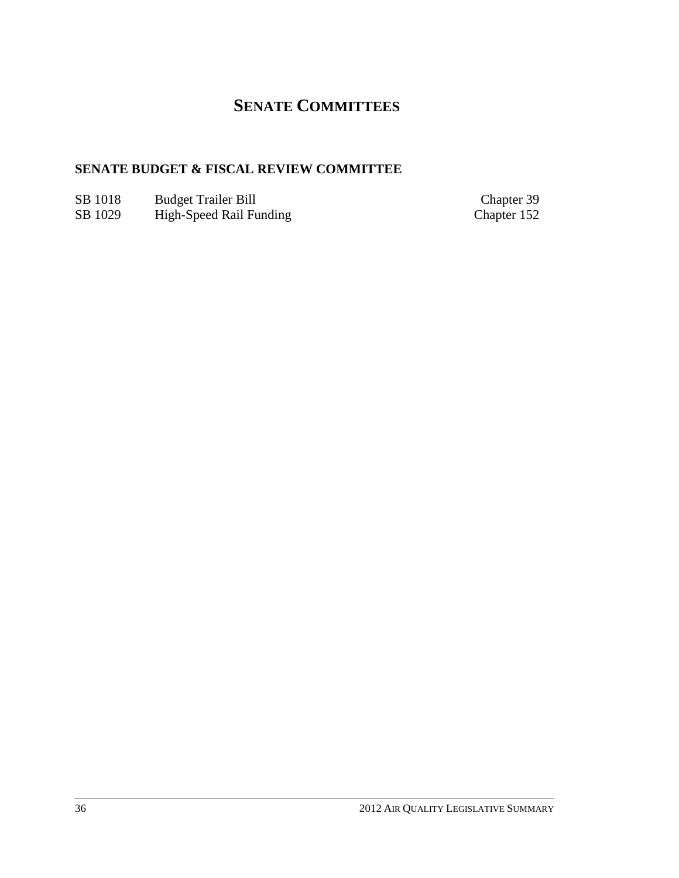# **SENATE COMMITTEES**

# **SENATE BUDGET & FISCAL REVIEW COMMITTEE**

- SB 1018 Budget Trailer Bill Chapter 39<br>
SB 1029 High-Speed Rail Funding Chapter 152
- SB 1029 High-Speed Rail Funding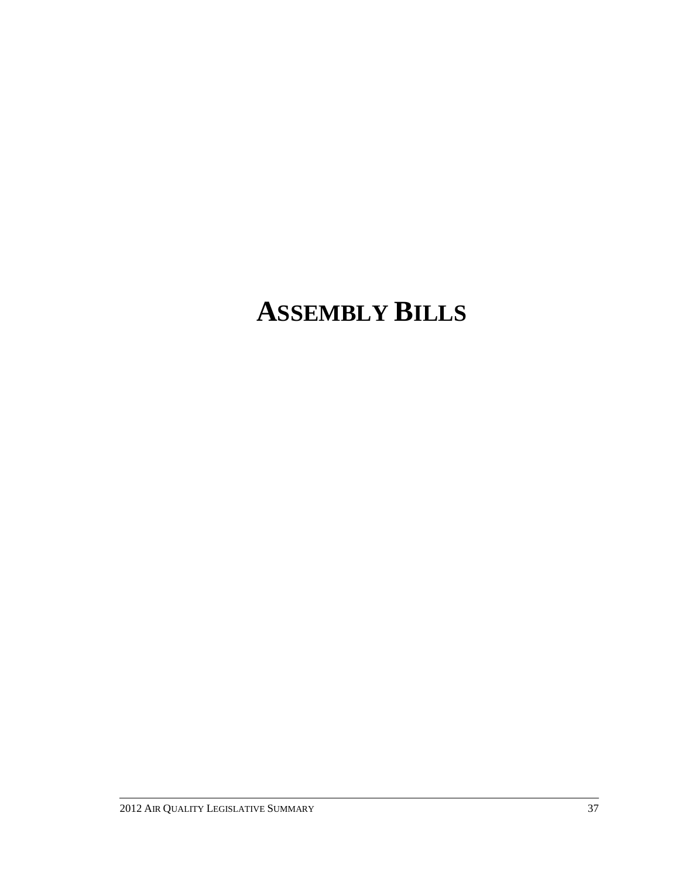# **ASSEMBLY BILLS**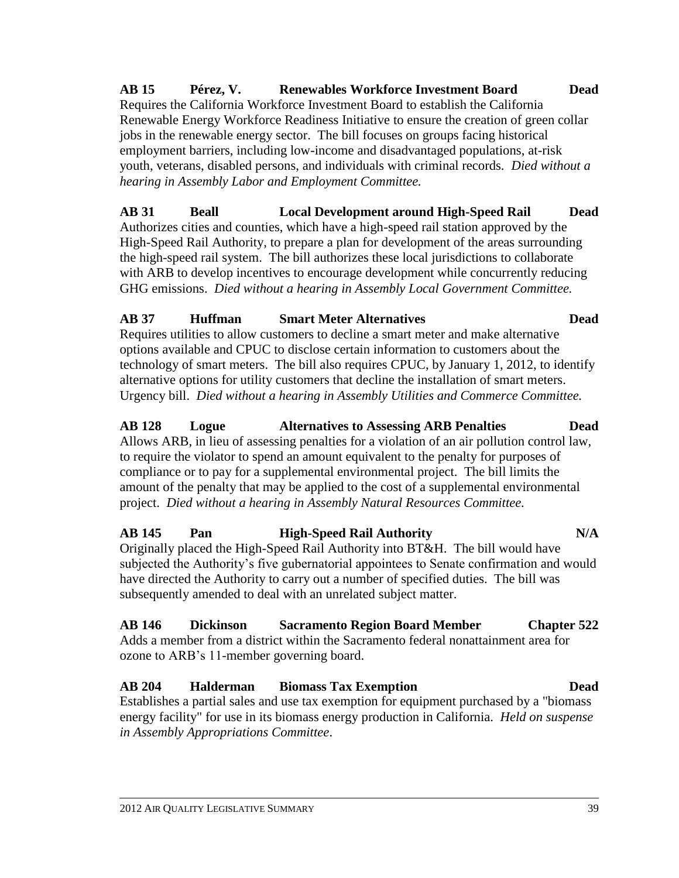**AB 15 Pérez, V. Renewables Workforce Investment Board Dead** Requires the California Workforce Investment Board to establish the California Renewable Energy Workforce Readiness Initiative to ensure the creation of green collar jobs in the renewable energy sector. The bill focuses on groups facing historical employment barriers, including low-income and disadvantaged populations, at-risk youth, veterans, disabled persons, and individuals with criminal records. *Died without a hearing in Assembly Labor and Employment Committee.*

**AB 31 Beall Local Development around High-Speed Rail Dead** Authorizes cities and counties, which have a high-speed rail station approved by the High-Speed Rail Authority, to prepare a plan for development of the areas surrounding the high-speed rail system. The bill authorizes these local jurisdictions to collaborate with ARB to develop incentives to encourage development while concurrently reducing GHG emissions. *Died without a hearing in Assembly Local Government Committee.*

### **AB 37 Huffman Smart Meter Alternatives Dead**

Requires utilities to allow customers to decline a smart meter and make alternative options available and CPUC to disclose certain information to customers about the technology of smart meters. The bill also requires CPUC, by January 1, 2012, to identify alternative options for utility customers that decline the installation of smart meters. Urgency bill. *Died without a hearing in Assembly Utilities and Commerce Committee.*

# **AB 128 Logue Alternatives to Assessing ARB Penalties Dead**

Allows ARB, in lieu of assessing penalties for a violation of an air pollution control law, to require the violator to spend an amount equivalent to the penalty for purposes of compliance or to pay for a supplemental environmental project. The bill limits the amount of the penalty that may be applied to the cost of a supplemental environmental project. *Died without a hearing in Assembly Natural Resources Committee.*

**AB 145 Pan High-Speed Rail Authority N/A** Originally placed the High-Speed Rail Authority into BT&H. The bill would have subjected the Authority's five gubernatorial appointees to Senate confirmation and would have directed the Authority to carry out a number of specified duties. The bill was subsequently amended to deal with an unrelated subject matter.

# **AB 146 Dickinson Sacramento Region Board Member Chapter 522**

Adds a member from a district within the Sacramento federal nonattainment area for ozone to ARB's 11-member governing board.

# **AB 204 Halderman Biomass Tax Exemption Dead**

Establishes a partial sales and use tax exemption for equipment purchased by a "biomass energy facility" for use in its biomass energy production in California. *Held on suspense in Assembly Appropriations Committee*.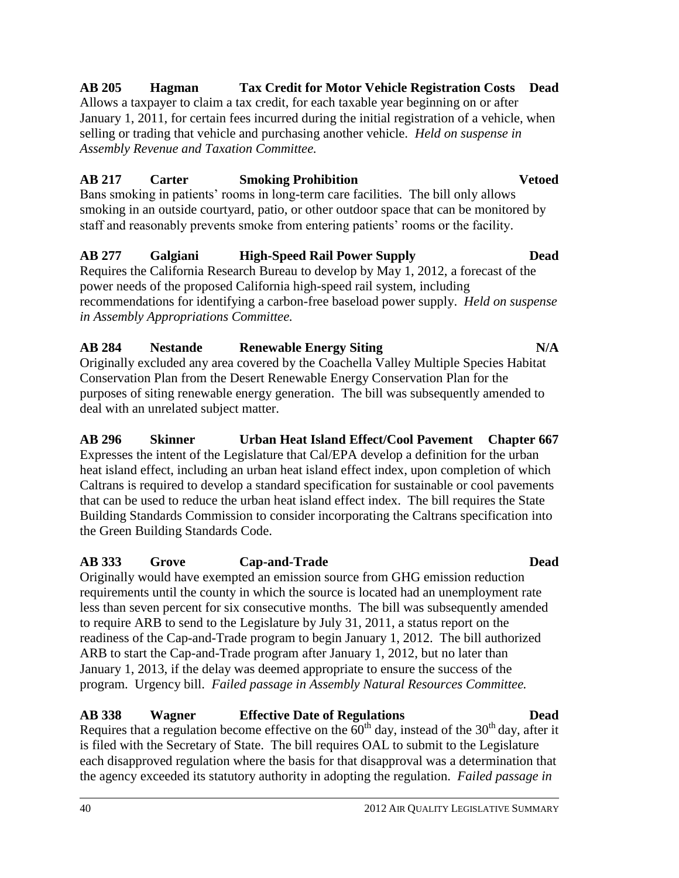### 40 2012 AIR QUALITY LEGISLATIVE SUMMARY

# requirements until the county in which the source is located had an unemployment rate less than seven percent for six consecutive months. The bill was subsequently amended

readiness of the Cap-and-Trade program to begin January 1, 2012. The bill authorized

program. Urgency bill. *Failed passage in Assembly Natural Resources Committee.*

to require ARB to send to the Legislature by July 31, 2011, a status report on the

Building Standards Commission to consider incorporating the Caltrans specification into the Green Building Standards Code. **AB 333 Grove Cap-and-Trade Dead** Originally would have exempted an emission source from GHG emission reduction

deal with an unrelated subject matter. **AB 296 Skinner Urban Heat Island Effect/Cool Pavement Chapter 667** Expresses the intent of the Legislature that Cal/EPA develop a definition for the urban heat island effect, including an urban heat island effect index, upon completion of which Caltrans is required to develop a standard specification for sustainable or cool pavements that can be used to reduce the urban heat island effect index. The bill requires the State

purposes of siting renewable energy generation. The bill was subsequently amended to

**AB 284 Nestande Renewable Energy Siting N/A** Originally excluded any area covered by the Coachella Valley Multiple Species Habitat

Conservation Plan from the Desert Renewable Energy Conservation Plan for the

**AB 277 Galgiani High-Speed Rail Power Supply Dead** Requires the California Research Bureau to develop by May 1, 2012, a forecast of the power needs of the proposed California high-speed rail system, including recommendations for identifying a carbon-free baseload power supply. *Held on suspense in Assembly Appropriations Committee.*

# **AB 217 Carter Smoking Prohibition Vetoed**

*Assembly Revenue and Taxation Committee.*

Bans smoking in patients' rooms in long-term care facilities. The bill only allows smoking in an outside courtyard, patio, or other outdoor space that can be monitored by staff and reasonably prevents smoke from entering patients' rooms or the facility.

### **AB 205 Hagman Tax Credit for Motor Vehicle Registration Costs Dead** Allows a taxpayer to claim a tax credit, for each taxable year beginning on or after

January 1, 2011, for certain fees incurred during the initial registration of a vehicle, when

# selling or trading that vehicle and purchasing another vehicle. *Held on suspense in*

ARB to start the Cap-and-Trade program after January 1, 2012, but no later than January 1, 2013, if the delay was deemed appropriate to ensure the success of the

# **AB 338 Wagner Effective Date of Regulations Dead**

Requires that a regulation become effective on the  $60<sup>th</sup>$  day, instead of the  $30<sup>th</sup>$  day, after it is filed with the Secretary of State. The bill requires OAL to submit to the Legislature each disapproved regulation where the basis for that disapproval was a determination that the agency exceeded its statutory authority in adopting the regulation. *Failed passage in*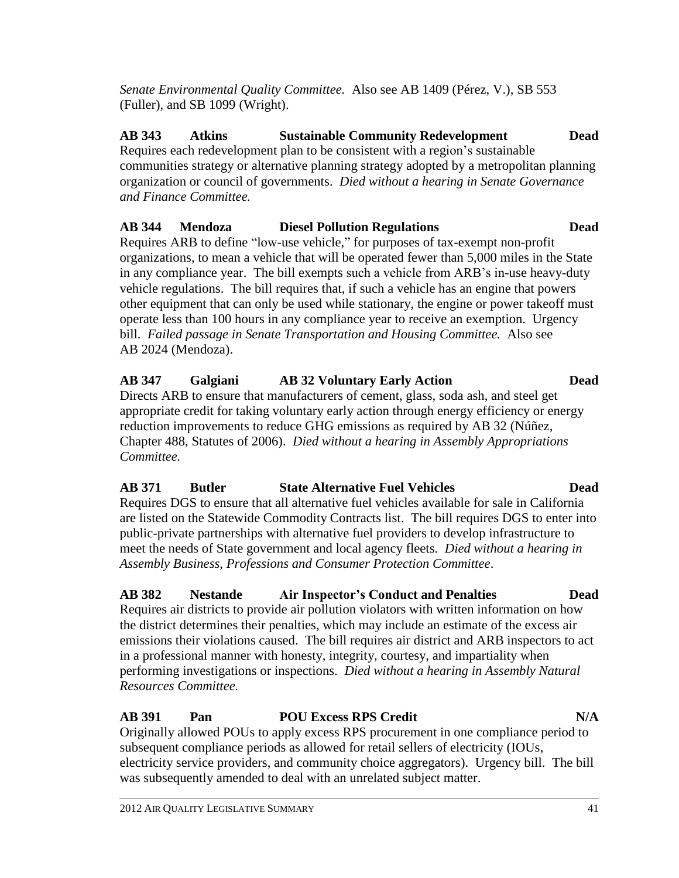*Senate Environmental Quality Committee.* Also see AB 1409 (Pérez, V.), SB 553 (Fuller), and SB 1099 (Wright).

**AB 343 Atkins Sustainable Community Redevelopment Dead** Requires each redevelopment plan to be consistent with a region's sustainable communities strategy or alternative planning strategy adopted by a metropolitan planning organization or council of governments. *Died without a hearing in Senate Governance and Finance Committee.*

### **AB 344 Mendoza Diesel Pollution Regulations Dead**

Requires ARB to define "low-use vehicle," for purposes of tax-exempt non-profit organizations, to mean a vehicle that will be operated fewer than 5,000 miles in the State in any compliance year. The bill exempts such a vehicle from ARB's in-use heavy-duty vehicle regulations. The bill requires that, if such a vehicle has an engine that powers other equipment that can only be used while stationary, the engine or power takeoff must operate less than 100 hours in any compliance year to receive an exemption. Urgency bill. *Failed passage in Senate Transportation and Housing Committee.* Also see AB 2024 (Mendoza).

### **AB 347 Galgiani AB 32 Voluntary Early Action Dead**

Directs ARB to ensure that manufacturers of cement, glass, soda ash, and steel get appropriate credit for taking voluntary early action through energy efficiency or energy reduction improvements to reduce GHG emissions as required by AB 32 (Núñez, Chapter 488, Statutes of 2006). *Died without a hearing in Assembly Appropriations Committee.*

### **AB 371 Butler State Alternative Fuel Vehicles Dead**

Requires DGS to ensure that all alternative fuel vehicles available for sale in California are listed on the Statewide Commodity Contracts list. The bill requires DGS to enter into public-private partnerships with alternative fuel providers to develop infrastructure to meet the needs of State government and local agency fleets. *Died without a hearing in Assembly Business, Professions and Consumer Protection Committee*.

# **AB 382 Nestande Air Inspector's Conduct and Penalties Dead**

Requires air districts to provide air pollution violators with written information on how the district determines their penalties, which may include an estimate of the excess air emissions their violations caused. The bill requires air district and ARB inspectors to act in a professional manner with honesty, integrity, courtesy, and impartiality when performing investigations or inspections. *Died without a hearing in Assembly Natural Resources Committee.*

### **AB 391 Pan POU Excess RPS Credit N/A**

Originally allowed POUs to apply excess RPS procurement in one compliance period to subsequent compliance periods as allowed for retail sellers of electricity (IOUs, electricity service providers, and community choice aggregators). Urgency bill. The bill was subsequently amended to deal with an unrelated subject matter.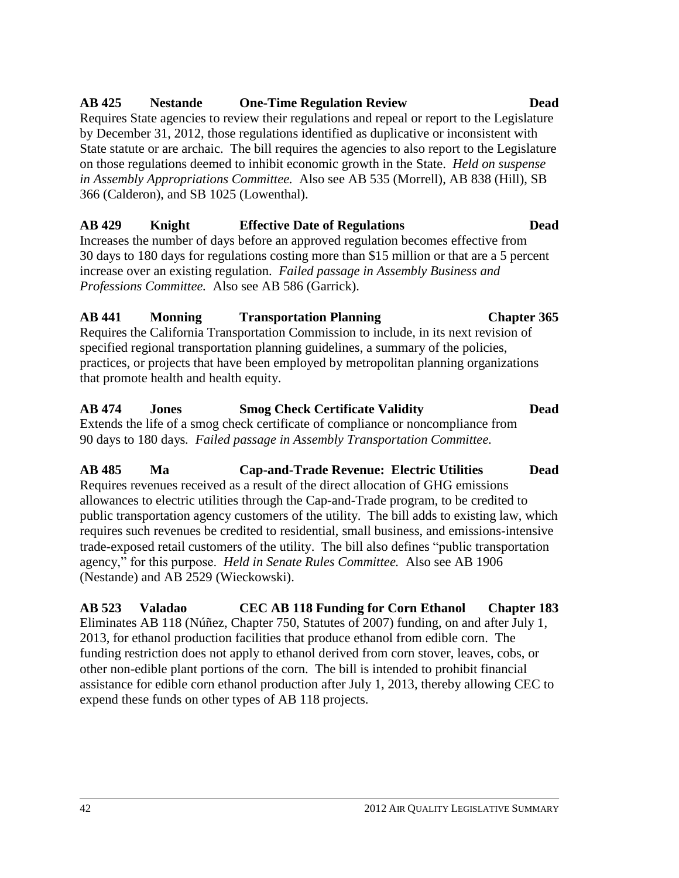# **AB 429 Knight Effective Date of Regulations Dead**

by December 31, 2012, those regulations identified as duplicative or inconsistent with State statute or are archaic. The bill requires the agencies to also report to the Legislature on those regulations deemed to inhibit economic growth in the State. *Held on suspense in Assembly Appropriations Committee.* Also see AB 535 (Morrell), AB 838 (Hill), SB

Increases the number of days before an approved regulation becomes effective from 30 days to 180 days for regulations costing more than \$15 million or that are a 5 percent increase over an existing regulation. *Failed passage in Assembly Business and Professions Committee.* Also see AB 586 (Garrick).

# **AB 441 Monning Transportation Planning Chapter 365**

Requires the California Transportation Commission to include, in its next revision of specified regional transportation planning guidelines, a summary of the policies, practices, or projects that have been employed by metropolitan planning organizations that promote health and health equity.

**AB 474 Jones Smog Check Certificate Validity Dead** Extends the life of a smog check certificate of compliance or noncompliance from 90 days to 180 days*. Failed passage in Assembly Transportation Committee.*

**AB 485 Ma Cap-and-Trade Revenue: Electric Utilities Dead** Requires revenues received as a result of the direct allocation of GHG emissions allowances to electric utilities through the Cap-and-Trade program, to be credited to public transportation agency customers of the utility. The bill adds to existing law, which requires such revenues be credited to residential, small business, and emissions-intensive trade-exposed retail customers of the utility. The bill also defines "public transportation" agency,‖ for this purpose. *Held in Senate Rules Committee.* Also see AB 1906 (Nestande) and AB 2529 (Wieckowski).

**AB 523 Valadao CEC AB 118 Funding for Corn Ethanol Chapter 183** Eliminates AB 118 (Núñez, Chapter 750, Statutes of 2007) funding, on and after July 1, 2013, for ethanol production facilities that produce ethanol from edible corn. The funding restriction does not apply to ethanol derived from corn stover, leaves, cobs, or other non-edible plant portions of the corn. The bill is intended to prohibit financial assistance for edible corn ethanol production after July 1, 2013, thereby allowing CEC to expend these funds on other types of AB 118 projects.

### **AB 425 Nestande One-Time Regulation Review Dead** Requires State agencies to review their regulations and repeal or report to the Legislature

366 (Calderon), and SB 1025 (Lowenthal).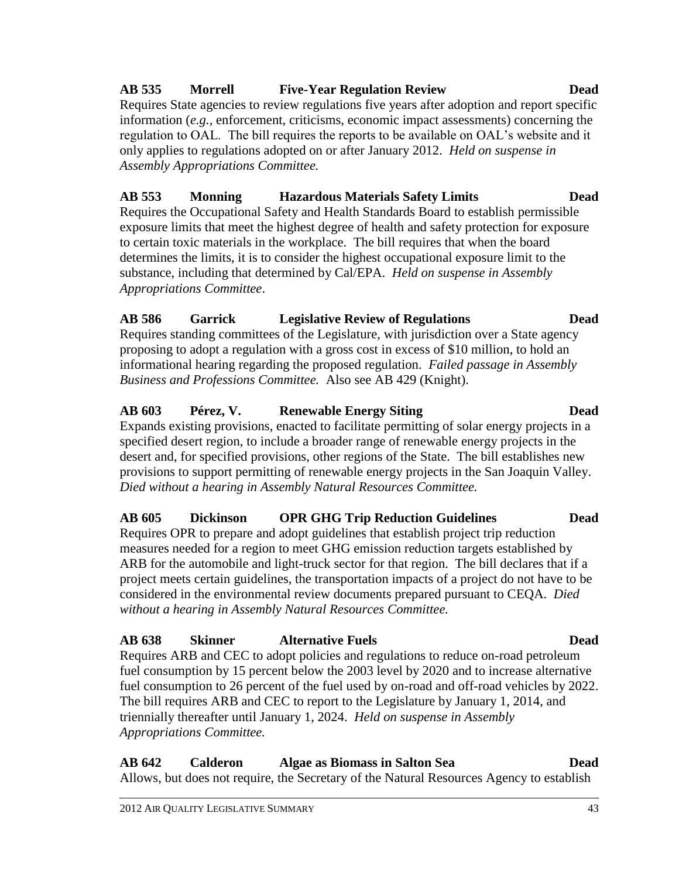# 2012 AIR QUALITY LEGISLATIVE SUMMARY 43

# **AB 535 Morrell Five-Year Regulation Review Dead**

Requires State agencies to review regulations five years after adoption and report specific information (*e.g.,* enforcement, criticisms, economic impact assessments) concerning the regulation to OAL. The bill requires the reports to be available on OAL's website and it only applies to regulations adopted on or after January 2012. *Held on suspense in Assembly Appropriations Committee.*

# **AB 553 Monning Hazardous Materials Safety Limits Dead**

Requires the Occupational Safety and Health Standards Board to establish permissible exposure limits that meet the highest degree of health and safety protection for exposure to certain toxic materials in the workplace. The bill requires that when the board determines the limits, it is to consider the highest occupational exposure limit to the substance, including that determined by Cal/EPA. *Held on suspense in Assembly Appropriations Committee*.

# **AB 586 Garrick Legislative Review of Regulations Dead**

Requires standing committees of the Legislature, with jurisdiction over a State agency proposing to adopt a regulation with a gross cost in excess of \$10 million, to hold an informational hearing regarding the proposed regulation. *Failed passage in Assembly Business and Professions Committee.* Also see AB 429 (Knight).

### **AB 603 Pérez, V. Renewable Energy Siting Dead**

Expands existing provisions, enacted to facilitate permitting of solar energy projects in a specified desert region, to include a broader range of renewable energy projects in the desert and, for specified provisions, other regions of the State. The bill establishes new provisions to support permitting of renewable energy projects in the San Joaquin Valley. *Died without a hearing in Assembly Natural Resources Committee.*

# **AB 605 Dickinson OPR GHG Trip Reduction Guidelines Dead**

Requires OPR to prepare and adopt guidelines that establish project trip reduction measures needed for a region to meet GHG emission reduction targets established by ARB for the automobile and light-truck sector for that region. The bill declares that if a project meets certain guidelines, the transportation impacts of a project do not have to be considered in the environmental review documents prepared pursuant to CEQA. *Died without a hearing in Assembly Natural Resources Committee.*

### **AB 638 Skinner Alternative Fuels Dead**

Requires ARB and CEC to adopt policies and regulations to reduce on-road petroleum fuel consumption by 15 percent below the 2003 level by 2020 and to increase alternative fuel consumption to 26 percent of the fuel used by on-road and off-road vehicles by 2022. The bill requires ARB and CEC to report to the Legislature by January 1, 2014, and triennially thereafter until January 1, 2024. *Held on suspense in Assembly Appropriations Committee.*

**AB 642 Calderon Algae as Biomass in Salton Sea Dead** Allows, but does not require, the Secretary of the Natural Resources Agency to establish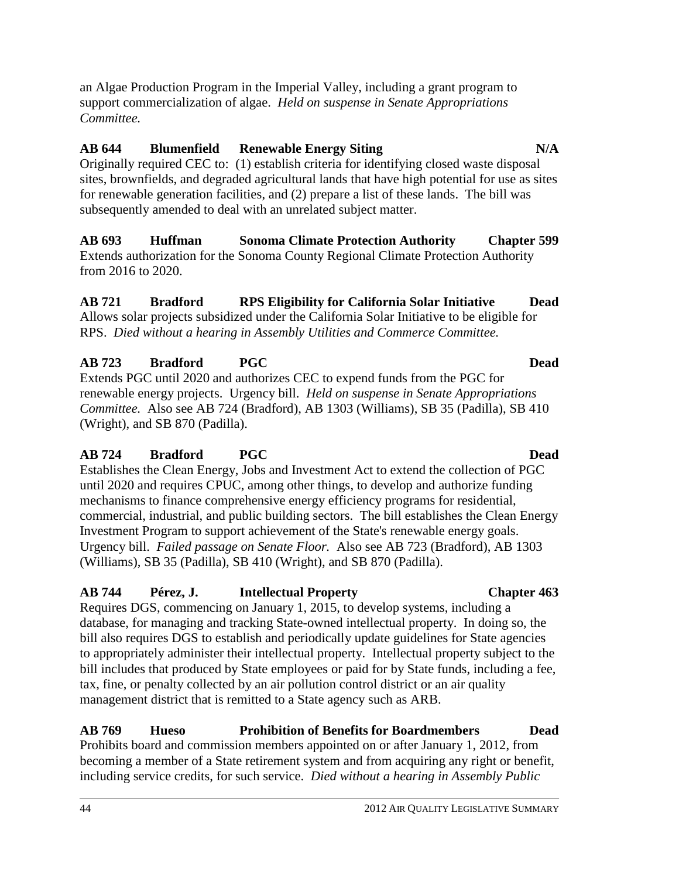an Algae Production Program in the Imperial Valley, including a grant program to support commercialization of algae. *Held on suspense in Senate Appropriations Committee.*

### **AB 644 Blumenfield Renewable Energy Siting N/A**

Originally required CEC to: (1) establish criteria for identifying closed waste disposal sites, brownfields, and degraded agricultural lands that have high potential for use as sites for renewable generation facilities, and (2) prepare a list of these lands. The bill was subsequently amended to deal with an unrelated subject matter.

**AB 693 Huffman Sonoma Climate Protection Authority Chapter 599** Extends authorization for the Sonoma County Regional Climate Protection Authority from 2016 to 2020.

### **AB 721 Bradford RPS Eligibility for California Solar Initiative Dead** Allows solar projects subsidized under the California Solar Initiative to be eligible for RPS. *Died without a hearing in Assembly Utilities and Commerce Committee.*

### **AB 723 Bradford PGC Dead**

Extends PGC until 2020 and authorizes CEC to expend funds from the PGC for renewable energy projects. Urgency bill. *Held on suspense in Senate Appropriations Committee.* Also see AB 724 (Bradford), AB 1303 (Williams), SB 35 (Padilla), SB 410 (Wright), and SB 870 (Padilla).

### **AB 724 Bradford PGC Dead**

Establishes the Clean Energy, Jobs and Investment Act to extend the collection of PGC until 2020 and requires CPUC, among other things, to develop and authorize funding mechanisms to finance comprehensive energy efficiency programs for residential, commercial, industrial, and public building sectors. The bill establishes the Clean Energy Investment Program to support achievement of the State's renewable energy goals. Urgency bill. *Failed passage on Senate Floor.* Also see AB 723 (Bradford), AB 1303 (Williams), SB 35 (Padilla), SB 410 (Wright), and SB 870 (Padilla).

### **AB 744 Pérez, J. Intellectual Property Chapter 463**

Requires DGS, commencing on January 1, 2015, to develop systems, including a database, for managing and tracking State-owned intellectual property. In doing so, the bill also requires DGS to establish and periodically update guidelines for State agencies to appropriately administer their intellectual property. Intellectual property subject to the bill includes that produced by State employees or paid for by State funds, including a fee, tax, fine, or penalty collected by an air pollution control district or an air quality management district that is remitted to a State agency such as ARB.

### **AB 769 Hueso Prohibition of Benefits for Boardmembers Dead** Prohibits board and commission members appointed on or after January 1, 2012, from becoming a member of a State retirement system and from acquiring any right or benefit, including service credits, for such service. *Died without a hearing in Assembly Public*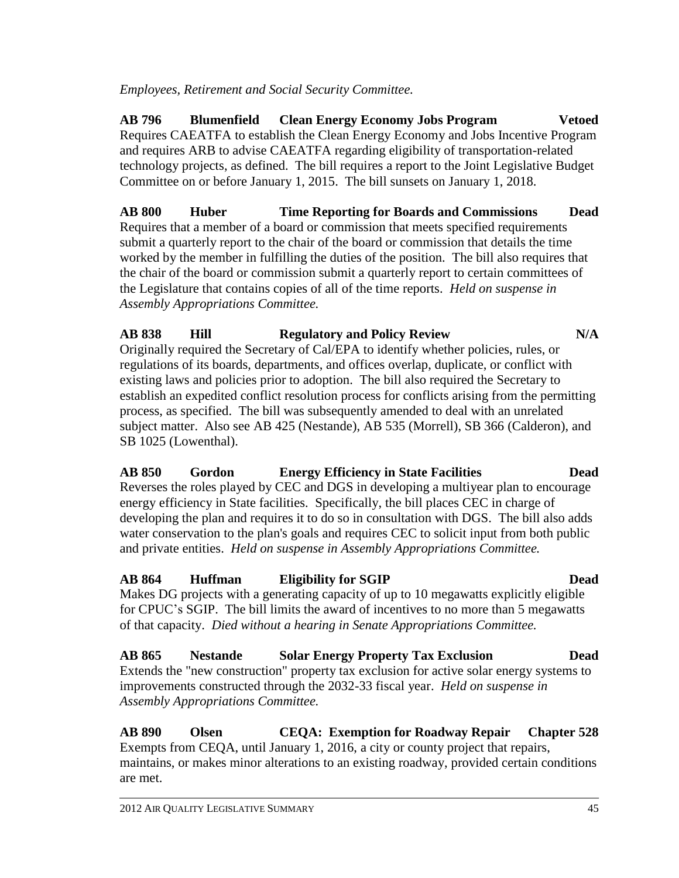*Employees, Retirement and Social Security Committee.*

**AB 796 Blumenfield Clean Energy Economy Jobs Program Vetoed** Requires CAEATFA to establish the Clean Energy Economy and Jobs Incentive Program and requires ARB to advise CAEATFA regarding eligibility of transportation-related technology projects, as defined. The bill requires a report to the Joint Legislative Budget Committee on or before January 1, 2015. The bill sunsets on January 1, 2018.

**AB 800 Huber Time Reporting for Boards and Commissions Dead** Requires that a member of a board or commission that meets specified requirements submit a quarterly report to the chair of the board or commission that details the time worked by the member in fulfilling the duties of the position. The bill also requires that the chair of the board or commission submit a quarterly report to certain committees of the Legislature that contains copies of all of the time reports. *Held on suspense in Assembly Appropriations Committee.*

### **AB 838 Hill Regulatory and Policy Review N/A**

Originally required the Secretary of Cal/EPA to identify whether policies, rules, or regulations of its boards, departments, and offices overlap, duplicate, or conflict with existing laws and policies prior to adoption. The bill also required the Secretary to establish an expedited conflict resolution process for conflicts arising from the permitting process, as specified. The bill was subsequently amended to deal with an unrelated subject matter. Also see AB 425 (Nestande), AB 535 (Morrell), SB 366 (Calderon), and SB 1025 (Lowenthal).

**AB 850 Gordon Energy Efficiency in State Facilities Dead** Reverses the roles played by CEC and DGS in developing a multiyear plan to encourage energy efficiency in State facilities. Specifically, the bill places CEC in charge of developing the plan and requires it to do so in consultation with DGS. The bill also adds water conservation to the plan's goals and requires CEC to solicit input from both public and private entities. *Held on suspense in Assembly Appropriations Committee.*

### **AB 864 Huffman Eligibility for SGIP Dead**

Makes DG projects with a generating capacity of up to 10 megawatts explicitly eligible for CPUC's SGIP. The bill limits the award of incentives to no more than 5 megawatts of that capacity. *Died without a hearing in Senate Appropriations Committee.*

### **AB 865 Nestande Solar Energy Property Tax Exclusion Dead** Extends the "new construction" property tax exclusion for active solar energy systems to improvements constructed through the 2032-33 fiscal year. *Held on suspense in Assembly Appropriations Committee.*

**AB 890 Olsen CEQA: Exemption for Roadway Repair Chapter 528** Exempts from CEQA, until January 1, 2016, a city or county project that repairs, maintains, or makes minor alterations to an existing roadway, provided certain conditions are met.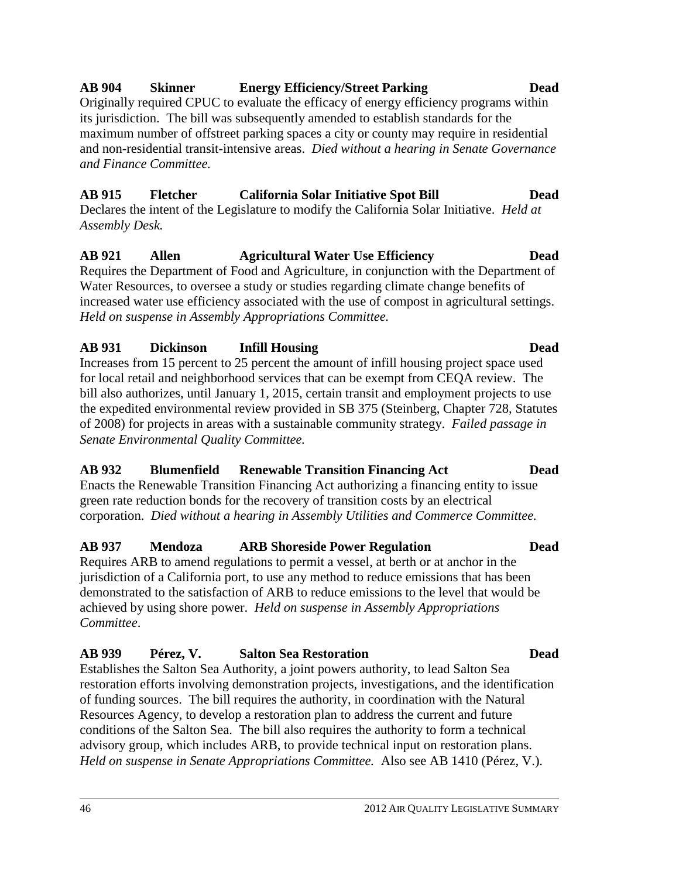### 46 2012 AIR QUALITY LEGISLATIVE SUMMARY

# its jurisdiction. The bill was subsequently amended to establish standards for the

maximum number of offstreet parking spaces a city or county may require in residential and non-residential transit-intensive areas. *Died without a hearing in Senate Governance and Finance Committee.*

Originally required CPUC to evaluate the efficacy of energy efficiency programs within

# **AB 915 Fletcher California Solar Initiative Spot Bill Dead**

Declares the intent of the Legislature to modify the California Solar Initiative. *Held at Assembly Desk.*

### **AB 921 Allen Agricultural Water Use Efficiency Dead** Requires the Department of Food and Agriculture, in conjunction with the Department of Water Resources, to oversee a study or studies regarding climate change benefits of increased water use efficiency associated with the use of compost in agricultural settings. *Held on suspense in Assembly Appropriations Committee.*

# **AB 931 Dickinson Infill Housing Dead**

Increases from 15 percent to 25 percent the amount of infill housing project space used for local retail and neighborhood services that can be exempt from CEQA review. The bill also authorizes, until January 1, 2015, certain transit and employment projects to use the expedited environmental review provided in SB 375 (Steinberg, Chapter 728, Statutes of 2008) for projects in areas with a sustainable community strategy. *Failed passage in Senate Environmental Quality Committee.*

# **AB 932 Blumenfield Renewable Transition Financing Act Dead**

Enacts the Renewable Transition Financing Act authorizing a financing entity to issue green rate reduction bonds for the recovery of transition costs by an electrical corporation. *Died without a hearing in Assembly Utilities and Commerce Committee.*

# **AB 937 Mendoza ARB Shoreside Power Regulation Dead**

Requires ARB to amend regulations to permit a vessel, at berth or at anchor in the jurisdiction of a California port, to use any method to reduce emissions that has been demonstrated to the satisfaction of ARB to reduce emissions to the level that would be achieved by using shore power. *Held on suspense in Assembly Appropriations Committee*.

# **AB 939 Pérez, V. Salton Sea Restoration Dead**

Establishes the Salton Sea Authority, a joint powers authority, to lead Salton Sea restoration efforts involving demonstration projects, investigations, and the identification of funding sources. The bill requires the authority, in coordination with the Natural Resources Agency, to develop a restoration plan to address the current and future conditions of the Salton Sea. The bill also requires the authority to form a technical advisory group, which includes ARB, to provide technical input on restoration plans. *Held on suspense in Senate Appropriations Committee.* Also see AB 1410 (Pérez, V.).

# **AB 904 Skinner Energy Efficiency/Street Parking Dead**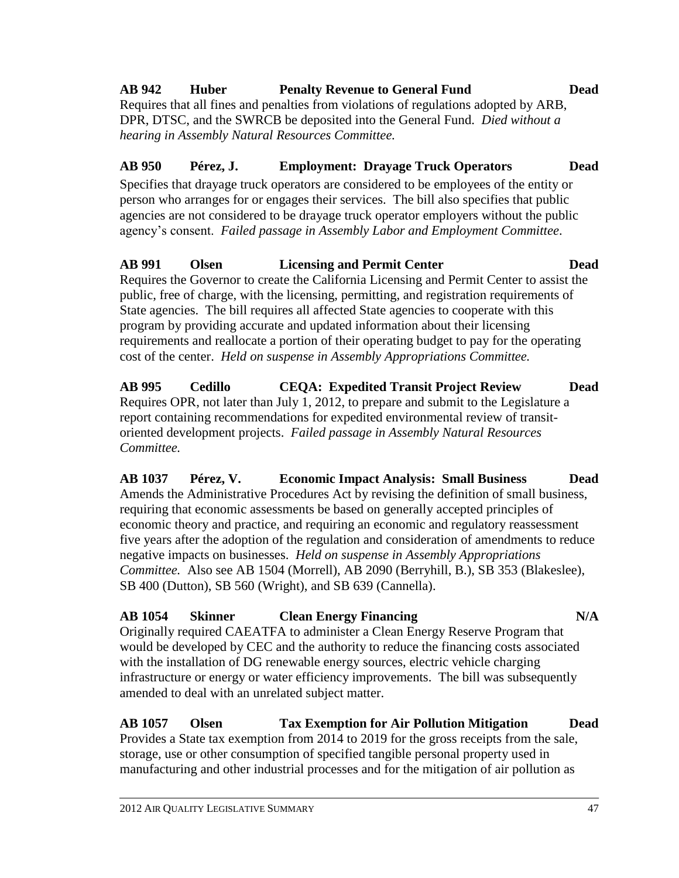# **AB 942 Huber Penalty Revenue to General Fund Dead**

Requires that all fines and penalties from violations of regulations adopted by ARB, DPR, DTSC, and the SWRCB be deposited into the General Fund. *Died without a hearing in Assembly Natural Resources Committee.*

### **AB 950 Pérez, J. Employment: Drayage Truck Operators Dead**

Specifies that drayage truck operators are considered to be employees of the entity or person who arranges for or engages their services. The bill also specifies that public agencies are not considered to be drayage truck operator employers without the public agency's consent. *Failed passage in Assembly Labor and Employment Committee*.

# **AB 991 Olsen Licensing and Permit Center Dead**

Requires the Governor to create the California Licensing and Permit Center to assist the public, free of charge, with the licensing, permitting, and registration requirements of State agencies. The bill requires all affected State agencies to cooperate with this program by providing accurate and updated information about their licensing requirements and reallocate a portion of their operating budget to pay for the operating cost of the center. *Held on suspense in Assembly Appropriations Committee.*

**AB 995 Cedillo CEQA: Expedited Transit Project Review Dead** Requires OPR, not later than July 1, 2012, to prepare and submit to the Legislature a report containing recommendations for expedited environmental review of transitoriented development projects. *Failed passage in Assembly Natural Resources Committee.*

**AB 1037 Pérez, V. Economic Impact Analysis: Small Business Dead** Amends the Administrative Procedures Act by revising the definition of small business, requiring that economic assessments be based on generally accepted principles of economic theory and practice, and requiring an economic and regulatory reassessment five years after the adoption of the regulation and consideration of amendments to reduce negative impacts on businesses. *Held on suspense in Assembly Appropriations Committee.* Also see AB 1504 (Morrell), AB 2090 (Berryhill, B.), SB 353 (Blakeslee), SB 400 (Dutton), SB 560 (Wright), and SB 639 (Cannella).

# **AB 1054 Skinner Clean Energy Financing N/A**

Originally required CAEATFA to administer a Clean Energy Reserve Program that would be developed by CEC and the authority to reduce the financing costs associated with the installation of DG renewable energy sources, electric vehicle charging infrastructure or energy or water efficiency improvements. The bill was subsequently amended to deal with an unrelated subject matter.

# **AB 1057 Olsen Tax Exemption for Air Pollution Mitigation Dead** Provides a State tax exemption from 2014 to 2019 for the gross receipts from the sale,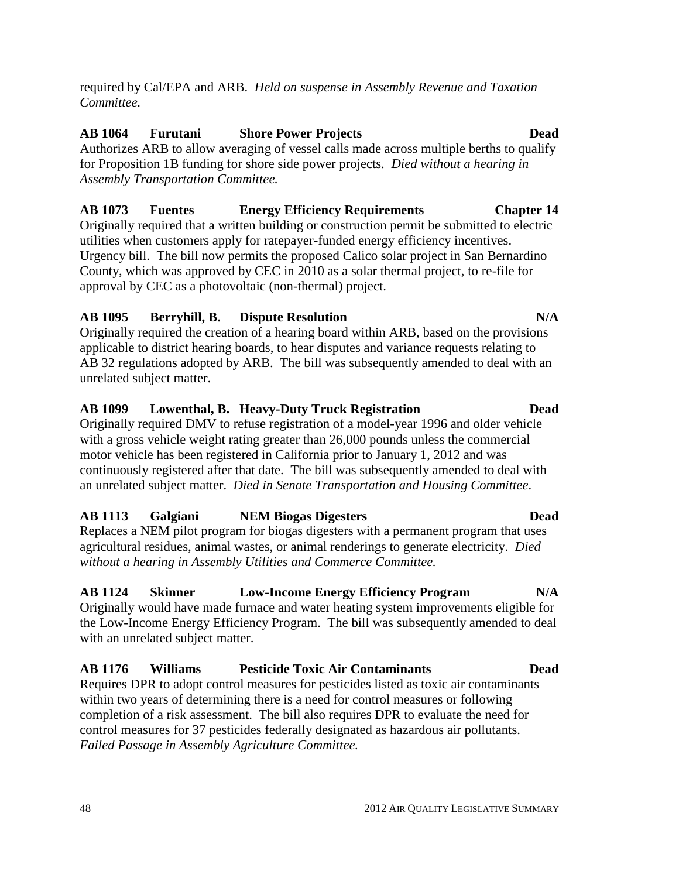required by Cal/EPA and ARB. *Held on suspense in Assembly Revenue and Taxation Committee.*

### **AB 1064 Furutani Shore Power Projects Dead**

Authorizes ARB to allow averaging of vessel calls made across multiple berths to qualify for Proposition 1B funding for shore side power projects. *Died without a hearing in Assembly Transportation Committee.*

### **AB 1073 Fuentes Energy Efficiency Requirements Chapter 14**

Originally required that a written building or construction permit be submitted to electric utilities when customers apply for ratepayer-funded energy efficiency incentives. Urgency bill. The bill now permits the proposed Calico solar project in San Bernardino County, which was approved by CEC in 2010 as a solar thermal project, to re-file for approval by CEC as a photovoltaic (non-thermal) project.

### **AB 1095 Berryhill, B. Dispute Resolution N/A**

Originally required the creation of a hearing board within ARB, based on the provisions applicable to district hearing boards, to hear disputes and variance requests relating to AB 32 regulations adopted by ARB. The bill was subsequently amended to deal with an unrelated subject matter.

### **AB 1099 Lowenthal, B. Heavy-Duty Truck Registration Dead**

Originally required DMV to refuse registration of a model-year 1996 and older vehicle with a gross vehicle weight rating greater than 26,000 pounds unless the commercial motor vehicle has been registered in California prior to January 1, 2012 and was continuously registered after that date. The bill was subsequently amended to deal with an unrelated subject matter. *Died in Senate Transportation and Housing Committee*.

### **AB 1113 Galgiani NEM Biogas Digesters Dead**

Replaces a NEM pilot program for biogas digesters with a permanent program that uses agricultural residues, animal wastes, or animal renderings to generate electricity. *Died without a hearing in Assembly Utilities and Commerce Committee.*

### **AB 1124 Skinner Low-Income Energy Efficiency Program N/A**

Originally would have made furnace and water heating system improvements eligible for the Low-Income Energy Efficiency Program. The bill was subsequently amended to deal with an unrelated subject matter.

### **AB 1176 Williams Pesticide Toxic Air Contaminants Dead**

Requires DPR to adopt control measures for pesticides listed as toxic air contaminants within two years of determining there is a need for control measures or following completion of a risk assessment. The bill also requires DPR to evaluate the need for control measures for 37 pesticides federally designated as hazardous air pollutants. *Failed Passage in Assembly Agriculture Committee.*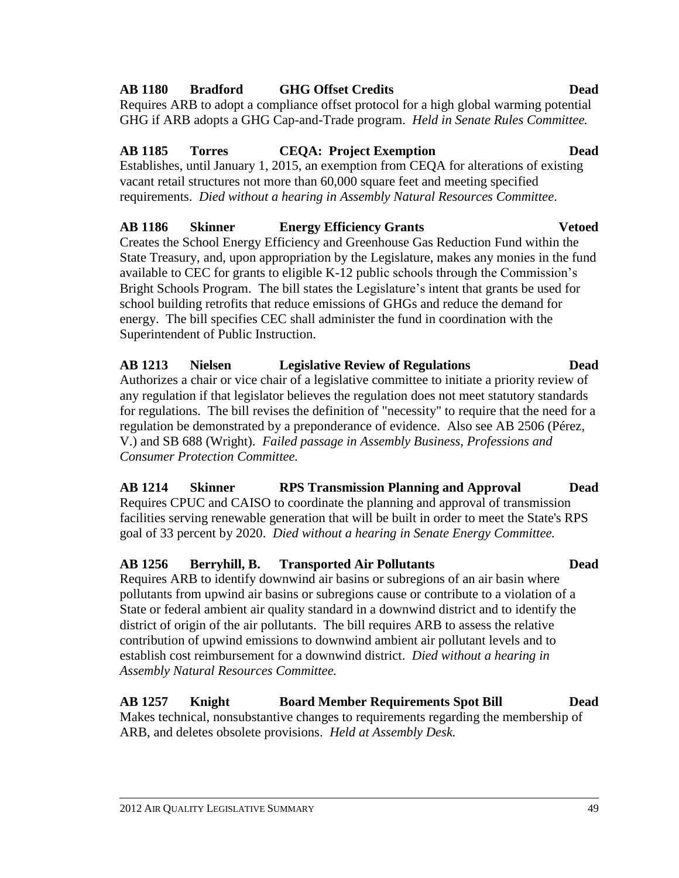### 2012 AIR QUALITY LEGISLATIVE SUMMARY 49

# **AB 1180 Bradford GHG Offset Credits Dead**

Requires ARB to adopt a compliance offset protocol for a high global warming potential GHG if ARB adopts a GHG Cap-and-Trade program. *Held in Senate Rules Committee.*

# **AB 1185 Torres CEQA: Project Exemption Dead**

Establishes, until January 1, 2015, an exemption from CEQA for alterations of existing vacant retail structures not more than 60,000 square feet and meeting specified requirements. *Died without a hearing in Assembly Natural Resources Committee*.

# **AB 1186 Skinner Energy Efficiency Grants Vetoed**

Creates the School Energy Efficiency and Greenhouse Gas Reduction Fund within the State Treasury, and, upon appropriation by the Legislature, makes any monies in the fund available to CEC for grants to eligible K-12 public schools through the Commission's Bright Schools Program. The bill states the Legislature's intent that grants be used for school building retrofits that reduce emissions of GHGs and reduce the demand for energy. The bill specifies CEC shall administer the fund in coordination with the Superintendent of Public Instruction.

# **AB 1213 Nielsen Legislative Review of Regulations Dead**

Authorizes a chair or vice chair of a legislative committee to initiate a priority review of any regulation if that legislator believes the regulation does not meet statutory standards for regulations. The bill revises the definition of "necessity" to require that the need for a regulation be demonstrated by a preponderance of evidence. Also see AB 2506 (Pérez, V.) and SB 688 (Wright). *Failed passage in Assembly Business, Professions and Consumer Protection Committee.*

**AB 1214 Skinner RPS Transmission Planning and Approval Dead** Requires CPUC and CAISO to coordinate the planning and approval of transmission facilities serving renewable generation that will be built in order to meet the State's RPS goal of 33 percent by 2020. *Died without a hearing in Senate Energy Committee.*

# **AB 1256 Berryhill, B. Transported Air Pollutants Dead**

Requires ARB to identify downwind air basins or subregions of an air basin where pollutants from upwind air basins or subregions cause or contribute to a violation of a State or federal ambient air quality standard in a downwind district and to identify the district of origin of the air pollutants. The bill requires ARB to assess the relative contribution of upwind emissions to downwind ambient air pollutant levels and to establish cost reimbursement for a downwind district. *Died without a hearing in Assembly Natural Resources Committee.*

**AB 1257 Knight Board Member Requirements Spot Bill Dead** Makes technical, nonsubstantive changes to requirements regarding the membership of ARB, and deletes obsolete provisions. *Held at Assembly Desk.*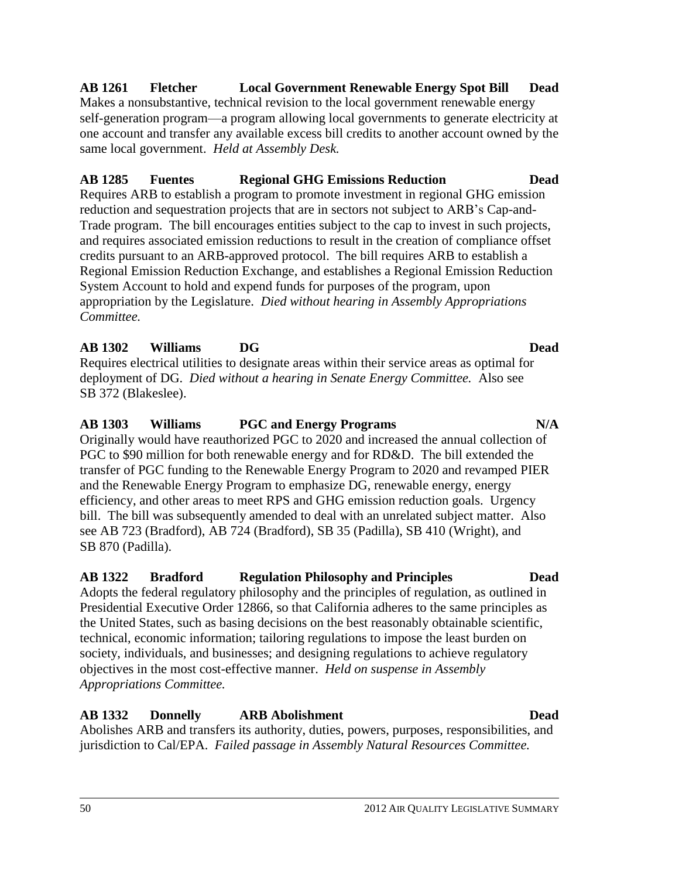### 50 2012 AIR QUALITY LEGISLATIVE SUMMARY

### **AB 1261 Fletcher Local Government Renewable Energy Spot Bill Dead** Makes a nonsubstantive, technical revision to the local government renewable energy self-generation program—a program allowing local governments to generate electricity at one account and transfer any available excess bill credits to another account owned by the same local government. *Held at Assembly Desk.*

**AB 1285 Fuentes Regional GHG Emissions Reduction Dead**

### Requires ARB to establish a program to promote investment in regional GHG emission reduction and sequestration projects that are in sectors not subject to ARB's Cap-and-Trade program. The bill encourages entities subject to the cap to invest in such projects, and requires associated emission reductions to result in the creation of compliance offset credits pursuant to an ARB-approved protocol. The bill requires ARB to establish a Regional Emission Reduction Exchange, and establishes a Regional Emission Reduction System Account to hold and expend funds for purposes of the program, upon appropriation by the Legislature. *Died without hearing in Assembly Appropriations*

*Committee.*

**AB 1302 Williams DG Dead** Requires electrical utilities to designate areas within their service areas as optimal for deployment of DG. *Died without a hearing in Senate Energy Committee.* Also see SB 372 (Blakeslee).

# **AB 1303 Williams PGC and Energy Programs N/A**

### Originally would have reauthorized PGC to 2020 and increased the annual collection of PGC to \$90 million for both renewable energy and for RD&D. The bill extended the transfer of PGC funding to the Renewable Energy Program to 2020 and revamped PIER and the Renewable Energy Program to emphasize DG, renewable energy, energy efficiency, and other areas to meet RPS and GHG emission reduction goals. Urgency bill. The bill was subsequently amended to deal with an unrelated subject matter. Also see AB 723 (Bradford), AB 724 (Bradford), SB 35 (Padilla), SB 410 (Wright), and SB 870 (Padilla).

# **AB 1322 Bradford Regulation Philosophy and Principles Dead**

Adopts the federal regulatory philosophy and the principles of regulation, as outlined in Presidential Executive Order 12866, so that California adheres to the same principles as the United States, such as basing decisions on the best reasonably obtainable scientific, technical, economic information; tailoring regulations to impose the least burden on society, individuals, and businesses; and designing regulations to achieve regulatory objectives in the most cost-effective manner. *Held on suspense in Assembly Appropriations Committee.*

### **AB 1332 Donnelly ARB Abolishment Dead** Abolishes ARB and transfers its authority, duties, powers, purposes, responsibilities, and jurisdiction to Cal/EPA. *Failed passage in Assembly Natural Resources Committee.*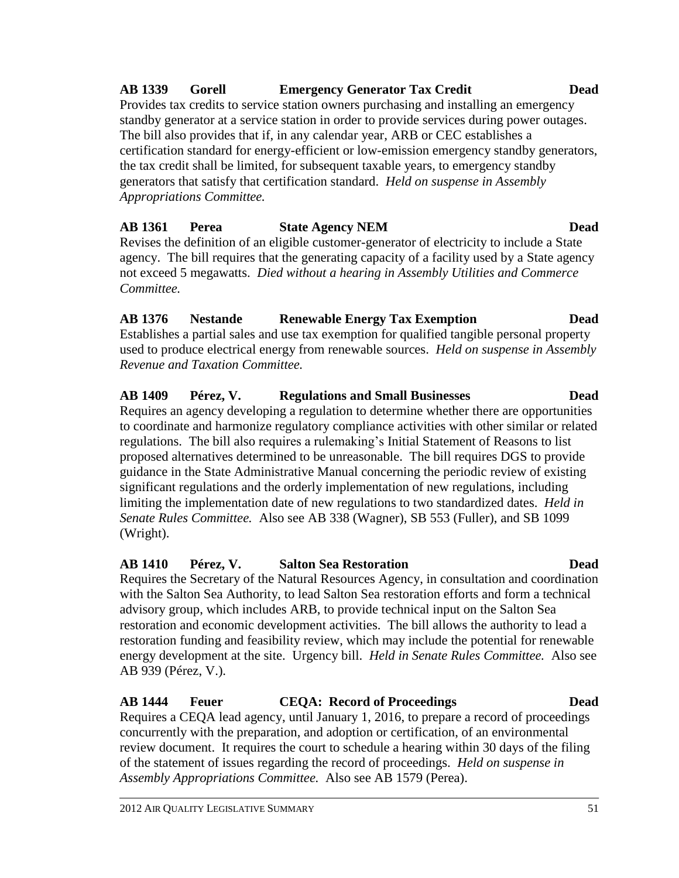### **AB 1339 Gorell Emergency Generator Tax Credit Dead**

Provides tax credits to service station owners purchasing and installing an emergency standby generator at a service station in order to provide services during power outages. The bill also provides that if, in any calendar year, ARB or CEC establishes a certification standard for energy-efficient or low-emission emergency standby generators, the tax credit shall be limited, for subsequent taxable years, to emergency standby generators that satisfy that certification standard. *Held on suspense in Assembly Appropriations Committee.*

### **AB 1361 Perea State Agency NEM Dead**

Revises the definition of an eligible customer-generator of electricity to include a State agency. The bill requires that the generating capacity of a facility used by a State agency not exceed 5 megawatts. *Died without a hearing in Assembly Utilities and Commerce Committee.*

# **AB 1376 Nestande Renewable Energy Tax Exemption Dead**

Establishes a partial sales and use tax exemption for qualified tangible personal property used to produce electrical energy from renewable sources. *Held on suspense in Assembly Revenue and Taxation Committee.*

# **AB 1409 Pérez, V. Regulations and Small Businesses Dead**

Requires an agency developing a regulation to determine whether there are opportunities to coordinate and harmonize regulatory compliance activities with other similar or related regulations. The bill also requires a rulemaking's Initial Statement of Reasons to list proposed alternatives determined to be unreasonable. The bill requires DGS to provide guidance in the State Administrative Manual concerning the periodic review of existing significant regulations and the orderly implementation of new regulations, including limiting the implementation date of new regulations to two standardized dates. *Held in Senate Rules Committee.* Also see AB 338 (Wagner), SB 553 (Fuller), and SB 1099 (Wright).

### **AB 1410 Pérez, V. Salton Sea Restoration Dead**

Requires the Secretary of the Natural Resources Agency, in consultation and coordination with the Salton Sea Authority, to lead Salton Sea restoration efforts and form a technical advisory group, which includes ARB, to provide technical input on the Salton Sea restoration and economic development activities. The bill allows the authority to lead a restoration funding and feasibility review, which may include the potential for renewable energy development at the site. Urgency bill. *Held in Senate Rules Committee.* Also see AB 939 (Pérez, V.).

### **AB 1444 Feuer CEQA: Record of Proceedings Dead**

Requires a CEQA lead agency, until January 1, 2016, to prepare a record of proceedings concurrently with the preparation, and adoption or certification, of an environmental review document. It requires the court to schedule a hearing within 30 days of the filing of the statement of issues regarding the record of proceedings. *Held on suspense in Assembly Appropriations Committee.* Also see AB 1579 (Perea).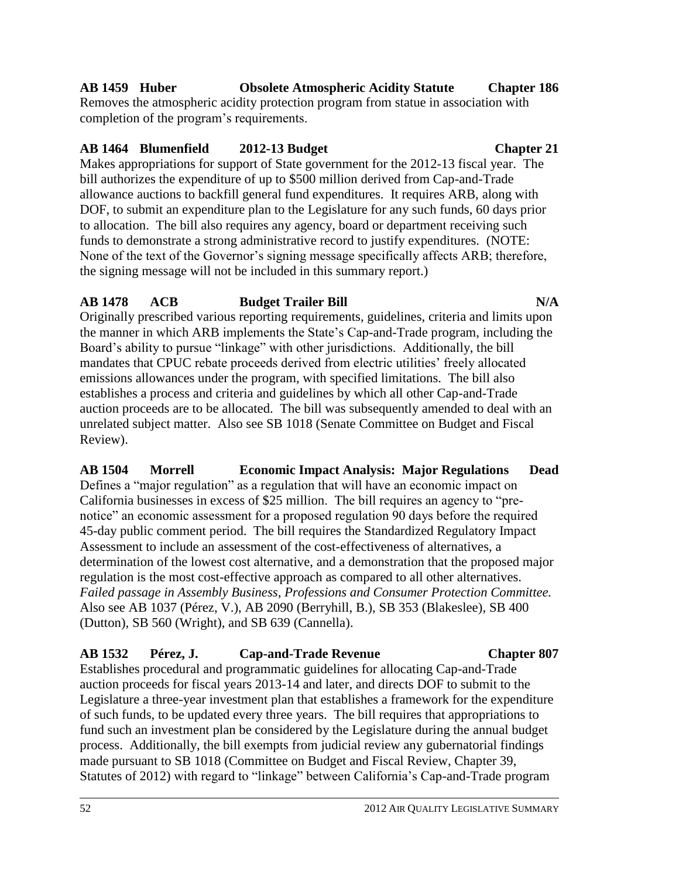# **AB 1459 Huber Obsolete Atmospheric Acidity Statute Chapter 186**

Removes the atmospheric acidity protection program from statue in association with completion of the program's requirements.

# **AB 1464 Blumenfield 2012-13 Budget Chapter 21**

Makes appropriations for support of State government for the 2012-13 fiscal year. The bill authorizes the expenditure of up to \$500 million derived from Cap-and-Trade allowance auctions to backfill general fund expenditures. It requires ARB, along with DOF, to submit an expenditure plan to the Legislature for any such funds, 60 days prior to allocation. The bill also requires any agency, board or department receiving such funds to demonstrate a strong administrative record to justify expenditures. (NOTE: None of the text of the Governor's signing message specifically affects ARB; therefore, the signing message will not be included in this summary report.)

# **AB 1478 ACB Budget Trailer Bill N/A**

Originally prescribed various reporting requirements, guidelines, criteria and limits upon the manner in which ARB implements the State's Cap-and-Trade program, including the Board's ability to pursue "linkage" with other jurisdictions. Additionally, the bill mandates that CPUC rebate proceeds derived from electric utilities' freely allocated emissions allowances under the program, with specified limitations. The bill also establishes a process and criteria and guidelines by which all other Cap-and-Trade auction proceeds are to be allocated. The bill was subsequently amended to deal with an unrelated subject matter. Also see SB 1018 (Senate Committee on Budget and Fiscal Review).

**AB 1504 Morrell Economic Impact Analysis: Major Regulations Dead** Defines a "major regulation" as a regulation that will have an economic impact on California businesses in excess of \$25 million. The bill requires an agency to "prenotice" an economic assessment for a proposed regulation 90 days before the required 45-day public comment period. The bill requires the Standardized Regulatory Impact Assessment to include an assessment of the cost-effectiveness of alternatives, a determination of the lowest cost alternative, and a demonstration that the proposed major regulation is the most cost-effective approach as compared to all other alternatives. *Failed passage in Assembly Business, Professions and Consumer Protection Committee.*  Also see AB 1037 (Pérez, V.), AB 2090 (Berryhill, B.), SB 353 (Blakeslee), SB 400 (Dutton), SB 560 (Wright), and SB 639 (Cannella).

# **AB 1532 Pérez, J. Cap-and-Trade Revenue Chapter 807**

Establishes procedural and programmatic guidelines for allocating Cap-and-Trade auction proceeds for fiscal years 2013-14 and later, and directs DOF to submit to the Legislature a three-year investment plan that establishes a framework for the expenditure of such funds, to be updated every three years. The bill requires that appropriations to fund such an investment plan be considered by the Legislature during the annual budget process. Additionally, the bill exempts from judicial review any gubernatorial findings made pursuant to SB 1018 (Committee on Budget and Fiscal Review, Chapter 39, Statutes of 2012) with regard to "linkage" between California's Cap-and-Trade program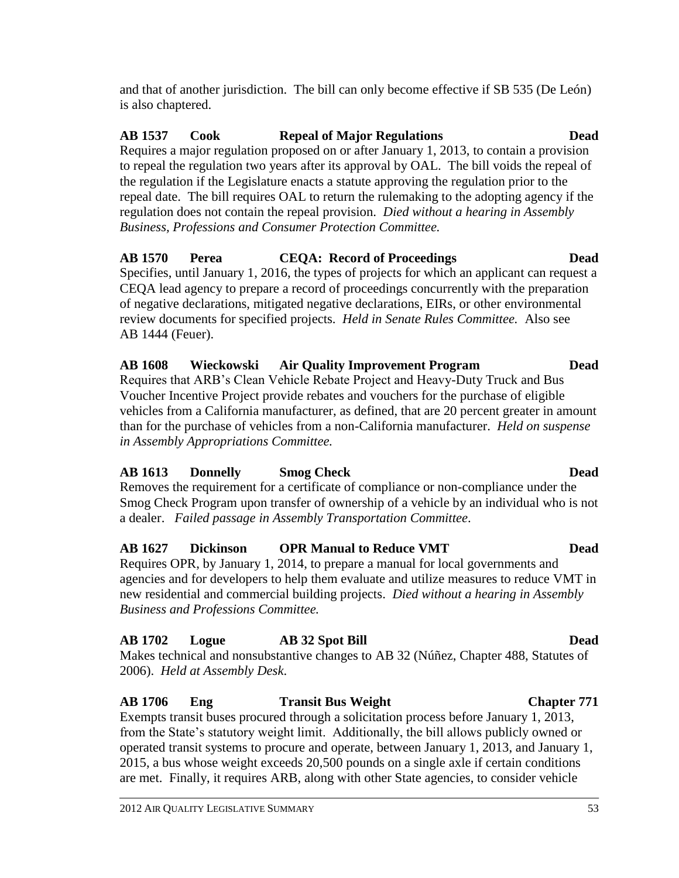and that of another jurisdiction. The bill can only become effective if SB 535 (De León) is also chaptered.

# **AB 1537 Cook Repeal of Major Regulations Dead**

Requires a major regulation proposed on or after January 1, 2013, to contain a provision to repeal the regulation two years after its approval by OAL. The bill voids the repeal of the regulation if the Legislature enacts a statute approving the regulation prior to the repeal date. The bill requires OAL to return the rulemaking to the adopting agency if the regulation does not contain the repeal provision. *Died without a hearing in Assembly Business, Professions and Consumer Protection Committee.*

### **AB 1570 Perea CEQA: Record of Proceedings Dead**

Specifies, until January 1, 2016, the types of projects for which an applicant can request a CEQA lead agency to prepare a record of proceedings concurrently with the preparation of negative declarations, mitigated negative declarations, EIRs, or other environmental review documents for specified projects. *Held in Senate Rules Committee.* Also see AB 1444 (Feuer).

# **AB 1608 Wieckowski Air Quality Improvement Program Dead**

Requires that ARB's Clean Vehicle Rebate Project and Heavy-Duty Truck and Bus Voucher Incentive Project provide rebates and vouchers for the purchase of eligible vehicles from a California manufacturer, as defined, that are 20 percent greater in amount than for the purchase of vehicles from a non-California manufacturer. *Held on suspense in Assembly Appropriations Committee.*

# **AB 1613 Donnelly Smog Check Dead**

Removes the requirement for a certificate of compliance or non-compliance under the Smog Check Program upon transfer of ownership of a vehicle by an individual who is not a dealer. *Failed passage in Assembly Transportation Committee*.

# **AB 1627 Dickinson OPR Manual to Reduce VMT Dead**

Requires OPR, by January 1, 2014, to prepare a manual for local governments and agencies and for developers to help them evaluate and utilize measures to reduce VMT in new residential and commercial building projects. *Died without a hearing in Assembly Business and Professions Committee.*

# **AB 1702 Logue AB 32 Spot Bill Dead**

Makes technical and nonsubstantive changes to AB 32 (Núñez, Chapter 488, Statutes of 2006). *Held at Assembly Desk*.

### **AB 1706 Eng Transit Bus Weight Chapter 771**

Exempts transit buses procured through a solicitation process before January 1, 2013, from the State's statutory weight limit. Additionally, the bill allows publicly owned or operated transit systems to procure and operate, between January 1, 2013, and January 1, 2015, a bus whose weight exceeds 20,500 pounds on a single axle if certain conditions are met. Finally, it requires ARB, along with other State agencies, to consider vehicle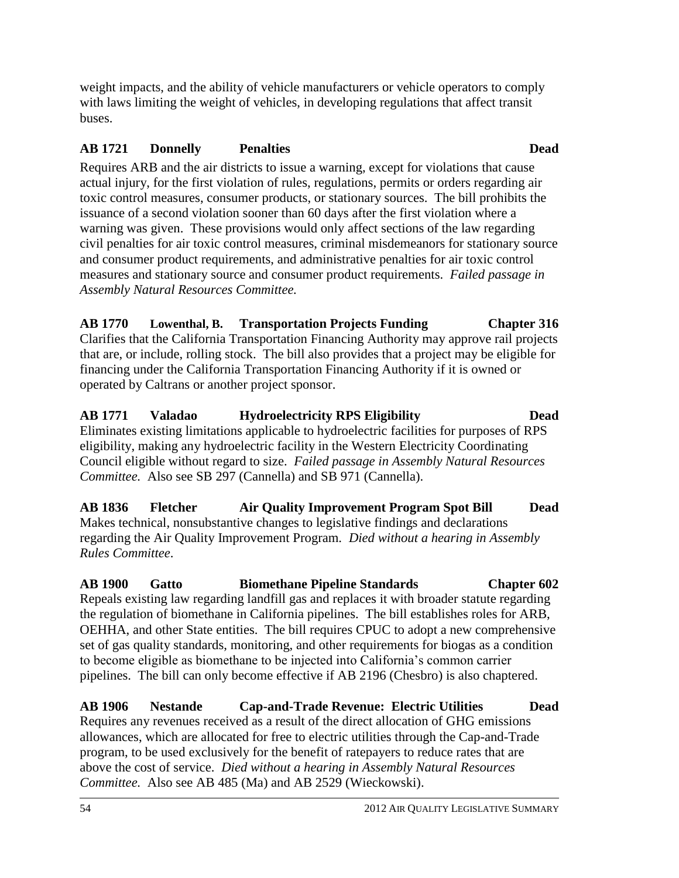weight impacts, and the ability of vehicle manufacturers or vehicle operators to comply with laws limiting the weight of vehicles, in developing regulations that affect transit buses.

### **AB 1721 Donnelly Penalties Dead**

Requires ARB and the air districts to issue a warning, except for violations that cause actual injury, for the first violation of rules, regulations, permits or orders regarding air toxic control measures, consumer products, or stationary sources. The bill prohibits the issuance of a second violation sooner than 60 days after the first violation where a warning was given. These provisions would only affect sections of the law regarding civil penalties for air toxic control measures, criminal misdemeanors for stationary source and consumer product requirements, and administrative penalties for air toxic control measures and stationary source and consumer product requirements. *Failed passage in Assembly Natural Resources Committee.*

**AB 1770 Lowenthal, B. Transportation Projects Funding Chapter 316** Clarifies that the California Transportation Financing Authority may approve rail projects that are, or include, rolling stock. The bill also provides that a project may be eligible for financing under the California Transportation Financing Authority if it is owned or operated by Caltrans or another project sponsor.

**AB 1771 Valadao Hydroelectricity RPS Eligibility Dead** Eliminates existing limitations applicable to hydroelectric facilities for purposes of RPS eligibility, making any hydroelectric facility in the Western Electricity Coordinating Council eligible without regard to size. *Failed passage in Assembly Natural Resources Committee.* Also see SB 297 (Cannella) and SB 971 (Cannella).

**AB 1836 Fletcher Air Quality Improvement Program Spot Bill Dead** Makes technical, nonsubstantive changes to legislative findings and declarations regarding the Air Quality Improvement Program. *Died without a hearing in Assembly Rules Committee*.

**AB 1900 Gatto Biomethane Pipeline Standards Chapter 602** Repeals existing law regarding landfill gas and replaces it with broader statute regarding the regulation of biomethane in California pipelines. The bill establishes roles for ARB, OEHHA, and other State entities. The bill requires CPUC to adopt a new comprehensive set of gas quality standards, monitoring, and other requirements for biogas as a condition to become eligible as biomethane to be injected into California's common carrier pipelines. The bill can only become effective if AB 2196 (Chesbro) is also chaptered.

**AB 1906 Nestande Cap-and-Trade Revenue: Electric Utilities Dead** Requires any revenues received as a result of the direct allocation of GHG emissions allowances, which are allocated for free to electric utilities through the Cap-and-Trade program, to be used exclusively for the benefit of ratepayers to reduce rates that are above the cost of service. *Died without a hearing in Assembly Natural Resources Committee.* Also see AB 485 (Ma) and AB 2529 (Wieckowski).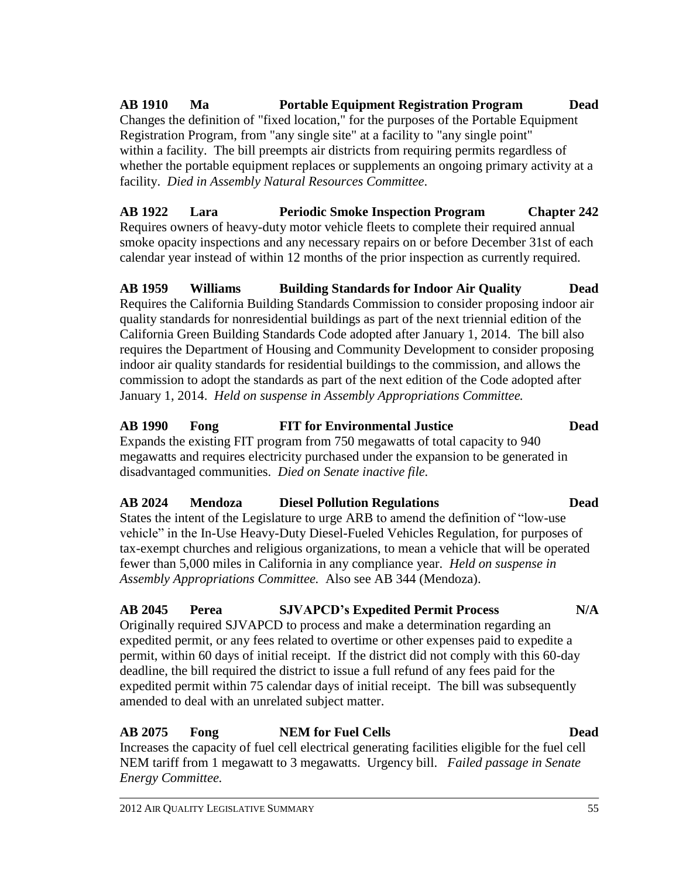**AB 1910 Ma Portable Equipment Registration Program Dead** Changes the definition of "fixed location," for the purposes of the Portable Equipment Registration Program, from "any single site" at a facility to "any single point" within a facility. The bill preempts air districts from requiring permits regardless of whether the portable equipment replaces or supplements an ongoing primary activity at a facility. *Died in Assembly Natural Resources Committee*.

**AB 1922 Lara Periodic Smoke Inspection Program Chapter 242** Requires owners of heavy-duty motor vehicle fleets to complete their required annual smoke opacity inspections and any necessary repairs on or before December 31st of each calendar year instead of within 12 months of the prior inspection as currently required.

**AB 1959 Williams Building Standards for Indoor Air Quality Dead** Requires the California Building Standards Commission to consider proposing indoor air quality standards for nonresidential buildings as part of the next triennial edition of the California Green Building Standards Code adopted after January 1, 2014. The bill also requires the Department of Housing and Community Development to consider proposing indoor air quality standards for residential buildings to the commission, and allows the commission to adopt the standards as part of the next edition of the Code adopted after January 1, 2014. *Held on suspense in Assembly Appropriations Committee.*

**AB 1990 Fong FIT for Environmental Justice Dead** Expands the existing FIT program from 750 megawatts of total capacity to 940 megawatts and requires electricity purchased under the expansion to be generated in disadvantaged communities. *Died on Senate inactive file.*

# **AB 2024 Mendoza Diesel Pollution Regulations Dead**

States the intent of the Legislature to urge ARB to amend the definition of "low-use vehicle" in the In-Use Heavy-Duty Diesel-Fueled Vehicles Regulation, for purposes of tax-exempt churches and religious organizations, to mean a vehicle that will be operated fewer than 5,000 miles in California in any compliance year. *Held on suspense in Assembly Appropriations Committee.* Also see AB 344 (Mendoza).

**AB 2045 Perea SJVAPCD's Expedited Permit Process N/A**

Originally required SJVAPCD to process and make a determination regarding an expedited permit, or any fees related to overtime or other expenses paid to expedite a permit, within 60 days of initial receipt. If the district did not comply with this 60-day deadline, the bill required the district to issue a full refund of any fees paid for the expedited permit within 75 calendar days of initial receipt. The bill was subsequently amended to deal with an unrelated subject matter.

# **AB 2075 Fong NEM for Fuel Cells Dead**

Increases the capacity of fuel cell electrical generating facilities eligible for the fuel cell NEM tariff from 1 megawatt to 3 megawatts. Urgency bill. *Failed passage in Senate Energy Committee.*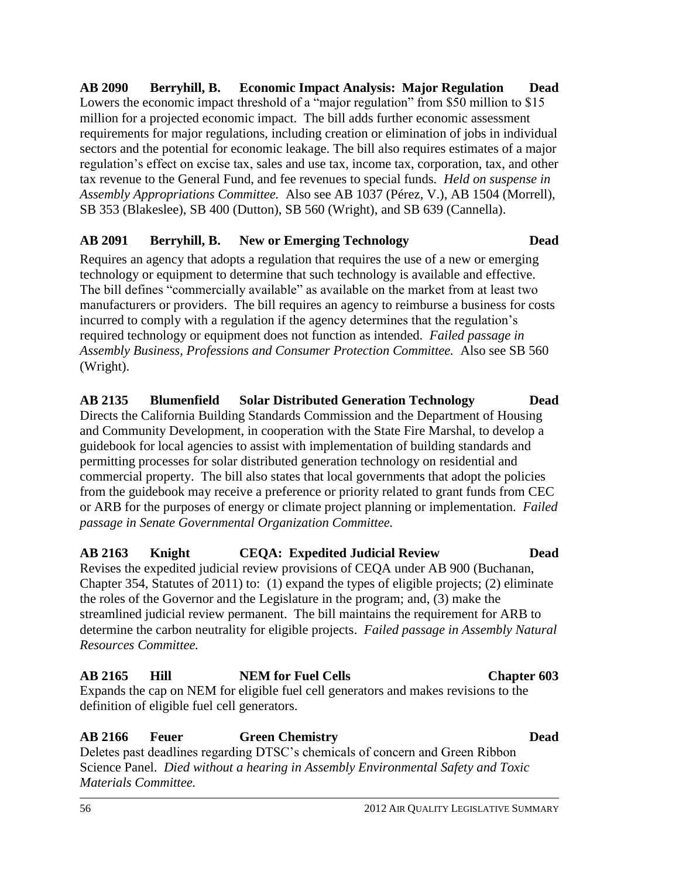**AB 2090 Berryhill, B. Economic Impact Analysis: Major Regulation Dead** Lowers the economic impact threshold of a "major regulation" from \$50 million to \$15 million for a projected economic impact. The bill adds further economic assessment requirements for major regulations, including creation or elimination of jobs in individual sectors and the potential for economic leakage. The bill also requires estimates of a major regulation's effect on excise tax, sales and use tax, income tax, corporation, tax, and other tax revenue to the General Fund, and fee revenues to special funds. *Held on suspense in Assembly Appropriations Committee.* Also see AB 1037 (Pérez, V.), AB 1504 (Morrell), SB 353 (Blakeslee), SB 400 (Dutton), SB 560 (Wright), and SB 639 (Cannella).

### **AB 2091 Berryhill, B. New or Emerging Technology Dead**

Requires an agency that adopts a regulation that requires the use of a new or emerging technology or equipment to determine that such technology is available and effective. The bill defines "commercially available" as available on the market from at least two manufacturers or providers. The bill requires an agency to reimburse a business for costs incurred to comply with a regulation if the agency determines that the regulation's required technology or equipment does not function as intended. *Failed passage in Assembly Business, Professions and Consumer Protection Committee.* Also see SB 560 (Wright).

**AB 2135 Blumenfield Solar Distributed Generation Technology Dead** Directs the California Building Standards Commission and the Department of Housing and Community Development, in cooperation with the State Fire Marshal, to develop a guidebook for local agencies to assist with implementation of building standards and permitting processes for solar distributed generation technology on residential and commercial property. The bill also states that local governments that adopt the policies from the guidebook may receive a preference or priority related to grant funds from CEC or ARB for the purposes of energy or climate project planning or implementation. *Failed passage in Senate Governmental Organization Committee.*

**AB 2163 Knight CEQA: Expedited Judicial Review Dead** Revises the expedited judicial review provisions of CEQA under AB 900 (Buchanan, Chapter 354, Statutes of 2011) to: (1) expand the types of eligible projects; (2) eliminate the roles of the Governor and the Legislature in the program; and, (3) make the streamlined judicial review permanent. The bill maintains the requirement for ARB to determine the carbon neutrality for eligible projects. *Failed passage in Assembly Natural Resources Committee.*

### **AB 2165 Hill NEM for Fuel Cells Chapter 603**

Expands the cap on NEM for eligible fuel cell generators and makes revisions to the definition of eligible fuel cell generators.

### **AB 2166 Feuer Green Chemistry Dead**

Deletes past deadlines regarding DTSC's chemicals of concern and Green Ribbon Science Panel. *Died without a hearing in Assembly Environmental Safety and Toxic Materials Committee.*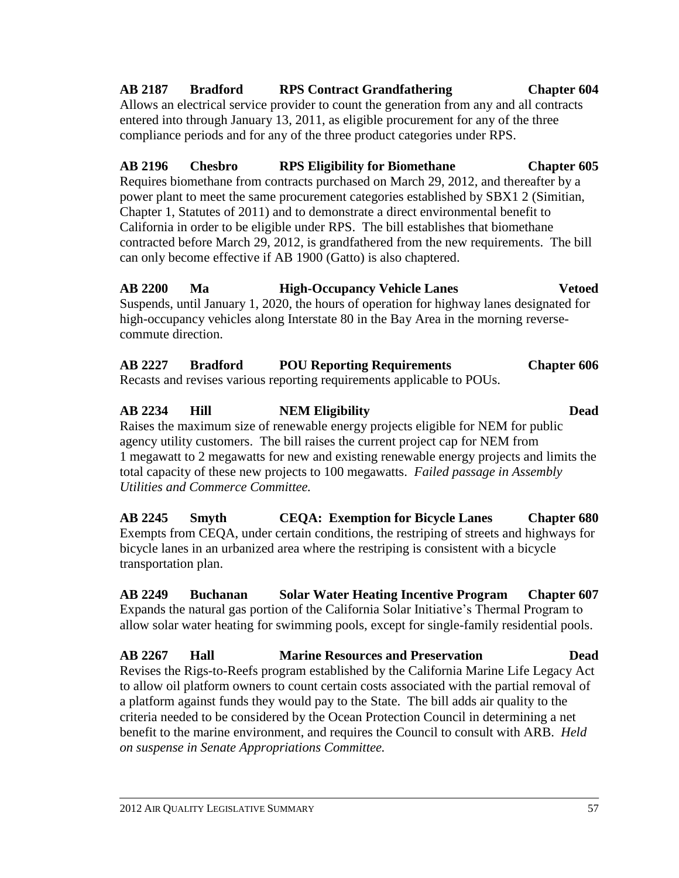transportation plan.

**AB 2249 Buchanan Solar Water Heating Incentive Program Chapter 607** Expands the natural gas portion of the California Solar Initiative's Thermal Program to allow solar water heating for swimming pools, except for single-family residential pools.

**AB 2267 Hall Marine Resources and Preservation Dead** Revises the Rigs-to-Reefs program established by the California Marine Life Legacy Act to allow oil platform owners to count certain costs associated with the partial removal of a platform against funds they would pay to the State. The bill adds air quality to the criteria needed to be considered by the Ocean Protection Council in determining a net benefit to the marine environment, and requires the Council to consult with ARB. *Held on suspense in Senate Appropriations Committee.*

Suspends, until January 1, 2020, the hours of operation for highway lanes designated for high-occupancy vehicles along Interstate 80 in the Bay Area in the morning reverse-

contracted before March 29, 2012, is grandfathered from the new requirements. The bill

**AB 2200 Ma High-Occupancy Vehicle Lanes Vetoed**

commute direction.

**AB 2227 Bradford POU Reporting Requirements Chapter 606** Recasts and revises various reporting requirements applicable to POUs.

# **AB 2234 Hill NEM Eligibility Dead**

Raises the maximum size of renewable energy projects eligible for NEM for public agency utility customers. The bill raises the current project cap for NEM from 1 megawatt to 2 megawatts for new and existing renewable energy projects and limits the total capacity of these new projects to 100 megawatts. *Failed passage in Assembly Utilities and Commerce Committee.*

**AB 2245 Smyth CEQA: Exemption for Bicycle Lanes Chapter 680** Exempts from CEQA, under certain conditions, the restriping of streets and highways for

bicycle lanes in an urbanized area where the restriping is consistent with a bicycle

### **AB 2187 Bradford RPS Contract Grandfathering Chapter 604** Allows an electrical service provider to count the generation from any and all contracts

**AB 2196 Chesbro RPS Eligibility for Biomethane Chapter 605** Requires biomethane from contracts purchased on March 29, 2012, and thereafter by a power plant to meet the same procurement categories established by SBX1 2 (Simitian,

entered into through January 13, 2011, as eligible procurement for any of the three

Chapter 1, Statutes of 2011) and to demonstrate a direct environmental benefit to California in order to be eligible under RPS. The bill establishes that biomethane

compliance periods and for any of the three product categories under RPS.

can only become effective if AB 1900 (Gatto) is also chaptered.

2012 AIR QUALITY LEGISLATIVE SUMMARY 57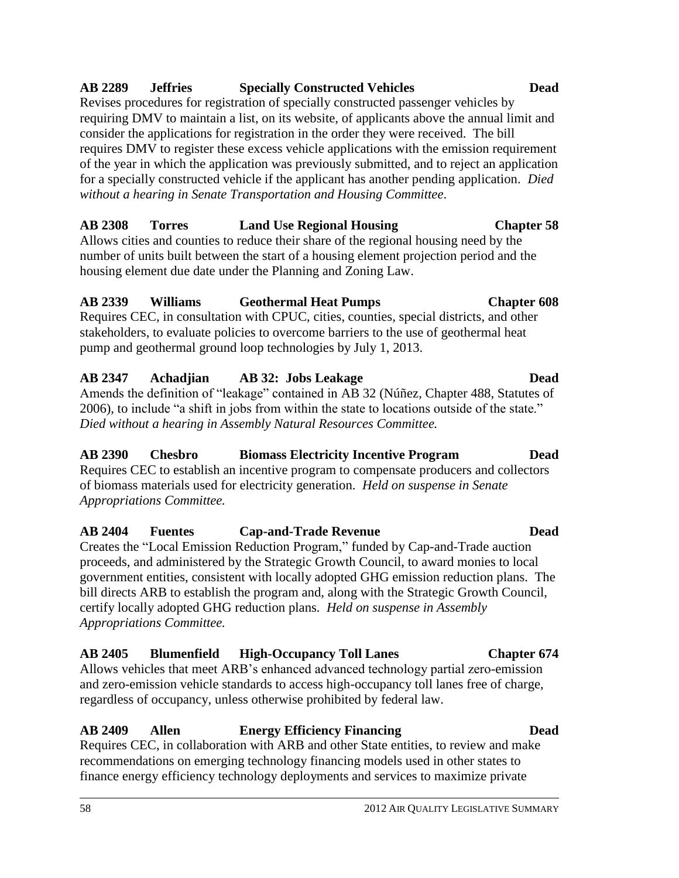### 58 2012 AIR QUALITY LEGISLATIVE SUMMARY

### **AB 2289 Jeffries Specially Constructed Vehicles Dead**

Revises procedures for registration of specially constructed passenger vehicles by requiring DMV to maintain a list, on its website, of applicants above the annual limit and consider the applications for registration in the order they were received. The bill requires DMV to register these excess vehicle applications with the emission requirement of the year in which the application was previously submitted, and to reject an application for a specially constructed vehicle if the applicant has another pending application. *Died without a hearing in Senate Transportation and Housing Committee*.

### **AB 2308 Torres Land Use Regional Housing Chapter 58**

Allows cities and counties to reduce their share of the regional housing need by the number of units built between the start of a housing element projection period and the housing element due date under the Planning and Zoning Law.

### **AB 2339 Williams Geothermal Heat Pumps Chapter 608**

Requires CEC, in consultation with CPUC, cities, counties, special districts, and other stakeholders, to evaluate policies to overcome barriers to the use of geothermal heat pump and geothermal ground loop technologies by July 1, 2013.

# **AB 2347 Achadjian AB 32: Jobs Leakage Dead**

Amends the definition of "leakage" contained in AB 32 (Núñez, Chapter 488, Statutes of 2006), to include "a shift in jobs from within the state to locations outside of the state." *Died without a hearing in Assembly Natural Resources Committee.*

# **AB 2390 Chesbro Biomass Electricity Incentive Program Dead**

Requires CEC to establish an incentive program to compensate producers and collectors of biomass materials used for electricity generation. *Held on suspense in Senate Appropriations Committee.*

### **AB 2404 Fuentes Cap-and-Trade Revenue Dead** Creates the "Local Emission Reduction Program," funded by Cap-and-Trade auction proceeds, and administered by the Strategic Growth Council, to award monies to local

government entities, consistent with locally adopted GHG emission reduction plans. The bill directs ARB to establish the program and, along with the Strategic Growth Council, certify locally adopted GHG reduction plans. *Held on suspense in Assembly Appropriations Committee.*

# **AB 2405 Blumenfield High-Occupancy Toll Lanes Chapter 674**

Allows vehicles that meet ARB's enhanced advanced technology partial zero-emission and zero-emission vehicle standards to access high-occupancy toll lanes free of charge, regardless of occupancy, unless otherwise prohibited by federal law.

# **AB 2409 Allen Energy Efficiency Financing Dead**

Requires CEC, in collaboration with ARB and other State entities, to review and make recommendations on emerging technology financing models used in other states to finance energy efficiency technology deployments and services to maximize private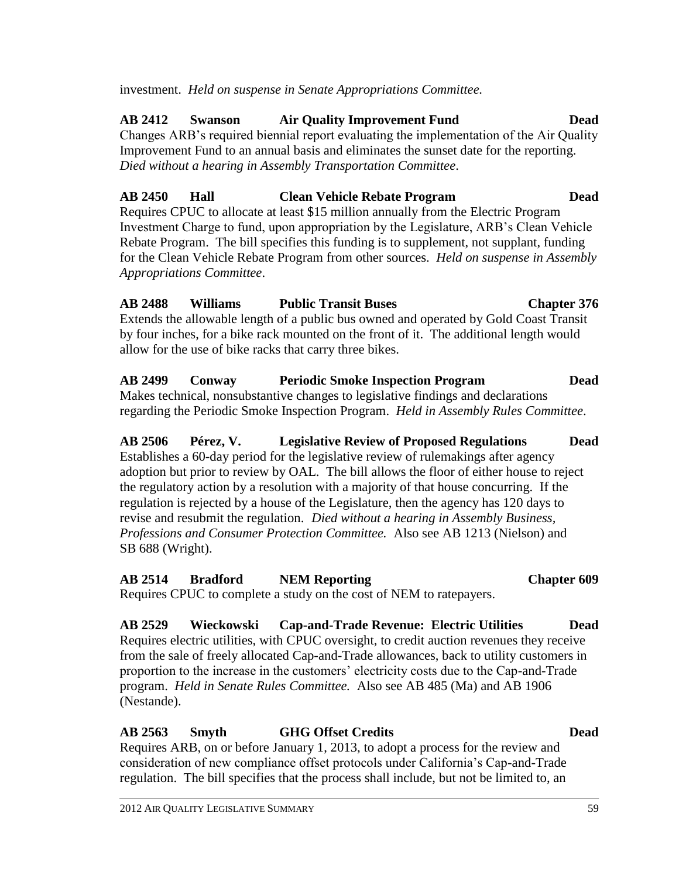SB 688 (Wright).

regulation. The bill specifies that the process shall include, but not be limited to, an

### **AB 2563 Smyth GHG Offset Credits Dead** Requires ARB, on or before January 1, 2013, to adopt a process for the review and

Requires electric utilities, with CPUC oversight, to credit auction revenues they receive from the sale of freely allocated Cap-and-Trade allowances, back to utility customers in proportion to the increase in the customers' electricity costs due to the Cap-and-Trade program. *Held in Senate Rules Committee.* Also see AB 485 (Ma) and AB 1906 (Nestande).

consideration of new compliance offset protocols under California's Cap-and-Trade

**AB 2529 Wieckowski Cap-and-Trade Revenue: Electric Utilities Dead**

Requires CPUC to complete a study on the cost of NEM to ratepayers.

**AB 2514 Bradford NEM Reporting Chapter 609**

**AB 2499 Conway Periodic Smoke Inspection Program Dead** Makes technical, nonsubstantive changes to legislative findings and declarations regarding the Periodic Smoke Inspection Program. *Held in Assembly Rules Committee*. **AB 2506 Pérez, V. Legislative Review of Proposed Regulations Dead**

Establishes a 60-day period for the legislative review of rulemakings after agency adoption but prior to review by OAL. The bill allows the floor of either house to reject the regulatory action by a resolution with a majority of that house concurring. If the

*Professions and Consumer Protection Committee.* Also see AB 1213 (Nielson) and

**AB 2488 Williams Public Transit Buses Chapter 376** Extends the allowable length of a public bus owned and operated by Gold Coast Transit by four inches, for a bike rack mounted on the front of it. The additional length would allow for the use of bike racks that carry three bikes.

# *Appropriations Committee*.

# for the Clean Vehicle Rebate Program from other sources. *Held on suspense in Assembly*

**AB 2412 Swanson Air Quality Improvement Fund Dead** Changes ARB's required biennial report evaluating the implementation of the Air Quality Improvement Fund to an annual basis and eliminates the sunset date for the reporting. *Died without a hearing in Assembly Transportation Committee*.

**AB 2450 Hall Clean Vehicle Rebate Program Dead**

Requires CPUC to allocate at least \$15 million annually from the Electric Program Investment Charge to fund, upon appropriation by the Legislature, ARB's Clean Vehicle Rebate Program. The bill specifies this funding is to supplement, not supplant, funding

# investment. *Held on suspense in Senate Appropriations Committee.*

### regulation is rejected by a house of the Legislature, then the agency has 120 days to revise and resubmit the regulation. *Died without a hearing in Assembly Business,*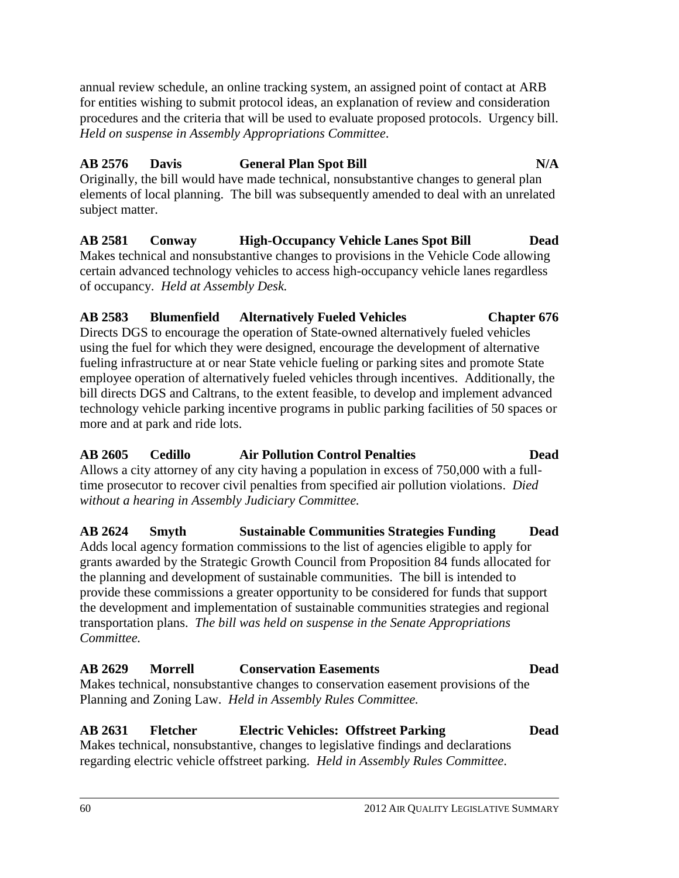annual review schedule, an online tracking system, an assigned point of contact at ARB for entities wishing to submit protocol ideas, an explanation of review and consideration procedures and the criteria that will be used to evaluate proposed protocols. Urgency bill. *Held on suspense in Assembly Appropriations Committee*.

### **AB 2576 Davis General Plan Spot Bill N/A**

Originally, the bill would have made technical, nonsubstantive changes to general plan elements of local planning. The bill was subsequently amended to deal with an unrelated subject matter.

**AB 2581 Conway High-Occupancy Vehicle Lanes Spot Bill Dead** Makes technical and nonsubstantive changes to provisions in the Vehicle Code allowing certain advanced technology vehicles to access high-occupancy vehicle lanes regardless of occupancy. *Held at Assembly Desk.*

### **AB 2583 Blumenfield Alternatively Fueled Vehicles Chapter 676** Directs DGS to encourage the operation of State-owned alternatively fueled vehicles

using the fuel for which they were designed, encourage the development of alternative fueling infrastructure at or near State vehicle fueling or parking sites and promote State employee operation of alternatively fueled vehicles through incentives. Additionally, the bill directs DGS and Caltrans, to the extent feasible, to develop and implement advanced technology vehicle parking incentive programs in public parking facilities of 50 spaces or more and at park and ride lots.

### **AB 2605 Cedillo Air Pollution Control Penalties Dead**

Allows a city attorney of any city having a population in excess of 750,000 with a fulltime prosecutor to recover civil penalties from specified air pollution violations. *Died without a hearing in Assembly Judiciary Committee.*

**AB 2624 Smyth Sustainable Communities Strategies Funding Dead** Adds local agency formation commissions to the list of agencies eligible to apply for grants awarded by the Strategic Growth Council from Proposition 84 funds allocated for the planning and development of sustainable communities. The bill is intended to provide these commissions a greater opportunity to be considered for funds that support the development and implementation of sustainable communities strategies and regional transportation plans. *The bill was held on suspense in the Senate Appropriations Committee.*

### **AB 2629 Morrell Conservation Easements Dead** Makes technical, nonsubstantive changes to conservation easement provisions of the

Planning and Zoning Law. *Held in Assembly Rules Committee.*

### **AB 2631 Fletcher Electric Vehicles: Offstreet Parking Dead** Makes technical, nonsubstantive, changes to legislative findings and declarations

regarding electric vehicle offstreet parking. *Held in Assembly Rules Committee*.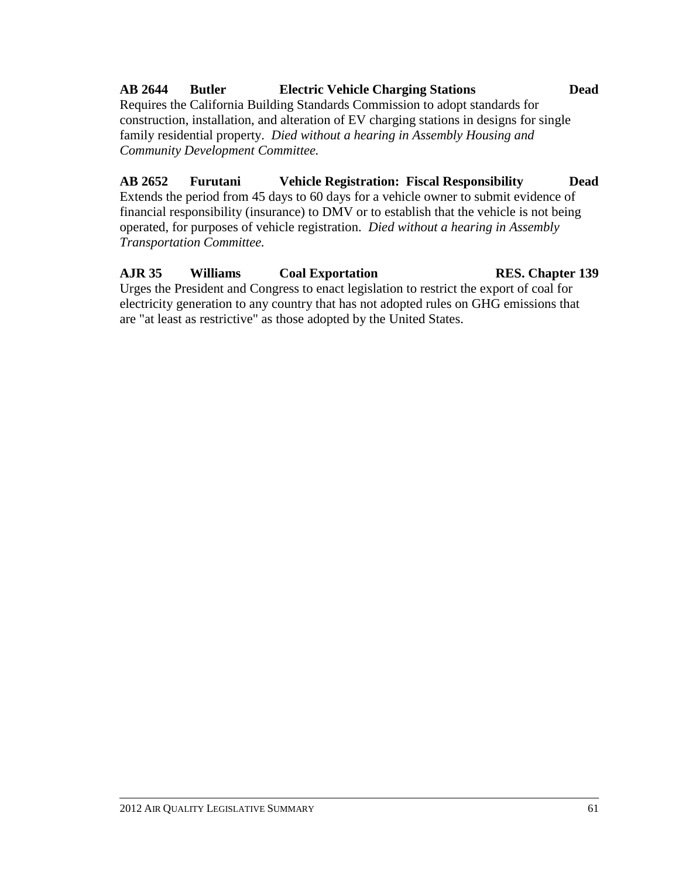# **AB 2644 Butler Electric Vehicle Charging Stations Dead**

Requires the California Building Standards Commission to adopt standards for construction, installation, and alteration of EV charging stations in designs for single family residential property. *Died without a hearing in Assembly Housing and Community Development Committee.*

# **AB 2652 Furutani Vehicle Registration: Fiscal Responsibility Dead**

Extends the period from 45 days to 60 days for a vehicle owner to submit evidence of financial responsibility (insurance) to DMV or to establish that the vehicle is not being operated, for purposes of vehicle registration. *Died without a hearing in Assembly Transportation Committee.*

### **AJR 35 Williams Coal Exportation RES. Chapter 139** Urges the President and Congress to enact legislation to restrict the export of coal for electricity generation to any country that has not adopted rules on GHG emissions that are "at least as restrictive" as those adopted by the United States.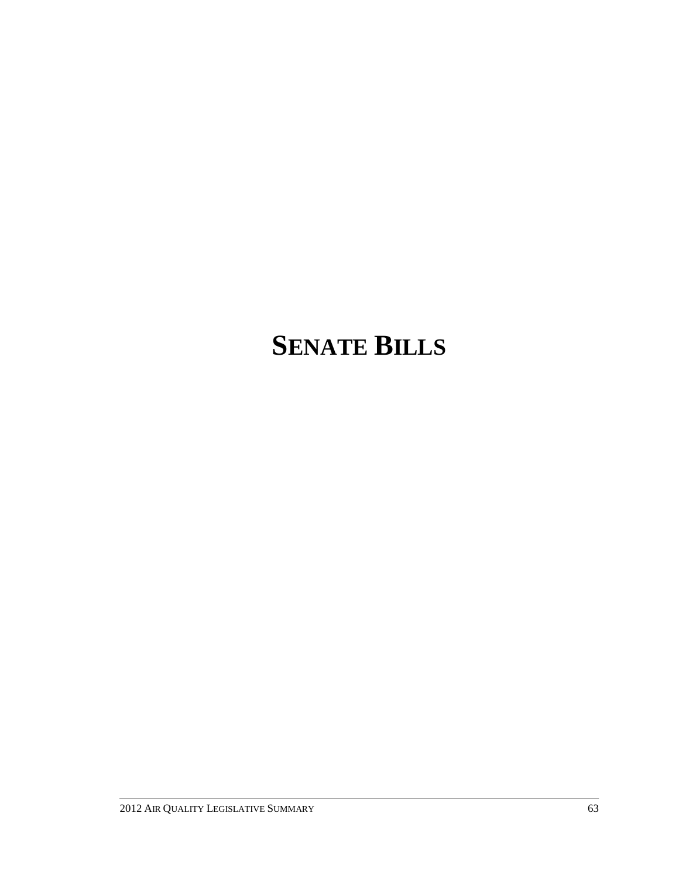# **SENATE BILLS**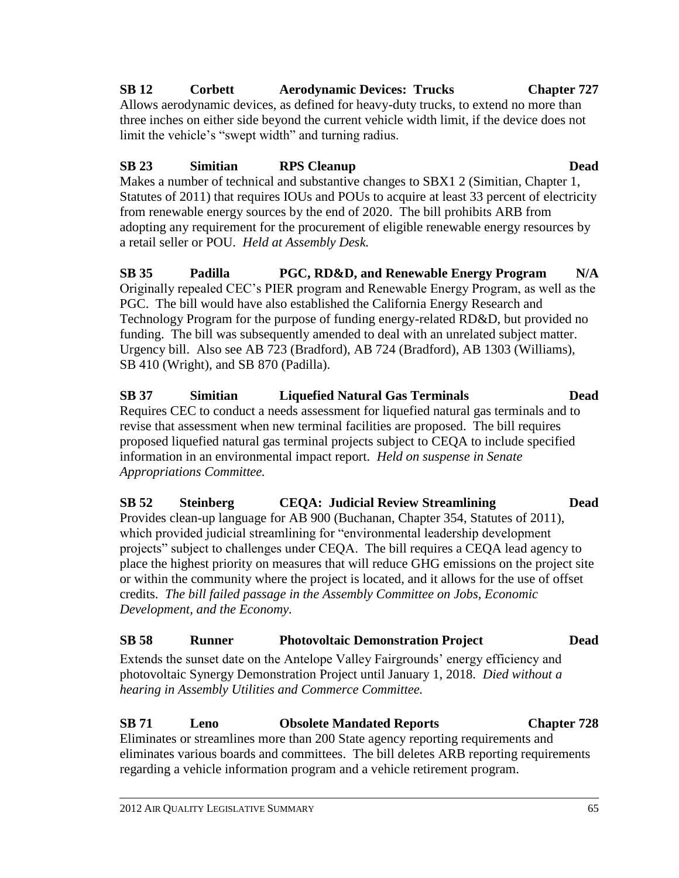# **SB 12 Corbett Aerodynamic Devices: Trucks Chapter 727**

Allows aerodynamic devices, as defined for heavy-duty trucks, to extend no more than three inches on either side beyond the current vehicle width limit, if the device does not limit the vehicle's "swept width" and turning radius.

# **SB 23 Simitian RPS Cleanup Dead**

Makes a number of technical and substantive changes to SBX1 2 (Simitian, Chapter 1, Statutes of 2011) that requires IOUs and POUs to acquire at least 33 percent of electricity from renewable energy sources by the end of 2020. The bill prohibits ARB from adopting any requirement for the procurement of eligible renewable energy resources by a retail seller or POU. *Held at Assembly Desk.*

**SB 35 Padilla PGC, RD&D, and Renewable Energy Program N/A** Originally repealed CEC's PIER program and Renewable Energy Program, as well as the PGC. The bill would have also established the California Energy Research and Technology Program for the purpose of funding energy-related RD&D, but provided no funding. The bill was subsequently amended to deal with an unrelated subject matter. Urgency bill. Also see AB 723 (Bradford), AB 724 (Bradford), AB 1303 (Williams), SB 410 (Wright), and SB 870 (Padilla).

**SB 37 Simitian Liquefied Natural Gas Terminals Dead** Requires CEC to conduct a needs assessment for liquefied natural gas terminals and to revise that assessment when new terminal facilities are proposed. The bill requires proposed liquefied natural gas terminal projects subject to CEQA to include specified information in an environmental impact report. *Held on suspense in Senate Appropriations Committee.*

**SB 52 Steinberg CEQA: Judicial Review Streamlining Dead** Provides clean-up language for AB 900 (Buchanan, Chapter 354, Statutes of 2011), which provided judicial streamlining for "environmental leadership development projects" subject to challenges under CEQA. The bill requires a CEQA lead agency to place the highest priority on measures that will reduce GHG emissions on the project site or within the community where the project is located, and it allows for the use of offset credits. *The bill failed passage in the Assembly Committee on Jobs, Economic Development, and the Economy.*

# **SB 58 Runner Photovoltaic Demonstration Project Dead**

Extends the sunset date on the Antelope Valley Fairgrounds' energy efficiency and photovoltaic Synergy Demonstration Project until January 1, 2018. *Died without a hearing in Assembly Utilities and Commerce Committee.*

### **SB 71 Leno Obsolete Mandated Reports Chapter 728** Eliminates or streamlines more than 200 State agency reporting requirements and eliminates various boards and committees. The bill deletes ARB reporting requirements regarding a vehicle information program and a vehicle retirement program.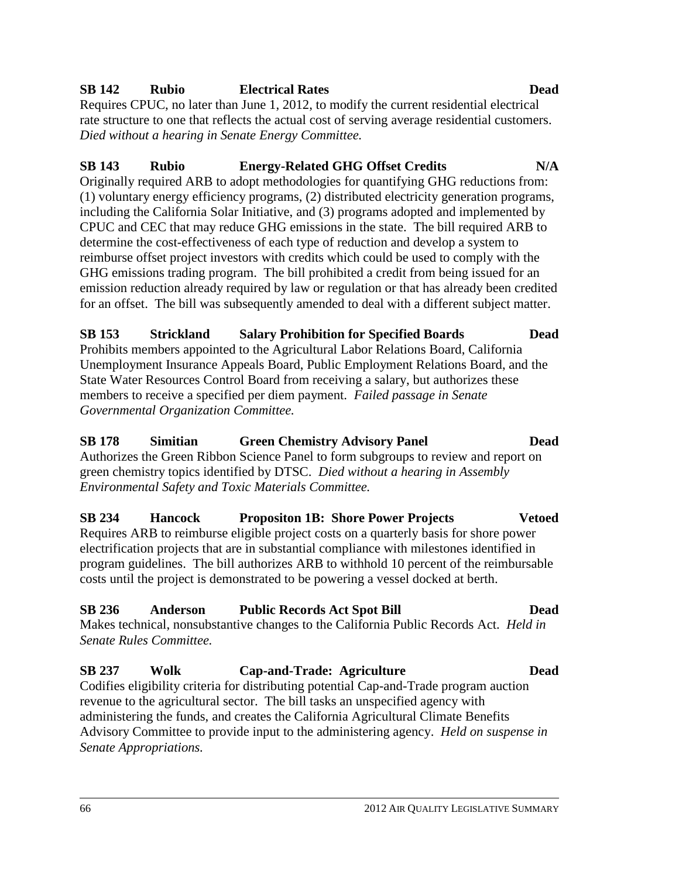### **SB 142 Rubio Electrical Rates Dead**

Requires CPUC, no later than June 1, 2012, to modify the current residential electrical rate structure to one that reflects the actual cost of serving average residential customers. *Died without a hearing in Senate Energy Committee.*

### **SB 143 Rubio Energy-Related GHG Offset Credits N/A** Originally required ARB to adopt methodologies for quantifying GHG reductions from: (1) voluntary energy efficiency programs, (2) distributed electricity generation programs, including the California Solar Initiative, and (3) programs adopted and implemented by CPUC and CEC that may reduce GHG emissions in the state. The bill required ARB to determine the cost-effectiveness of each type of reduction and develop a system to reimburse offset project investors with credits which could be used to comply with the GHG emissions trading program. The bill prohibited a credit from being issued for an emission reduction already required by law or regulation or that has already been credited

# **SB 153 Strickland Salary Prohibition for Specified Boards Dead**

for an offset. The bill was subsequently amended to deal with a different subject matter.

Prohibits members appointed to the Agricultural Labor Relations Board, California Unemployment Insurance Appeals Board, Public Employment Relations Board, and the State Water Resources Control Board from receiving a salary, but authorizes these members to receive a specified per diem payment. *Failed passage in Senate Governmental Organization Committee.*

# **SB 178 Simitian Green Chemistry Advisory Panel Dead**

Authorizes the Green Ribbon Science Panel to form subgroups to review and report on green chemistry topics identified by DTSC. *Died without a hearing in Assembly Environmental Safety and Toxic Materials Committee.*

# **SB 234 Hancock Propositon 1B: Shore Power Projects Vetoed**

Requires ARB to reimburse eligible project costs on a quarterly basis for shore power electrification projects that are in substantial compliance with milestones identified in program guidelines. The bill authorizes ARB to withhold 10 percent of the reimbursable costs until the project is demonstrated to be powering a vessel docked at berth.

# **SB 236 Anderson Public Records Act Spot Bill Dead**

Makes technical, nonsubstantive changes to the California Public Records Act. *Held in Senate Rules Committee.*

# **SB 237 Wolk Cap-and-Trade: Agriculture Dead**

Codifies eligibility criteria for distributing potential Cap-and-Trade program auction revenue to the agricultural sector. The bill tasks an unspecified agency with administering the funds, and creates the California Agricultural Climate Benefits Advisory Committee to provide input to the administering agency. *Held on suspense in Senate Appropriations.*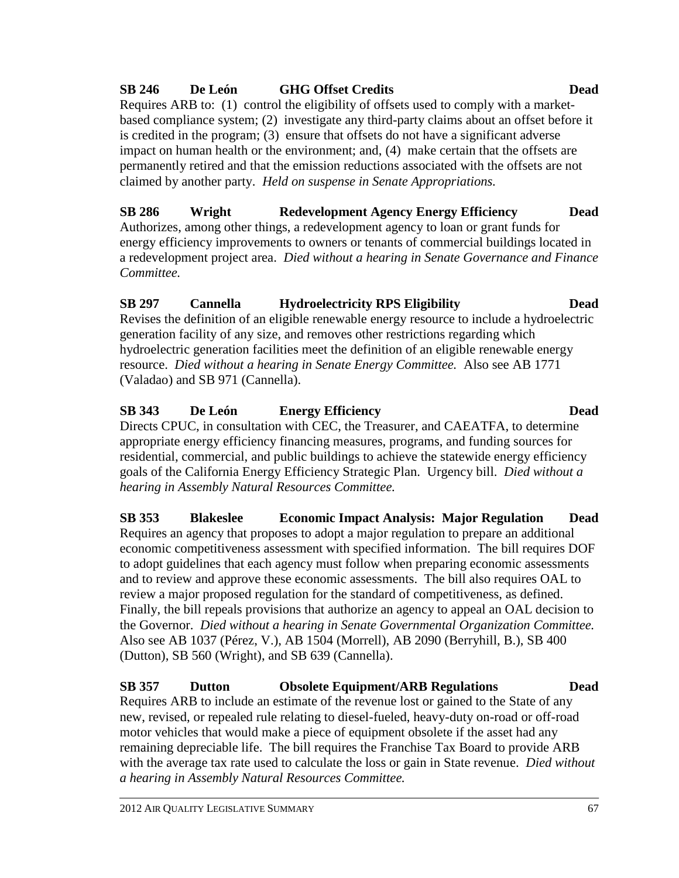#### 2012 AIR QUALITY LEGISLATIVE SUMMARY 67

# **SB 246 De León GHG Offset Credits Dead**

Requires ARB to: (1) control the eligibility of offsets used to comply with a marketbased compliance system; (2) investigate any third-party claims about an offset before it is credited in the program; (3) ensure that offsets do not have a significant adverse impact on human health or the environment; and, (4) make certain that the offsets are permanently retired and that the emission reductions associated with the offsets are not claimed by another party. *Held on suspense in Senate Appropriations.*

**SB 286 Wright Redevelopment Agency Energy Efficiency Dead** Authorizes, among other things, a redevelopment agency to loan or grant funds for energy efficiency improvements to owners or tenants of commercial buildings located in a redevelopment project area. *Died without a hearing in Senate Governance and Finance Committee.*

# **SB 297 Cannella Hydroelectricity RPS Eligibility Dead**

Revises the definition of an eligible renewable energy resource to include a hydroelectric generation facility of any size, and removes other restrictions regarding which hydroelectric generation facilities meet the definition of an eligible renewable energy resource. *Died without a hearing in Senate Energy Committee.* Also see AB 1771 (Valadao) and SB 971 (Cannella).

# **SB 343 De León Energy Efficiency Dead**

Directs CPUC, in consultation with CEC, the Treasurer, and CAEATFA, to determine appropriate energy efficiency financing measures, programs, and funding sources for residential, commercial, and public buildings to achieve the statewide energy efficiency goals of the California Energy Efficiency Strategic Plan. Urgency bill. *Died without a hearing in Assembly Natural Resources Committee.*

**SB 353 Blakeslee Economic Impact Analysis: Major Regulation Dead** Requires an agency that proposes to adopt a major regulation to prepare an additional economic competitiveness assessment with specified information. The bill requires DOF to adopt guidelines that each agency must follow when preparing economic assessments and to review and approve these economic assessments. The bill also requires OAL to review a major proposed regulation for the standard of competitiveness, as defined. Finally, the bill repeals provisions that authorize an agency to appeal an OAL decision to the Governor. *Died without a hearing in Senate Governmental Organization Committee.*  Also see AB 1037 (Pérez, V.), AB 1504 (Morrell), AB 2090 (Berryhill, B.), SB 400 (Dutton), SB 560 (Wright), and SB 639 (Cannella).

**SB 357 Dutton Obsolete Equipment/ARB Regulations Dead** Requires ARB to include an estimate of the revenue lost or gained to the State of any new, revised, or repealed rule relating to diesel-fueled, heavy-duty on-road or off-road motor vehicles that would make a piece of equipment obsolete if the asset had any remaining depreciable life. The bill requires the Franchise Tax Board to provide ARB with the average tax rate used to calculate the loss or gain in State revenue. *Died without a hearing in Assembly Natural Resources Committee.*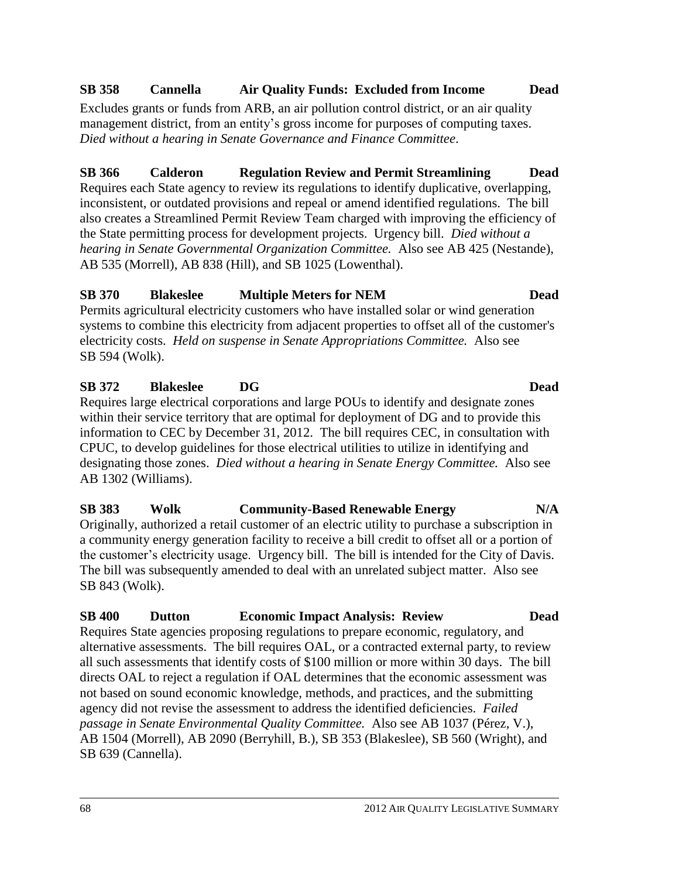# **SB 358 Cannella Air Quality Funds: Excluded from Income Dead**

Excludes grants or funds from ARB, an air pollution control district, or an air quality management district, from an entity's gross income for purposes of computing taxes. *Died without a hearing in Senate Governance and Finance Committee*.

# **SB 366 Calderon Regulation Review and Permit Streamlining Dead**

Requires each State agency to review its regulations to identify duplicative, overlapping, inconsistent, or outdated provisions and repeal or amend identified regulations. The bill also creates a Streamlined Permit Review Team charged with improving the efficiency of the State permitting process for development projects. Urgency bill. *Died without a hearing in Senate Governmental Organization Committee.* Also see AB 425 (Nestande), AB 535 (Morrell), AB 838 (Hill), and SB 1025 (Lowenthal).

# **SB 370 Blakeslee Multiple Meters for NEM Dead**

Permits agricultural electricity customers who have installed solar or wind generation systems to combine this electricity from adjacent properties to offset all of the customer's electricity costs. *Held on suspense in Senate Appropriations Committee.* Also see SB 594 (Wolk).

# **SB 372 Blakeslee DG Dead**

Requires large electrical corporations and large POUs to identify and designate zones within their service territory that are optimal for deployment of DG and to provide this information to CEC by December 31, 2012. The bill requires CEC, in consultation with CPUC, to develop guidelines for those electrical utilities to utilize in identifying and designating those zones. *Died without a hearing in Senate Energy Committee.* Also see AB 1302 (Williams).

# **SB 383 Wolk Community-Based Renewable Energy N/A** Originally, authorized a retail customer of an electric utility to purchase a subscription in

a community energy generation facility to receive a bill credit to offset all or a portion of the customer's electricity usage. Urgency bill. The bill is intended for the City of Davis. The bill was subsequently amended to deal with an unrelated subject matter. Also see SB 843 (Wolk).

# **SB 400 Dutton Economic Impact Analysis: Review Dead**

Requires State agencies proposing regulations to prepare economic, regulatory, and alternative assessments. The bill requires OAL, or a contracted external party, to review all such assessments that identify costs of \$100 million or more within 30 days. The bill directs OAL to reject a regulation if OAL determines that the economic assessment was not based on sound economic knowledge, methods, and practices, and the submitting agency did not revise the assessment to address the identified deficiencies. *Failed passage in Senate Environmental Quality Committee.* Also see AB 1037 (Pérez, V.), AB 1504 (Morrell), AB 2090 (Berryhill, B.), SB 353 (Blakeslee), SB 560 (Wright), and SB 639 (Cannella).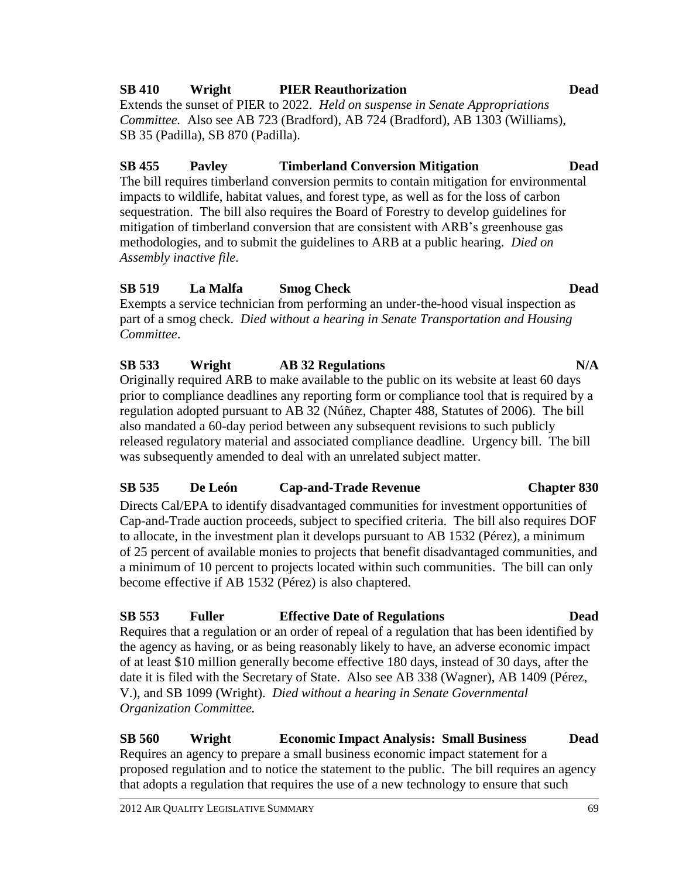#### 2012 AIR QUALITY LEGISLATIVE SUMMARY 69

# **SB 410 Wright PIER Reauthorization Dead**

Extends the sunset of PIER to 2022. *Held on suspense in Senate Appropriations Committee.* Also see AB 723 (Bradford), AB 724 (Bradford), AB 1303 (Williams), SB 35 (Padilla), SB 870 (Padilla).

# **SB 455 Pavley Timberland Conversion Mitigation Dead**

The bill requires timberland conversion permits to contain mitigation for environmental impacts to wildlife, habitat values, and forest type, as well as for the loss of carbon sequestration. The bill also requires the Board of Forestry to develop guidelines for mitigation of timberland conversion that are consistent with ARB's greenhouse gas methodologies, and to submit the guidelines to ARB at a public hearing. *Died on Assembly inactive file.*

# **SB 519 La Malfa Smog Check Dead**

Exempts a service technician from performing an under-the-hood visual inspection as part of a smog check. *Died without a hearing in Senate Transportation and Housing Committee*.

# **SB 533 Wright AB 32 Regulations N/A**

Originally required ARB to make available to the public on its website at least 60 days prior to compliance deadlines any reporting form or compliance tool that is required by a regulation adopted pursuant to AB 32 (Núñez, Chapter 488, Statutes of 2006). The bill also mandated a 60-day period between any subsequent revisions to such publicly released regulatory material and associated compliance deadline. Urgency bill. The bill was subsequently amended to deal with an unrelated subject matter.

# **SB 535 De León Cap-and-Trade Revenue Chapter 830**

Directs Cal/EPA to identify disadvantaged communities for investment opportunities of Cap-and-Trade auction proceeds, subject to specified criteria. The bill also requires DOF to allocate, in the investment plan it develops pursuant to AB 1532 (Pérez), a minimum of 25 percent of available monies to projects that benefit disadvantaged communities, and a minimum of 10 percent to projects located within such communities. The bill can only become effective if AB 1532 (Pérez) is also chaptered.

# **SB 553 Fuller Effective Date of Regulations Dead**

Requires that a regulation or an order of repeal of a regulation that has been identified by the agency as having, or as being reasonably likely to have, an adverse economic impact of at least \$10 million generally become effective 180 days, instead of 30 days, after the date it is filed with the Secretary of State. Also see AB 338 (Wagner), AB 1409 (Pérez, V.), and SB 1099 (Wright). *Died without a hearing in Senate Governmental Organization Committee.*

### **SB 560 Wright Economic Impact Analysis: Small Business Dead** Requires an agency to prepare a small business economic impact statement for a proposed regulation and to notice the statement to the public. The bill requires an agency that adopts a regulation that requires the use of a new technology to ensure that such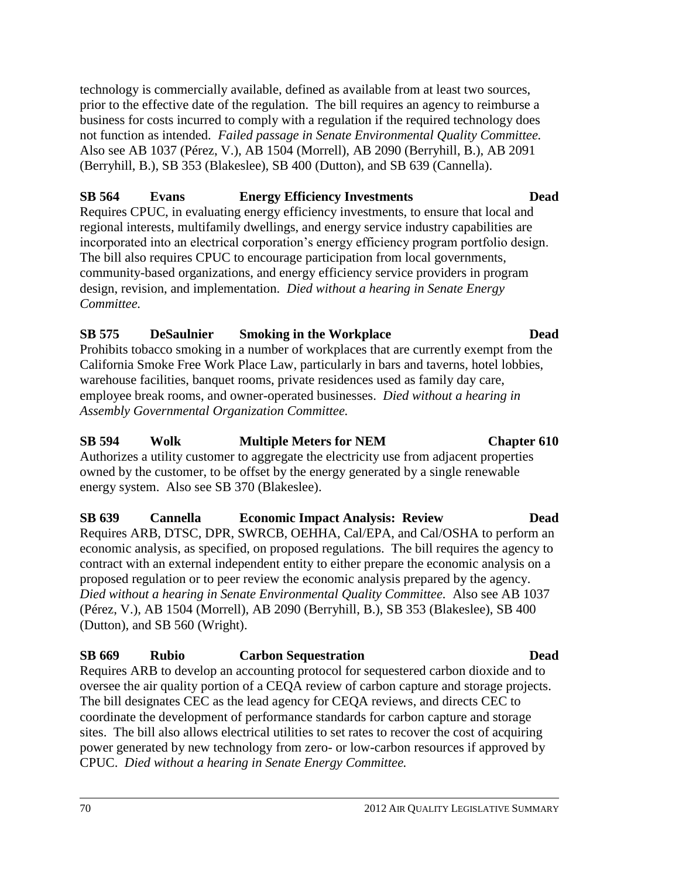technology is commercially available, defined as available from at least two sources, prior to the effective date of the regulation. The bill requires an agency to reimburse a business for costs incurred to comply with a regulation if the required technology does not function as intended. *Failed passage in Senate Environmental Quality Committee.* Also see AB 1037 (Pérez, V.), AB 1504 (Morrell), AB 2090 (Berryhill, B.), AB 2091 (Berryhill, B.), SB 353 (Blakeslee), SB 400 (Dutton), and SB 639 (Cannella).

### **SB 564 Evans Energy Efficiency Investments Dead**

Requires CPUC, in evaluating energy efficiency investments, to ensure that local and regional interests, multifamily dwellings, and energy service industry capabilities are incorporated into an electrical corporation's energy efficiency program portfolio design. The bill also requires CPUC to encourage participation from local governments, community-based organizations, and energy efficiency service providers in program design, revision, and implementation. *Died without a hearing in Senate Energy Committee.*

### **SB 575 DeSaulnier Smoking in the Workplace Dead**

Prohibits tobacco smoking in a number of workplaces that are currently exempt from the California Smoke Free Work Place Law, particularly in bars and taverns, hotel lobbies, warehouse facilities, banquet rooms, private residences used as family day care, employee break rooms, and owner-operated businesses. *Died without a hearing in Assembly Governmental Organization Committee.*

## **SB 594 Wolk Multiple Meters for NEM Chapter 610**

Authorizes a utility customer to aggregate the electricity use from adjacent properties owned by the customer, to be offset by the energy generated by a single renewable energy system. Also see SB 370 (Blakeslee).

**SB 639 Cannella Economic Impact Analysis: Review Dead** Requires ARB, DTSC, DPR, SWRCB, OEHHA, Cal/EPA, and Cal/OSHA to perform an economic analysis, as specified, on proposed regulations. The bill requires the agency to contract with an external independent entity to either prepare the economic analysis on a proposed regulation or to peer review the economic analysis prepared by the agency. *Died without a hearing in Senate Environmental Quality Committee.* Also see AB 1037 (Pérez, V.), AB 1504 (Morrell), AB 2090 (Berryhill, B.), SB 353 (Blakeslee), SB 400 (Dutton), and SB 560 (Wright).

# **SB 669 Rubio Carbon Sequestration Dead**

Requires ARB to develop an accounting protocol for sequestered carbon dioxide and to oversee the air quality portion of a CEQA review of carbon capture and storage projects. The bill designates CEC as the lead agency for CEQA reviews, and directs CEC to coordinate the development of performance standards for carbon capture and storage sites. The bill also allows electrical utilities to set rates to recover the cost of acquiring power generated by new technology from zero- or low-carbon resources if approved by CPUC. *Died without a hearing in Senate Energy Committee.*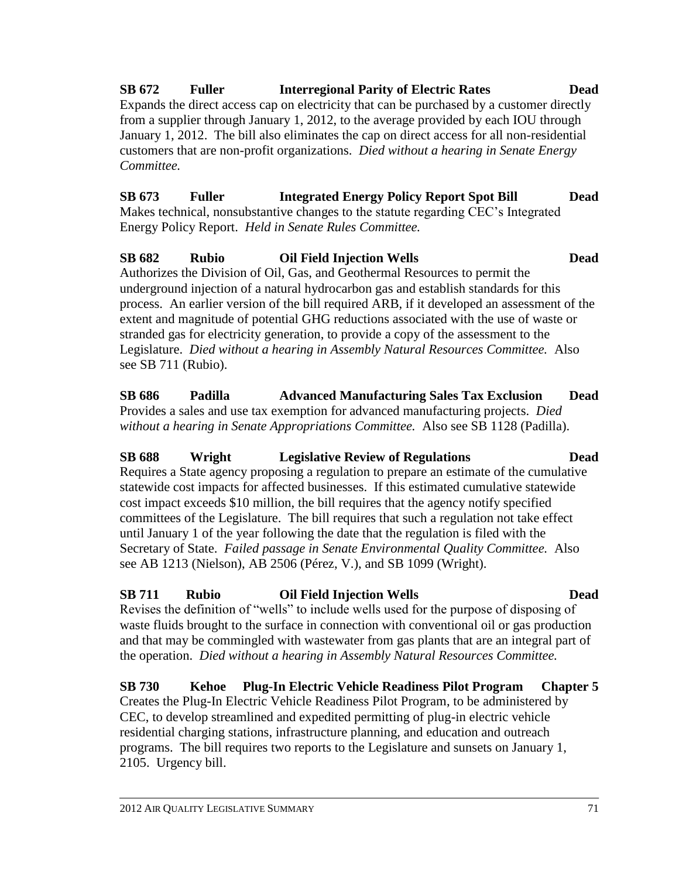#### **SB 672 Fuller Interregional Parity of Electric Rates Dead** Expands the direct access cap on electricity that can be purchased by a customer directly from a supplier through January 1, 2012, to the average provided by each IOU through January 1, 2012. The bill also eliminates the cap on direct access for all non-residential customers that are non-profit organizations. *Died without a hearing in Senate Energy Committee.*

**SB 673 Fuller Integrated Energy Policy Report Spot Bill Dead** Makes technical, nonsubstantive changes to the statute regarding CEC's Integrated Energy Policy Report. *Held in Senate Rules Committee.*

## **SB 682 Rubio Oil Field Injection Wells Dead** Authorizes the Division of Oil, Gas, and Geothermal Resources to permit the

underground injection of a natural hydrocarbon gas and establish standards for this process. An earlier version of the bill required ARB, if it developed an assessment of the extent and magnitude of potential GHG reductions associated with the use of waste or stranded gas for electricity generation, to provide a copy of the assessment to the Legislature. *Died without a hearing in Assembly Natural Resources Committee.* Also see SB 711 (Rubio).

**SB 686 Padilla Advanced Manufacturing Sales Tax Exclusion Dead** Provides a sales and use tax exemption for advanced manufacturing projects. *Died without a hearing in Senate Appropriations Committee.* Also see SB 1128 (Padilla).

**SB 688 Wright Legislative Review of Regulations Dead** Requires a State agency proposing a regulation to prepare an estimate of the cumulative statewide cost impacts for affected businesses. If this estimated cumulative statewide cost impact exceeds \$10 million, the bill requires that the agency notify specified committees of the Legislature. The bill requires that such a regulation not take effect until January 1 of the year following the date that the regulation is filed with the Secretary of State. *Failed passage in Senate Environmental Quality Committee.* Also see AB 1213 (Nielson), AB 2506 (Pérez, V.), and SB 1099 (Wright).

# **SB 711 Rubio Oil Field Injection Wells Dead**

Revises the definition of "wells" to include wells used for the purpose of disposing of waste fluids brought to the surface in connection with conventional oil or gas production and that may be commingled with wastewater from gas plants that are an integral part of the operation. *Died without a hearing in Assembly Natural Resources Committee.*

# **SB 730 Kehoe Plug-In Electric Vehicle Readiness Pilot Program Chapter 5**

Creates the Plug-In Electric Vehicle Readiness Pilot Program, to be administered by CEC, to develop streamlined and expedited permitting of plug-in electric vehicle residential charging stations, infrastructure planning, and education and outreach programs. The bill requires two reports to the Legislature and sunsets on January 1, 2105. Urgency bill.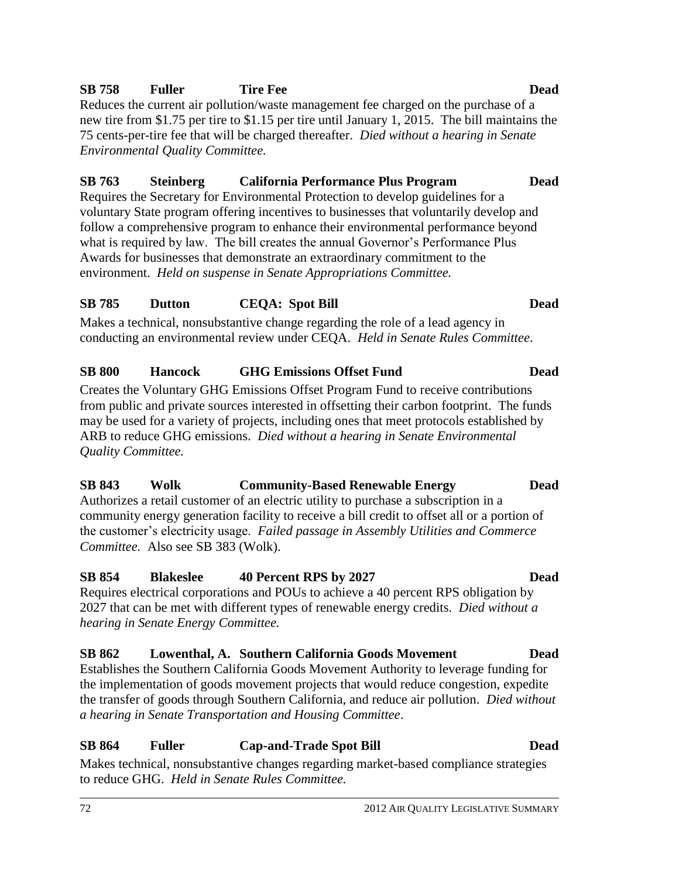the customer's electricity usage. *Failed passage in Assembly Utilities and Commerce Committee.* Also see SB 383 (Wolk).

**SB 854 Blakeslee 40 Percent RPS by 2027 Dead**

Requires electrical corporations and POUs to achieve a 40 percent RPS obligation by 2027 that can be met with different types of renewable energy credits. *Died without a hearing in Senate Energy Committee.*

### **SB 862 Lowenthal, A. Southern California Goods Movement Dead**

Establishes the Southern California Goods Movement Authority to leverage funding for the implementation of goods movement projects that would reduce congestion, expedite the transfer of goods through Southern California, and reduce air pollution. *Died without a hearing in Senate Transportation and Housing Committee*.

### **SB 864 Fuller Cap-and-Trade Spot Bill Dead**

Makes technical, nonsubstantive changes regarding market-based compliance strategies to reduce GHG. *Held in Senate Rules Committee.*

Reduces the current air pollution/waste management fee charged on the purchase of a new tire from \$1.75 per tire to \$1.15 per tire until January 1, 2015. The bill maintains the 75 cents-per-tire fee that will be charged thereafter. *Died without a hearing in Senate Environmental Quality Committee.*

### **SB 763 Steinberg California Performance Plus Program Dead**

Requires the Secretary for Environmental Protection to develop guidelines for a voluntary State program offering incentives to businesses that voluntarily develop and follow a comprehensive program to enhance their environmental performance beyond what is required by law. The bill creates the annual Governor's Performance Plus Awards for businesses that demonstrate an extraordinary commitment to the environment. *Held on suspense in Senate Appropriations Committee.*

## **SB 785 Dutton CEQA: Spot Bill Dead**

Makes a technical, nonsubstantive change regarding the role of a lead agency in conducting an environmental review under CEQA. *Held in Senate Rules Committee*.

### **SB 800 Hancock GHG Emissions Offset Fund Dead**

Creates the Voluntary GHG Emissions Offset Program Fund to receive contributions from public and private sources interested in offsetting their carbon footprint. The funds may be used for a variety of projects, including ones that meet protocols established by ARB to reduce GHG emissions. *Died without a hearing in Senate Environmental Quality Committee.*

# **SB 843 Wolk Community-Based Renewable Energy Dead**

Authorizes a retail customer of an electric utility to purchase a subscription in a community energy generation facility to receive a bill credit to offset all or a portion of

72 2012 AIR QUALITY LEGISLATIVE SUMMARY

#### **SB 758 Fuller Tire Fee Dead**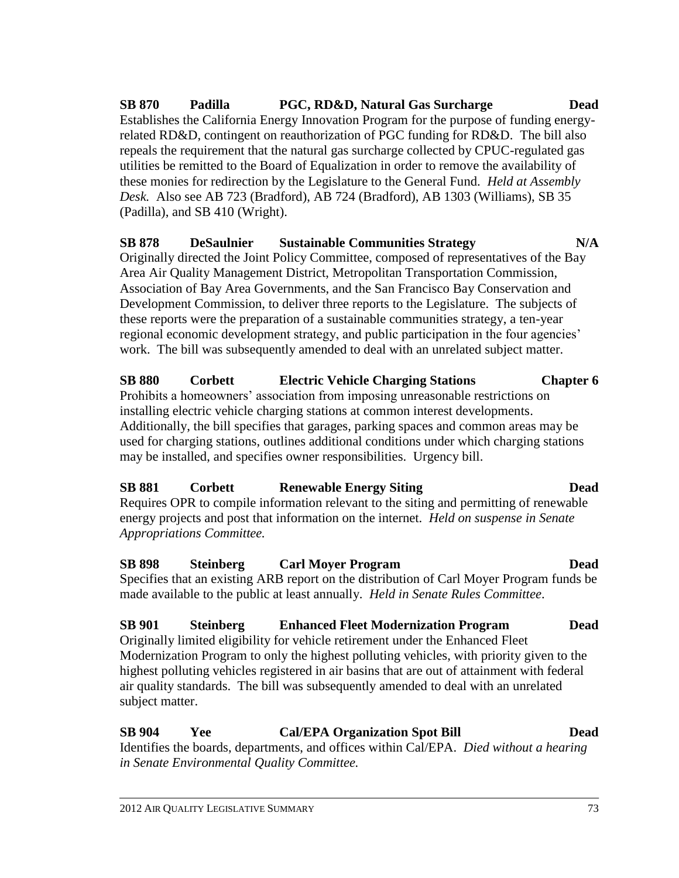**SB 870 Padilla PGC, RD&D, Natural Gas Surcharge Dead** Establishes the California Energy Innovation Program for the purpose of funding energyrelated RD&D, contingent on reauthorization of PGC funding for RD&D. The bill also repeals the requirement that the natural gas surcharge collected by CPUC-regulated gas utilities be remitted to the Board of Equalization in order to remove the availability of these monies for redirection by the Legislature to the General Fund. *Held at Assembly Desk.* Also see AB 723 (Bradford), AB 724 (Bradford), AB 1303 (Williams), SB 35 (Padilla), and SB 410 (Wright).

# **SB 878 DeSaulnier Sustainable Communities Strategy N/A**

Originally directed the Joint Policy Committee, composed of representatives of the Bay Area Air Quality Management District, Metropolitan Transportation Commission, Association of Bay Area Governments, and the San Francisco Bay Conservation and Development Commission, to deliver three reports to the Legislature. The subjects of these reports were the preparation of a sustainable communities strategy, a ten-year regional economic development strategy, and public participation in the four agencies' work. The bill was subsequently amended to deal with an unrelated subject matter.

**SB 880 Corbett Electric Vehicle Charging Stations Chapter 6** Prohibits a homeowners' association from imposing unreasonable restrictions on installing electric vehicle charging stations at common interest developments. Additionally, the bill specifies that garages, parking spaces and common areas may be used for charging stations, outlines additional conditions under which charging stations may be installed, and specifies owner responsibilities. Urgency bill.

# **SB 881 Corbett Renewable Energy Siting Dead**

Requires OPR to compile information relevant to the siting and permitting of renewable energy projects and post that information on the internet. *Held on suspense in Senate Appropriations Committee.*

# **SB 898 Steinberg Carl Moyer Program Dead**

Specifies that an existing ARB report on the distribution of Carl Moyer Program funds be made available to the public at least annually. *Held in Senate Rules Committee*.

# **SB 901 Steinberg Enhanced Fleet Modernization Program Dead**

Originally limited eligibility for vehicle retirement under the Enhanced Fleet Modernization Program to only the highest polluting vehicles, with priority given to the highest polluting vehicles registered in air basins that are out of attainment with federal air quality standards. The bill was subsequently amended to deal with an unrelated subject matter.

# **SB 904 Yee Cal/EPA Organization Spot Bill Dead**

Identifies the boards, departments, and offices within Cal/EPA. *Died without a hearing in Senate Environmental Quality Committee.*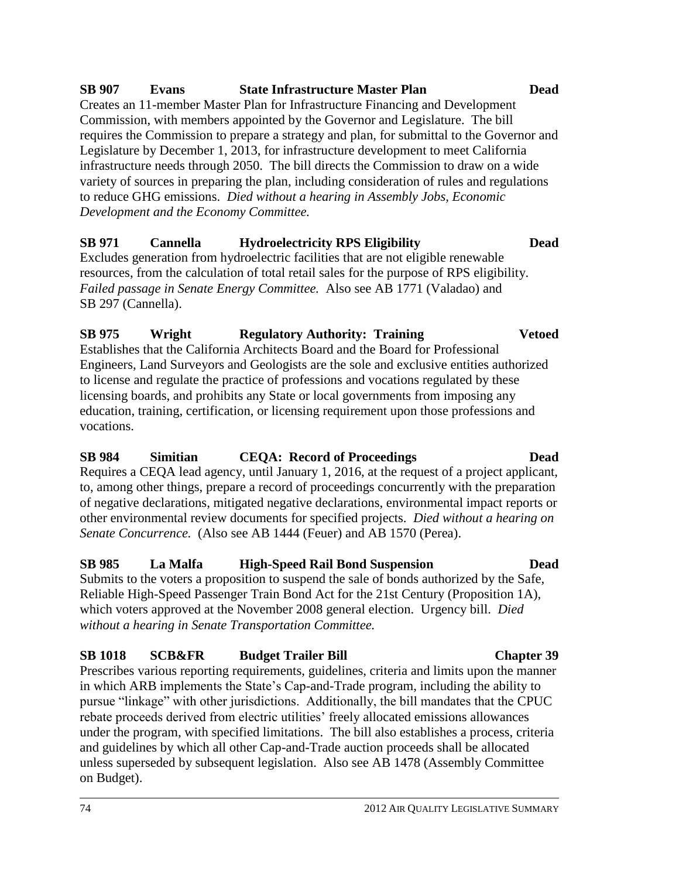#### 74 2012 AIR QUALITY LEGISLATIVE SUMMARY

# **SB 907 Evans State Infrastructure Master Plan Dead**

Creates an 11-member Master Plan for Infrastructure Financing and Development Commission, with members appointed by the Governor and Legislature. The bill requires the Commission to prepare a strategy and plan, for submittal to the Governor and Legislature by December 1, 2013, for infrastructure development to meet California infrastructure needs through 2050. The bill directs the Commission to draw on a wide variety of sources in preparing the plan, including consideration of rules and regulations to reduce GHG emissions. *Died without a hearing in Assembly Jobs, Economic Development and the Economy Committee.*

# **SB 971 Cannella Hydroelectricity RPS Eligibility Dead**

Excludes generation from hydroelectric facilities that are not eligible renewable resources, from the calculation of total retail sales for the purpose of RPS eligibility. *Failed passage in Senate Energy Committee.* Also see AB 1771 (Valadao) and SB 297 (Cannella).

**SB 975 Wright Regulatory Authority: Training Vetoed**

Engineers, Land Surveyors and Geologists are the sole and exclusive entities authorized

### to license and regulate the practice of professions and vocations regulated by these licensing boards, and prohibits any State or local governments from imposing any education, training, certification, or licensing requirement upon those professions and

Establishes that the California Architects Board and the Board for Professional

vocations.

# **SB 984 Simitian CEQA: Record of Proceedings Dead**

Requires a CEQA lead agency, until January 1, 2016, at the request of a project applicant, to, among other things, prepare a record of proceedings concurrently with the preparation of negative declarations, mitigated negative declarations, environmental impact reports or other environmental review documents for specified projects. *Died without a hearing on Senate Concurrence.* (Also see AB 1444 (Feuer) and AB 1570 (Perea).

# **SB 985 La Malfa High-Speed Rail Bond Suspension Dead**

Submits to the voters a proposition to suspend the sale of bonds authorized by the Safe, Reliable High-Speed Passenger Train Bond Act for the 21st Century (Proposition 1A), which voters approved at the November 2008 general election. Urgency bill. *Died without a hearing in Senate Transportation Committee.*

# **SB 1018 SCB&FR Budget Trailer Bill Chapter 39**

Prescribes various reporting requirements, guidelines, criteria and limits upon the manner in which ARB implements the State's Cap-and-Trade program, including the ability to pursue "linkage" with other jurisdictions. Additionally, the bill mandates that the CPUC rebate proceeds derived from electric utilities' freely allocated emissions allowances under the program, with specified limitations. The bill also establishes a process, criteria and guidelines by which all other Cap-and-Trade auction proceeds shall be allocated unless superseded by subsequent legislation. Also see AB 1478 (Assembly Committee on Budget).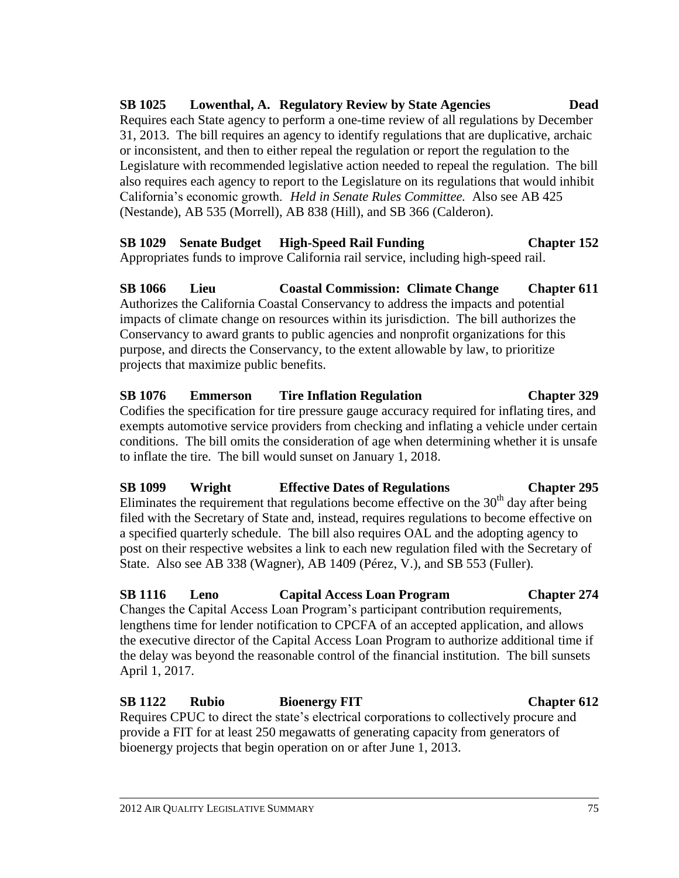**SB 1025 Lowenthal, A. Regulatory Review by State Agencies Dead** Requires each State agency to perform a one-time review of all regulations by December 31, 2013. The bill requires an agency to identify regulations that are duplicative, archaic or inconsistent, and then to either repeal the regulation or report the regulation to the Legislature with recommended legislative action needed to repeal the regulation. The bill also requires each agency to report to the Legislature on its regulations that would inhibit California's economic growth. *Held in Senate Rules Committee.* Also see AB 425 (Nestande), AB 535 (Morrell), AB 838 (Hill), and SB 366 (Calderon).

# **SB 1029 Senate Budget High-Speed Rail Funding Chapter 152**

Appropriates funds to improve California rail service, including high-speed rail.

**SB 1066 Lieu Coastal Commission: Climate Change Chapter 611** Authorizes the California Coastal Conservancy to address the impacts and potential impacts of climate change on resources within its jurisdiction. The bill authorizes the Conservancy to award grants to public agencies and nonprofit organizations for this purpose, and directs the Conservancy, to the extent allowable by law, to prioritize projects that maximize public benefits.

### **SB 1076 Emmerson Tire Inflation Regulation Chapter 329** Codifies the specification for tire pressure gauge accuracy required for inflating tires, and exempts automotive service providers from checking and inflating a vehicle under certain conditions. The bill omits the consideration of age when determining whether it is unsafe to inflate the tire. The bill would sunset on January 1, 2018.

# **SB 1099 Wright Effective Dates of Regulations Chapter 295** Eliminates the requirement that regulations become effective on the  $30<sup>th</sup>$  day after being

filed with the Secretary of State and, instead, requires regulations to become effective on a specified quarterly schedule. The bill also requires OAL and the adopting agency to post on their respective websites a link to each new regulation filed with the Secretary of State. Also see AB 338 (Wagner), AB 1409 (Pérez, V.), and SB 553 (Fuller).

# **SB 1116 Leno Capital Access Loan Program Chapter 274**

Changes the Capital Access Loan Program's participant contribution requirements, lengthens time for lender notification to CPCFA of an accepted application, and allows the executive director of the Capital Access Loan Program to authorize additional time if the delay was beyond the reasonable control of the financial institution. The bill sunsets April 1, 2017.

# **SB 1122 Rubio Bioenergy FIT Chapter 612**

Requires CPUC to direct the state's electrical corporations to collectively procure and provide a FIT for at least 250 megawatts of generating capacity from generators of bioenergy projects that begin operation on or after June 1, 2013.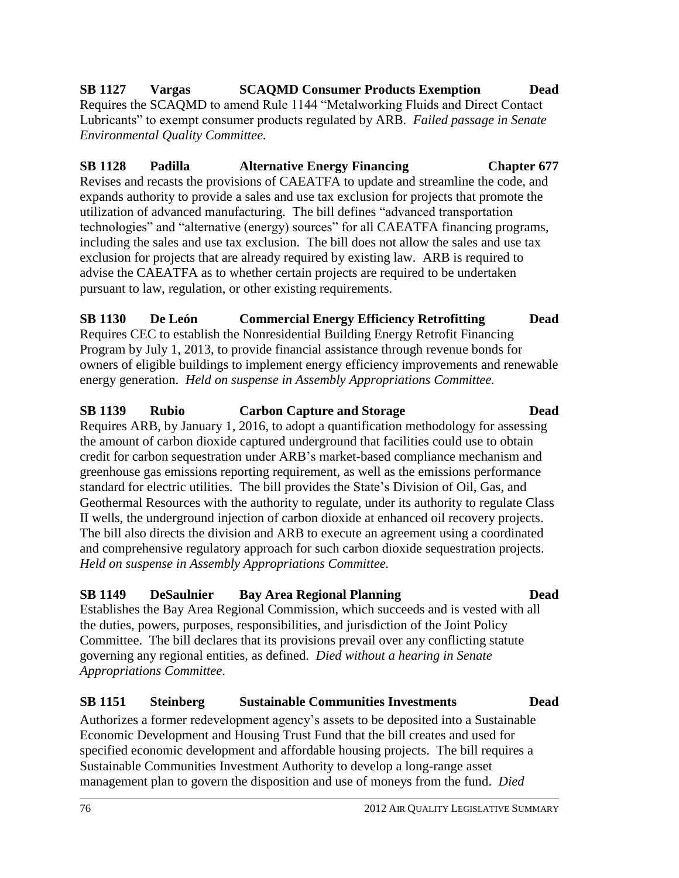### **SB 1127 Vargas SCAQMD Consumer Products Exemption Dead** Requires the SCAQMD to amend Rule 1144 "Metalworking Fluids and Direct Contact Lubricants" to exempt consumer products regulated by ARB. *Failed passage in Senate Environmental Quality Committee.*

**SB 1128 Padilla Alternative Energy Financing Chapter 677** Revises and recasts the provisions of CAEATFA to update and streamline the code, and expands authority to provide a sales and use tax exclusion for projects that promote the utilization of advanced manufacturing. The bill defines "advanced transportation technologies" and "alternative (energy) sources" for all CAEATFA financing programs, including the sales and use tax exclusion. The bill does not allow the sales and use tax exclusion for projects that are already required by existing law. ARB is required to advise the CAEATFA as to whether certain projects are required to be undertaken pursuant to law, regulation, or other existing requirements.

### **SB 1130 De León Commercial Energy Efficiency Retrofitting Dead** Requires CEC to establish the Nonresidential Building Energy Retrofit Financing Program by July 1, 2013, to provide financial assistance through revenue bonds for owners of eligible buildings to implement energy efficiency improvements and renewable energy generation. *Held on suspense in Assembly Appropriations Committee.*

### **SB 1139 Rubio Carbon Capture and Storage Dead** Requires ARB, by January 1, 2016, to adopt a quantification methodology for assessing the amount of carbon dioxide captured underground that facilities could use to obtain credit for carbon sequestration under ARB's market-based compliance mechanism and greenhouse gas emissions reporting requirement, as well as the emissions performance standard for electric utilities. The bill provides the State's Division of Oil, Gas, and Geothermal Resources with the authority to regulate, under its authority to regulate Class II wells, the underground injection of carbon dioxide at enhanced oil recovery projects. The bill also directs the division and ARB to execute an agreement using a coordinated and comprehensive regulatory approach for such carbon dioxide sequestration projects. *Held on suspense in Assembly Appropriations Committee.*

# **SB 1149 DeSaulnier Bay Area Regional Planning Dead**

Establishes the Bay Area Regional Commission, which succeeds and is vested with all the duties, powers, purposes, responsibilities, and jurisdiction of the Joint Policy Committee.The bill declares that its provisions prevail over any conflicting statute governing any regional entities, as defined. *Died without a hearing in Senate Appropriations Committee*.

# **SB 1151 Steinberg Sustainable Communities Investments Dead**

Authorizes a former redevelopment agency's assets to be deposited into a Sustainable Economic Development and Housing Trust Fund that the bill creates and used for specified economic development and affordable housing projects. The bill requires a Sustainable Communities Investment Authority to develop a long-range asset management plan to govern the disposition and use of moneys from the fund. *Died*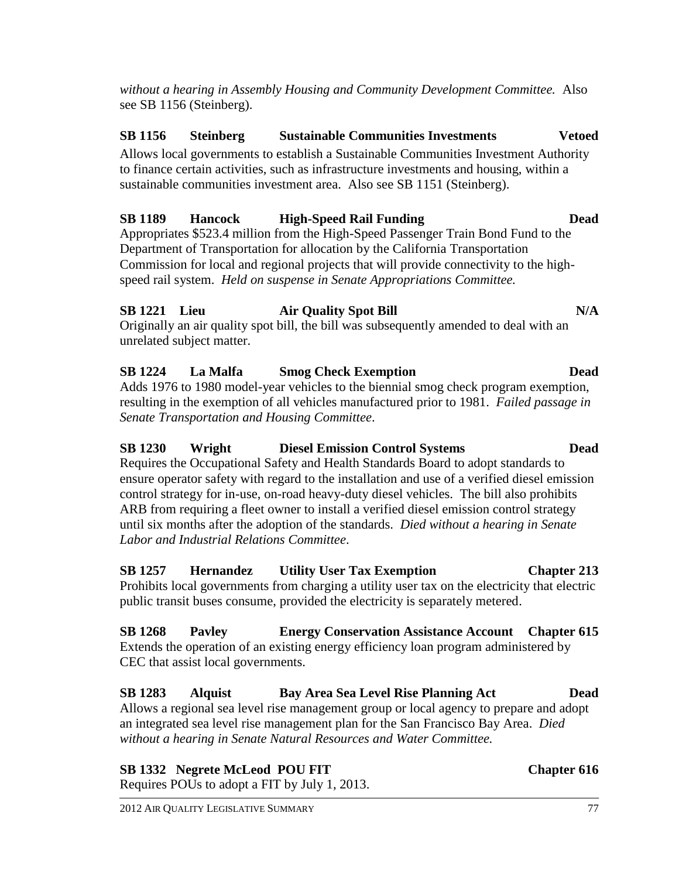*without a hearing in Assembly Housing and Community Development Committee.* Also see SB 1156 (Steinberg).

# **SB 1156 Steinberg Sustainable Communities Investments Vetoed**

Allows local governments to establish a Sustainable Communities Investment Authority to finance certain activities, such as infrastructure investments and housing, within a sustainable communities investment area. Also see SB 1151 (Steinberg).

# **SB 1189 Hancock High-Speed Rail Funding Dead**

Appropriates \$523.4 million from the High-Speed Passenger Train Bond Fund to the Department of Transportation for allocation by the California Transportation Commission for local and regional projects that will provide connectivity to the highspeed rail system. *Held on suspense in Senate Appropriations Committee.*

### **SB 1221 Lieu Air Quality Spot Bill N/A**

Originally an air quality spot bill, the bill was subsequently amended to deal with an unrelated subject matter.

# **SB 1224 La Malfa Smog Check Exemption Dead**

Adds 1976 to 1980 model-year vehicles to the biennial smog check program exemption, resulting in the exemption of all vehicles manufactured prior to 1981. *Failed passage in Senate Transportation and Housing Committee*.

# **SB 1230 Wright Diesel Emission Control Systems Dead** Requires the Occupational Safety and Health Standards Board to adopt standards to

ensure operator safety with regard to the installation and use of a verified diesel emission control strategy for in-use, on-road heavy-duty diesel vehicles. The bill also prohibits ARB from requiring a fleet owner to install a verified diesel emission control strategy until six months after the adoption of the standards. *Died without a hearing in Senate Labor and Industrial Relations Committee*.

### **SB 1257 Hernandez Utility User Tax Exemption Chapter 213** Prohibits local governments from charging a utility user tax on the electricity that electric public transit buses consume, provided the electricity is separately metered.

# **SB 1268 Pavley Energy Conservation Assistance Account Chapter 615** Extends the operation of an existing energy efficiency loan program administered by CEC that assist local governments.

**SB 1283 Alquist Bay Area Sea Level Rise Planning Act Dead** Allows a regional sea level rise management group or local agency to prepare and adopt an integrated sea level rise management plan for the San Francisco Bay Area. *Died without a hearing in Senate Natural Resources and Water Committee.*

**SB 1332 Negrete McLeod POU FIT Chapter 616** Requires POUs to adopt a FIT by July 1, 2013.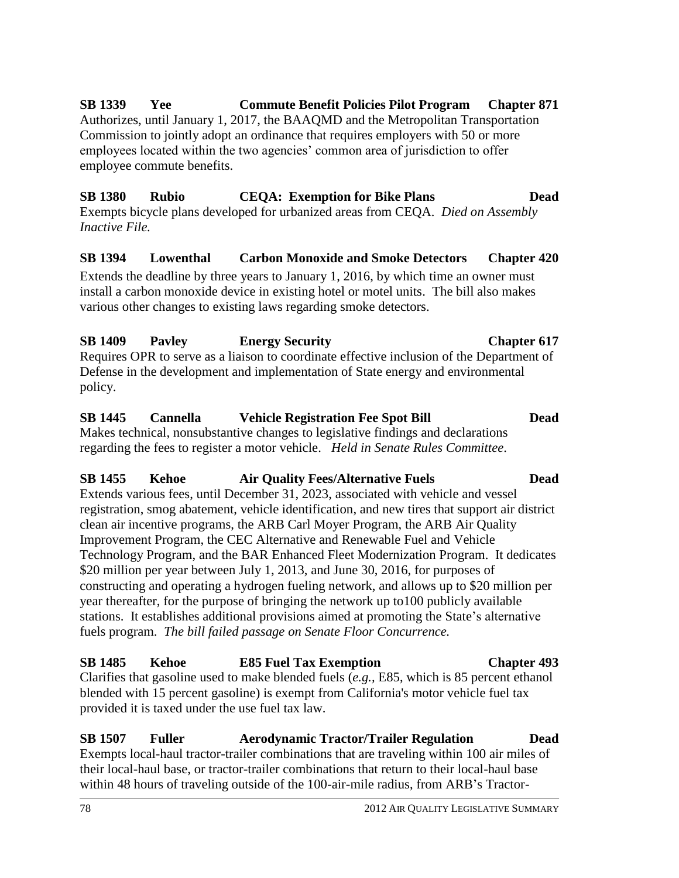**SB 1339 Yee Commute Benefit Policies Pilot Program Chapter 871** Authorizes, until January 1, 2017, the BAAQMD and the Metropolitan Transportation Commission to jointly adopt an ordinance that requires employers with 50 or more employees located within the two agencies' common area of jurisdiction to offer employee commute benefits.

#### **SB 1380 Rubio CEQA: Exemption for Bike Plans Dead** Exempts bicycle plans developed for urbanized areas from CEQA. *Died on Assembly Inactive File.*

# **SB 1394 Lowenthal Carbon Monoxide and Smoke Detectors Chapter 420**

Extends the deadline by three years to January 1, 2016, by which time an owner must install a carbon monoxide device in existing hotel or motel units. The bill also makes various other changes to existing laws regarding smoke detectors.

### **SB 1409 Pavley Energy Security Chapter 617** Requires OPR to serve as a liaison to coordinate effective inclusion of the Department of

Defense in the development and implementation of State energy and environmental policy.

# **SB 1445 Cannella Vehicle Registration Fee Spot Bill Dead**

Makes technical, nonsubstantive changes to legislative findings and declarations regarding the fees to register a motor vehicle. *Held in Senate Rules Committee*.

# **SB 1455 Kehoe Air Quality Fees/Alternative Fuels Dead**

Extends various fees, until December 31, 2023, associated with vehicle and vessel registration, smog abatement, vehicle identification, and new tires that support air district clean air incentive programs, the ARB Carl Moyer Program, the ARB Air Quality Improvement Program, the CEC Alternative and Renewable Fuel and Vehicle Technology Program, and the BAR Enhanced Fleet Modernization Program. It dedicates \$20 million per year between July 1, 2013, and June 30, 2016, for purposes of constructing and operating a hydrogen fueling network, and allows up to \$20 million per year thereafter, for the purpose of bringing the network up to100 publicly available stations. It establishes additional provisions aimed at promoting the State's alternative fuels program. *The bill failed passage on Senate Floor Concurrence.*

# **SB 1485 Kehoe E85 Fuel Tax Exemption Chapter 493**

Clarifies that gasoline used to make blended fuels (*e.g.,* E85, which is 85 percent ethanol blended with 15 percent gasoline) is exempt from California's motor vehicle fuel tax provided it is taxed under the use fuel tax law.

# **SB 1507 Fuller Aerodynamic Tractor/Trailer Regulation Dead**

Exempts local-haul tractor-trailer combinations that are traveling within 100 air miles of their local-haul base, or tractor-trailer combinations that return to their local-haul base within 48 hours of traveling outside of the 100-air-mile radius, from ARB's Tractor-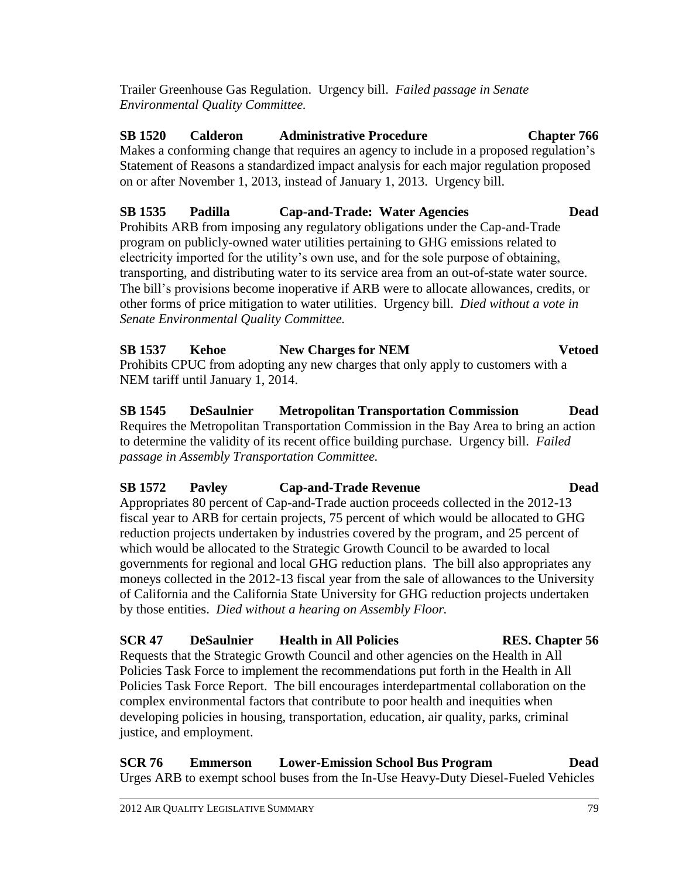justice, and employment.

Trailer Greenhouse Gas Regulation. Urgency bill. *Failed passage in Senate Environmental Quality Committee.*

**SB 1520 Calderon Administrative Procedure Chapter 766** Makes a conforming change that requires an agency to include in a proposed regulation's Statement of Reasons a standardized impact analysis for each major regulation proposed on or after November 1, 2013, instead of January 1, 2013. Urgency bill.

**SB 1535 Padilla Cap-and-Trade: Water Agencies Dead** Prohibits ARB from imposing any regulatory obligations under the Cap-and-Trade program on publicly-owned water utilities pertaining to GHG emissions related to electricity imported for the utility's own use, and for the sole purpose of obtaining, transporting, and distributing water to its service area from an out-of-state water source. The bill's provisions become inoperative if ARB were to allocate allowances, credits, or other forms of price mitigation to water utilities. Urgency bill. *Died without a vote in Senate Environmental Quality Committee.*

**SB 1537 Kehoe New Charges for NEM Vetoed** Prohibits CPUC from adopting any new charges that only apply to customers with a NEM tariff until January 1, 2014.

**SB 1545 DeSaulnier Metropolitan Transportation Commission Dead** Requires the Metropolitan Transportation Commission in the Bay Area to bring an action to determine the validity of its recent office building purchase. Urgency bill. *Failed passage in Assembly Transportation Committee.*

### **SB 1572 Pavley Cap-and-Trade Revenue Dead**

Appropriates 80 percent of Cap-and-Trade auction proceeds collected in the 2012-13 fiscal year to ARB for certain projects, 75 percent of which would be allocated to GHG reduction projects undertaken by industries covered by the program, and 25 percent of which would be allocated to the Strategic Growth Council to be awarded to local governments for regional and local GHG reduction plans. The bill also appropriates any moneys collected in the 2012-13 fiscal year from the sale of allowances to the University of California and the California State University for GHG reduction projects undertaken by those entities. *Died without a hearing on Assembly Floor.*

### **SCR 47 DeSaulnier Health in All Policies RES. Chapter 56** Requests that the Strategic Growth Council and other agencies on the Health in All Policies Task Force to implement the recommendations put forth in the Health in All Policies Task Force Report. The bill encourages interdepartmental collaboration on the complex environmental factors that contribute to poor health and inequities when developing policies in housing, transportation, education, air quality, parks, criminal

**SCR 76 Emmerson Lower-Emission School Bus Program Dead** Urges ARB to exempt school buses from the In-Use Heavy-Duty Diesel-Fueled Vehicles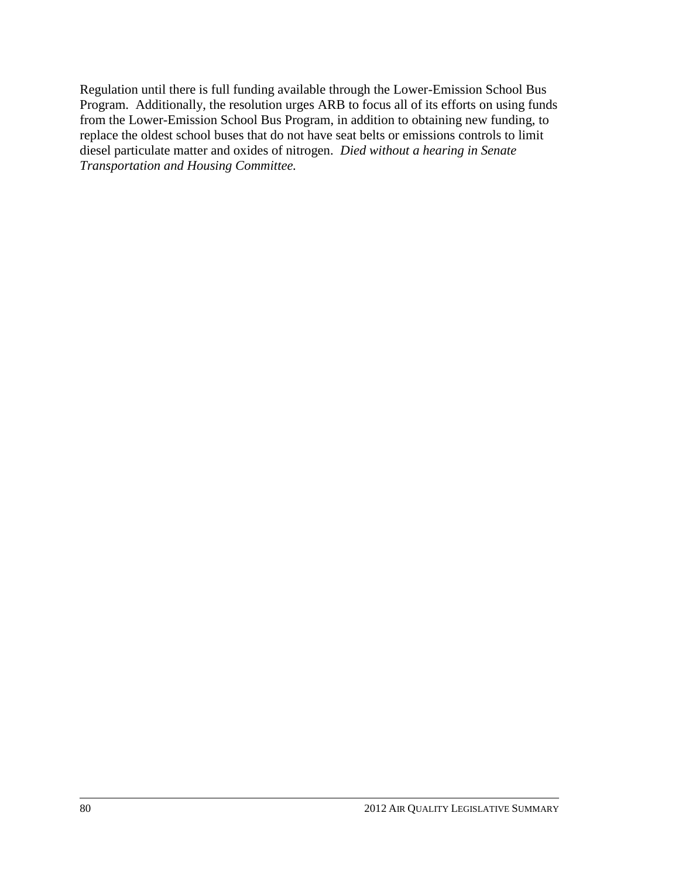Regulation until there is full funding available through the Lower-Emission School Bus Program. Additionally, the resolution urges ARB to focus all of its efforts on using funds from the Lower-Emission School Bus Program, in addition to obtaining new funding, to replace the oldest school buses that do not have seat belts or emissions controls to limit diesel particulate matter and oxides of nitrogen. *Died without a hearing in Senate Transportation and Housing Committee.*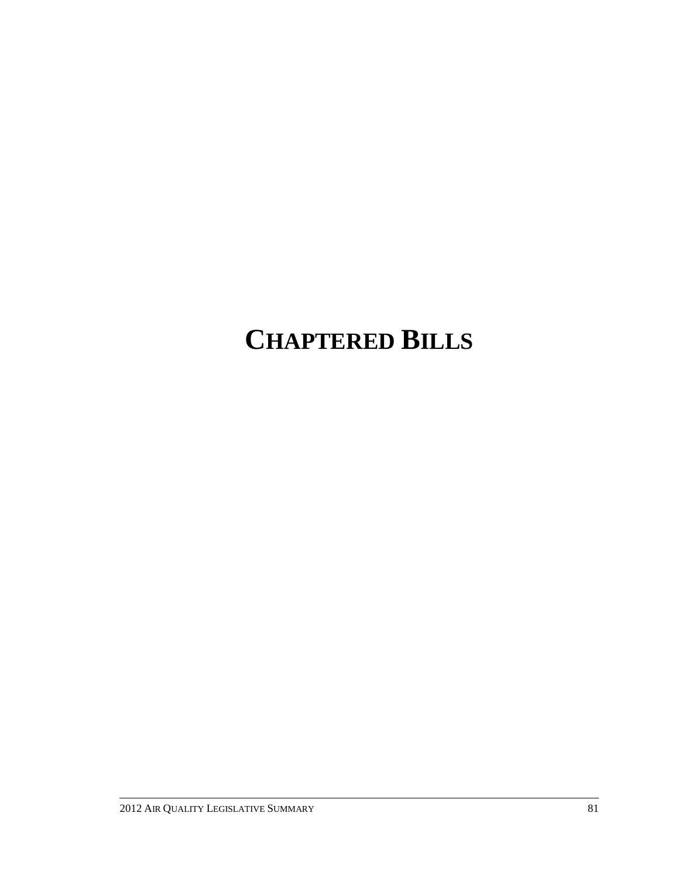# **CHAPTERED BILLS**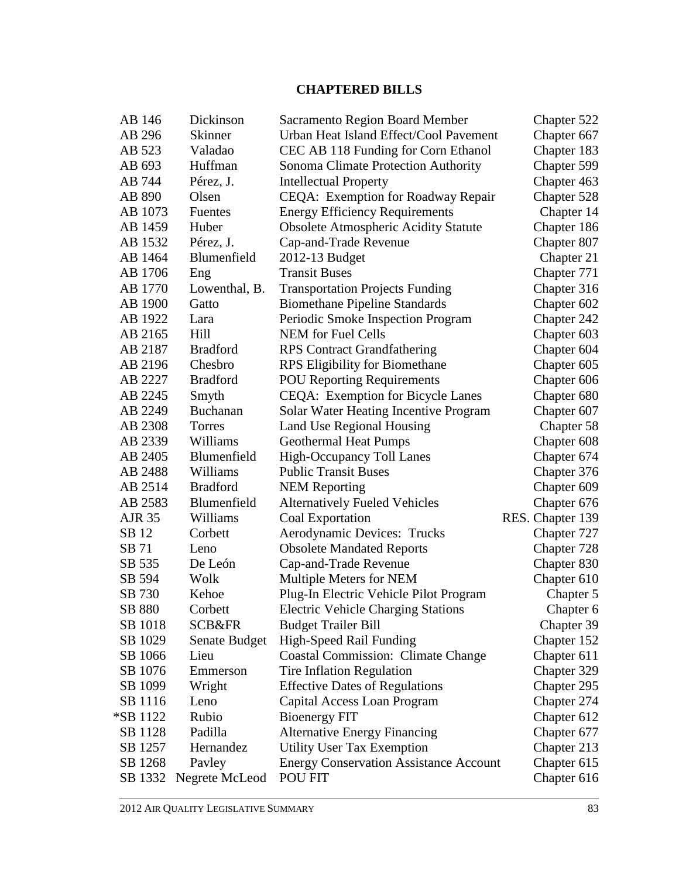# **CHAPTERED BILLS**

| AB 146        | Dickinson         | <b>Sacramento Region Board Member</b>         | Chapter 522      |
|---------------|-------------------|-----------------------------------------------|------------------|
| AB 296        | <b>Skinner</b>    | Urban Heat Island Effect/Cool Pavement        | Chapter 667      |
| AB 523        | Valadao           | CEC AB 118 Funding for Corn Ethanol           | Chapter 183      |
| AB 693        | Huffman           | Sonoma Climate Protection Authority           | Chapter 599      |
| AB 744        | Pérez, J.         | <b>Intellectual Property</b>                  | Chapter 463      |
| AB 890        | Olsen             | CEQA: Exemption for Roadway Repair            | Chapter 528      |
| AB 1073       | <b>Fuentes</b>    | <b>Energy Efficiency Requirements</b>         | Chapter 14       |
| AB 1459       | Huber             | <b>Obsolete Atmospheric Acidity Statute</b>   | Chapter 186      |
| AB 1532       | Pérez, J.         | Cap-and-Trade Revenue                         | Chapter 807      |
| AB 1464       | Blumenfield       | 2012-13 Budget                                | Chapter 21       |
| AB 1706       | Eng               | <b>Transit Buses</b>                          | Chapter 771      |
| AB 1770       | Lowenthal, B.     | <b>Transportation Projects Funding</b>        | Chapter 316      |
| AB 1900       | Gatto             | <b>Biomethane Pipeline Standards</b>          | Chapter 602      |
| AB 1922       | Lara              | Periodic Smoke Inspection Program             | Chapter 242      |
| AB 2165       | Hill              | <b>NEM</b> for Fuel Cells                     | Chapter 603      |
| AB 2187       | <b>Bradford</b>   | <b>RPS</b> Contract Grandfathering            | Chapter 604      |
| AB 2196       | Chesbro           | <b>RPS</b> Eligibility for Biomethane         | Chapter 605      |
| AB 2227       | <b>Bradford</b>   | <b>POU Reporting Requirements</b>             | Chapter 606      |
| AB 2245       | Smyth             | <b>CEQA: Exemption for Bicycle Lanes</b>      | Chapter 680      |
| AB 2249       | Buchanan          | <b>Solar Water Heating Incentive Program</b>  | Chapter 607      |
| AB 2308       | Torres            | Land Use Regional Housing                     | Chapter 58       |
| AB 2339       | Williams          | <b>Geothermal Heat Pumps</b>                  | Chapter 608      |
| AB 2405       | Blumenfield       | <b>High-Occupancy Toll Lanes</b>              | Chapter 674      |
| AB 2488       | Williams          | <b>Public Transit Buses</b>                   | Chapter 376      |
| AB 2514       | <b>Bradford</b>   | <b>NEM Reporting</b>                          | Chapter 609      |
| AB 2583       | Blumenfield       | <b>Alternatively Fueled Vehicles</b>          | Chapter 676      |
| <b>AJR 35</b> | Williams          | Coal Exportation                              | RES. Chapter 139 |
| SB 12         | Corbett           | Aerodynamic Devices: Trucks                   | Chapter 727      |
| SB 71         | Leno              | <b>Obsolete Mandated Reports</b>              | Chapter 728      |
| SB 535        | De León           | Cap-and-Trade Revenue                         | Chapter 830      |
| SB 594        | Wolk              | Multiple Meters for NEM                       | Chapter 610      |
| SB 730        | Kehoe             | Plug-In Electric Vehicle Pilot Program        | Chapter 5        |
| SB 880        | Corbett           | <b>Electric Vehicle Charging Stations</b>     | Chapter 6        |
| SB 1018       | <b>SCB&amp;FR</b> | <b>Budget Trailer Bill</b>                    | Chapter 39       |
| SB 1029       | Senate Budget     | High-Speed Rail Funding                       | Chapter 152      |
| SB 1066       | Lieu              | <b>Coastal Commission: Climate Change</b>     | Chapter 611      |
| SB 1076       | Emmerson          | <b>Tire Inflation Regulation</b>              | Chapter 329      |
| SB 1099       | Wright            | <b>Effective Dates of Regulations</b>         | Chapter 295      |
| SB 1116       | Leno              | Capital Access Loan Program                   | Chapter 274      |
| *SB 1122      | Rubio             | <b>Bioenergy FIT</b>                          | Chapter 612      |
| SB 1128       | Padilla           | <b>Alternative Energy Financing</b>           | Chapter 677      |
| SB 1257       | Hernandez         | <b>Utility User Tax Exemption</b>             | Chapter 213      |
| SB 1268       | Payley            | <b>Energy Conservation Assistance Account</b> | Chapter 615      |
| SB 1332       | Negrete McLeod    | POU FIT                                       | Chapter 616      |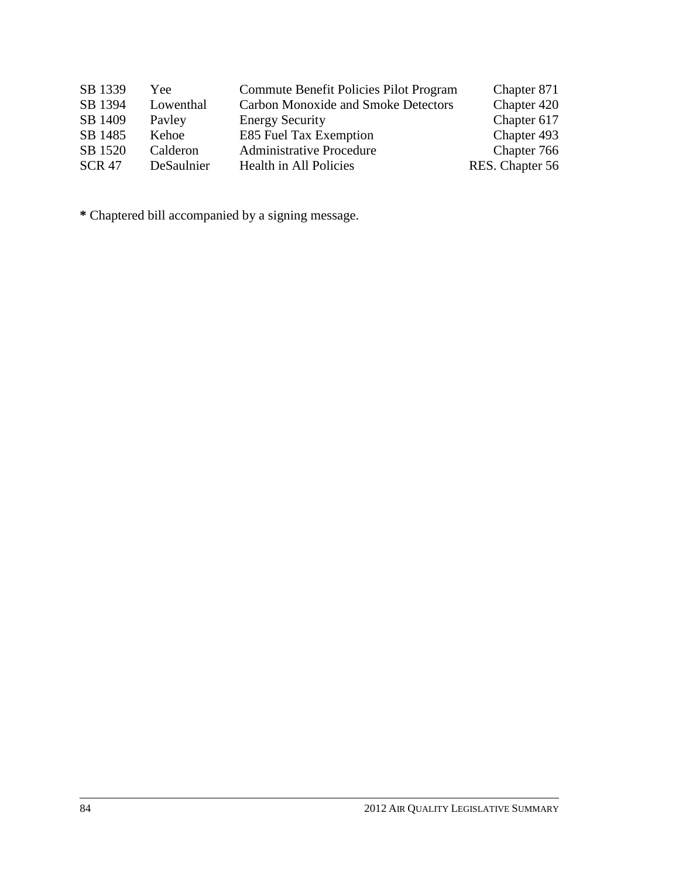| SB 1339       | Yee        | Commute Benefit Policies Pilot Program     | Chapter 871     |
|---------------|------------|--------------------------------------------|-----------------|
| SB 1394       | Lowenthal  | <b>Carbon Monoxide and Smoke Detectors</b> | Chapter 420     |
| SB 1409       | Payley     | <b>Energy Security</b>                     | Chapter 617     |
| SB 1485       | Kehoe      | E85 Fuel Tax Exemption                     | Chapter 493     |
| SB 1520       | Calderon   | <b>Administrative Procedure</b>            | Chapter 766     |
| <b>SCR 47</b> | DeSaulnier | Health in All Policies                     | RES. Chapter 56 |

**\*** Chaptered bill accompanied by a signing message.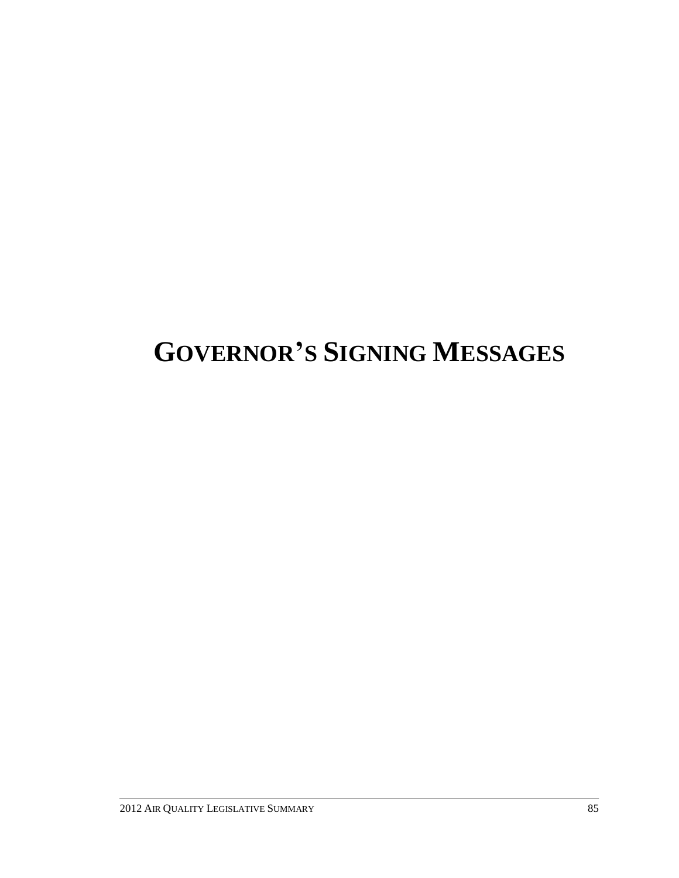# **GOVERNOR'S SIGNING MESSAGES**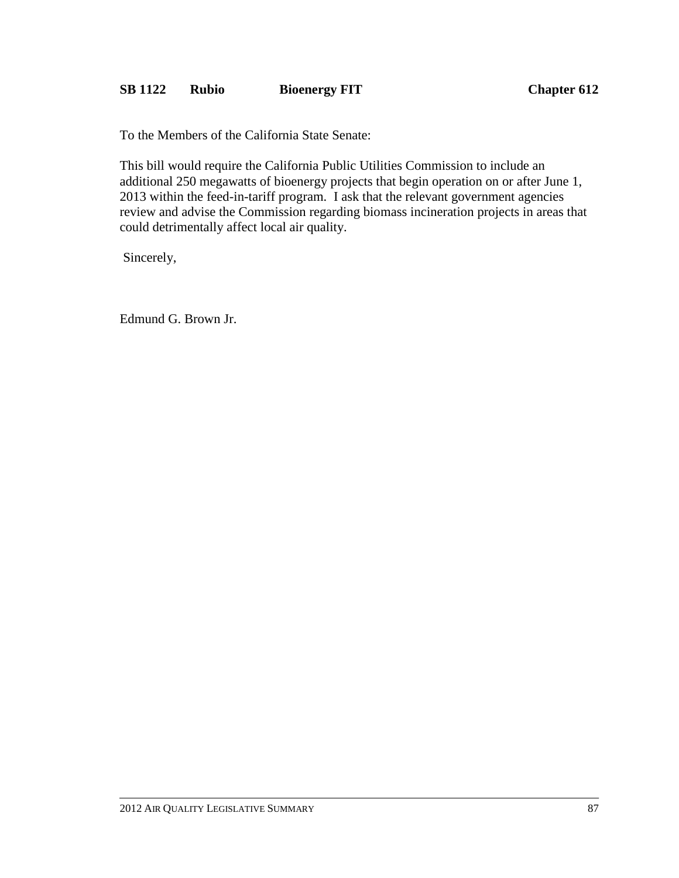### **SB 1122 Rubio Bioenergy FIT Chapter 612**

To the Members of the California State Senate:

This bill would require the California Public Utilities Commission to include an additional 250 megawatts of bioenergy projects that begin operation on or after June 1, 2013 within the feed-in-tariff program. I ask that the relevant government agencies review and advise the Commission regarding biomass incineration projects in areas that could detrimentally affect local air quality.

Sincerely,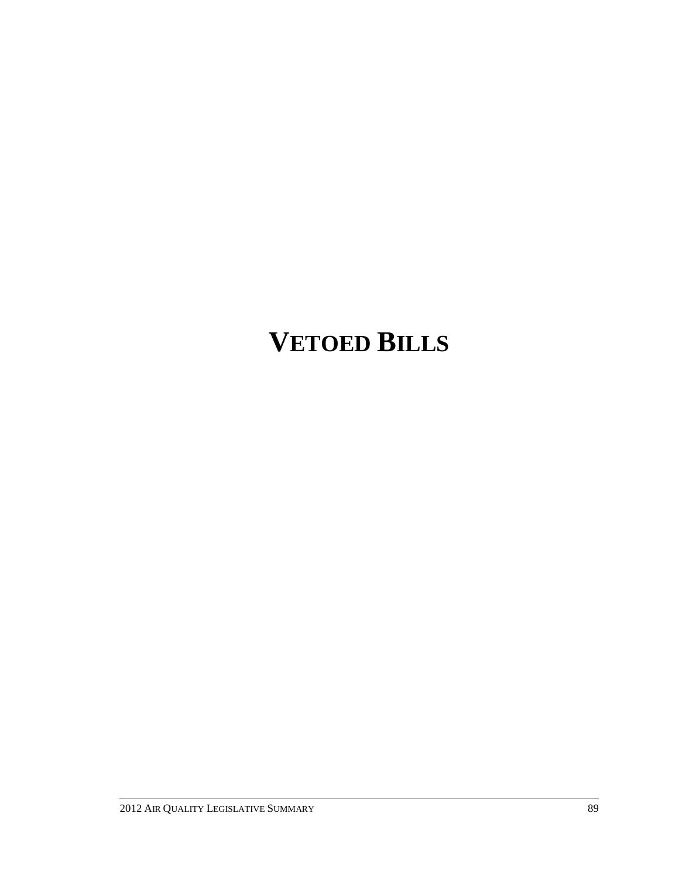# **VETOED BILLS**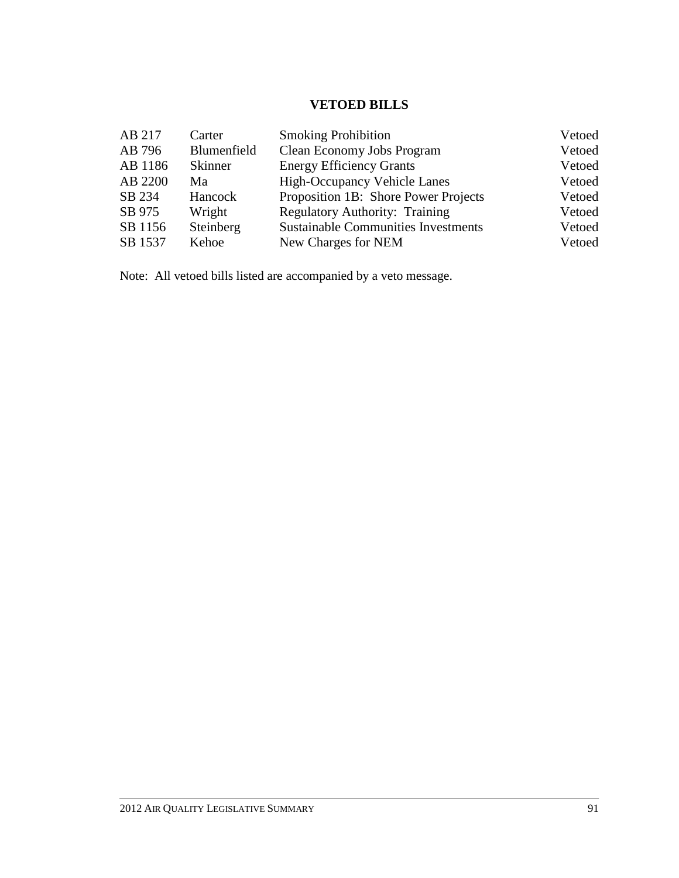# **VETOED BILLS**

| AB 217  | Carter         | <b>Smoking Prohibition</b>                 | Vetoed |
|---------|----------------|--------------------------------------------|--------|
| AB 796  | Blumenfield    | Clean Economy Jobs Program                 | Vetoed |
| AB 1186 | <b>Skinner</b> | <b>Energy Efficiency Grants</b>            | Vetoed |
| AB 2200 | Ma             | <b>High-Occupancy Vehicle Lanes</b>        | Vetoed |
| SB 234  | Hancock        | Proposition 1B: Shore Power Projects       | Vetoed |
| SB 975  | Wright         | <b>Regulatory Authority: Training</b>      | Vetoed |
| SB 1156 | Steinberg      | <b>Sustainable Communities Investments</b> | Vetoed |
| SB 1537 | Kehoe          | New Charges for NEM                        | Vetoed |

Note: All vetoed bills listed are accompanied by a veto message.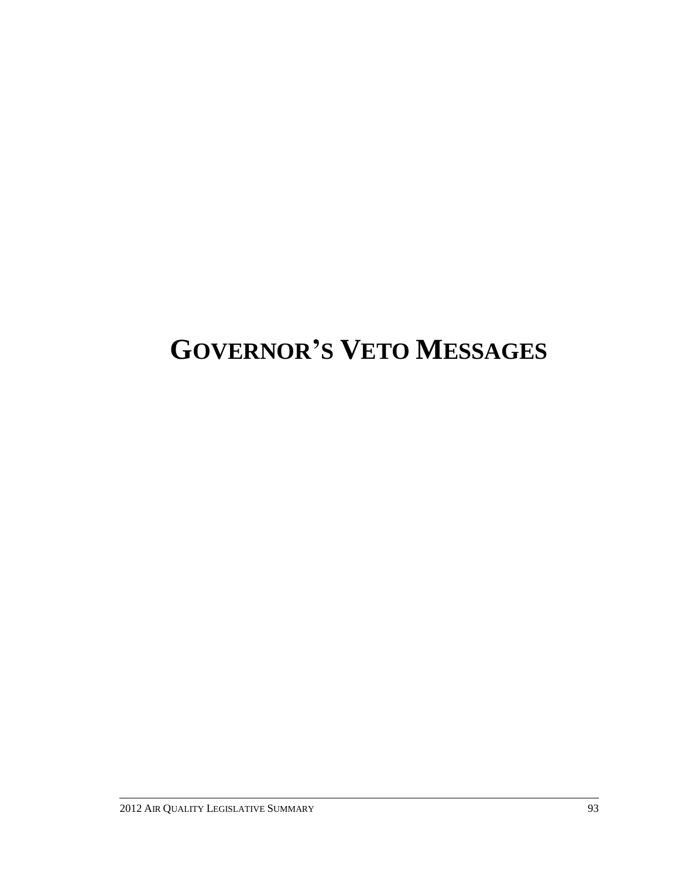# **GOVERNOR'S VETO MESSAGES**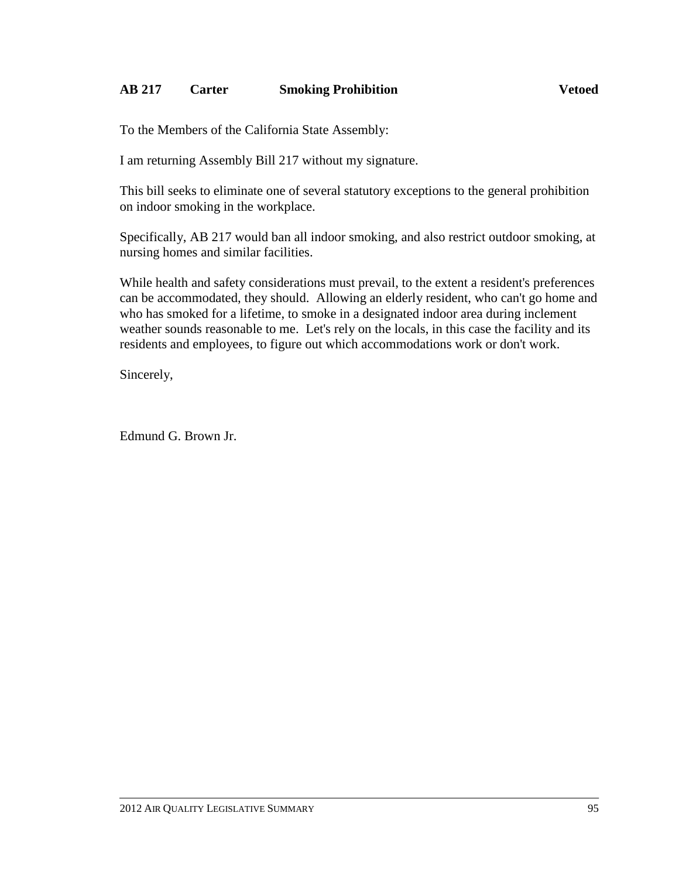### **AB 217 Carter Smoking Prohibition Vetoed**

To the Members of the California State Assembly:

I am returning Assembly Bill 217 without my signature.

This bill seeks to eliminate one of several statutory exceptions to the general prohibition on indoor smoking in the workplace.

Specifically, AB 217 would ban all indoor smoking, and also restrict outdoor smoking, at nursing homes and similar facilities.

While health and safety considerations must prevail, to the extent a resident's preferences can be accommodated, they should. Allowing an elderly resident, who can't go home and who has smoked for a lifetime, to smoke in a designated indoor area during inclement weather sounds reasonable to me. Let's rely on the locals, in this case the facility and its residents and employees, to figure out which accommodations work or don't work.

Sincerely,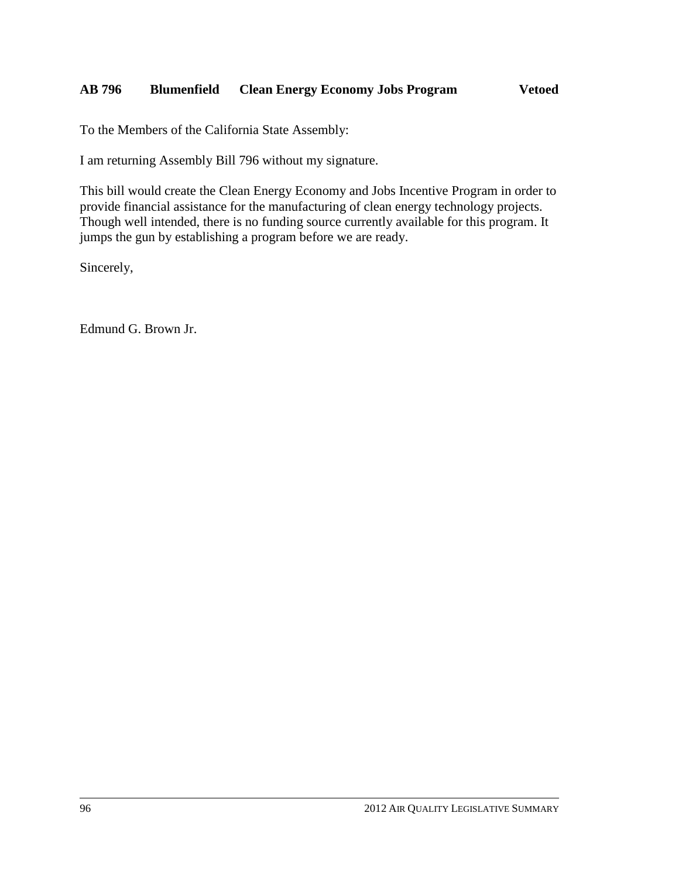### **AB 796 Blumenfield Clean Energy Economy Jobs Program Vetoed**

To the Members of the California State Assembly:

I am returning Assembly Bill 796 without my signature.

This bill would create the Clean Energy Economy and Jobs Incentive Program in order to provide financial assistance for the manufacturing of clean energy technology projects. Though well intended, there is no funding source currently available for this program. It jumps the gun by establishing a program before we are ready.

Sincerely,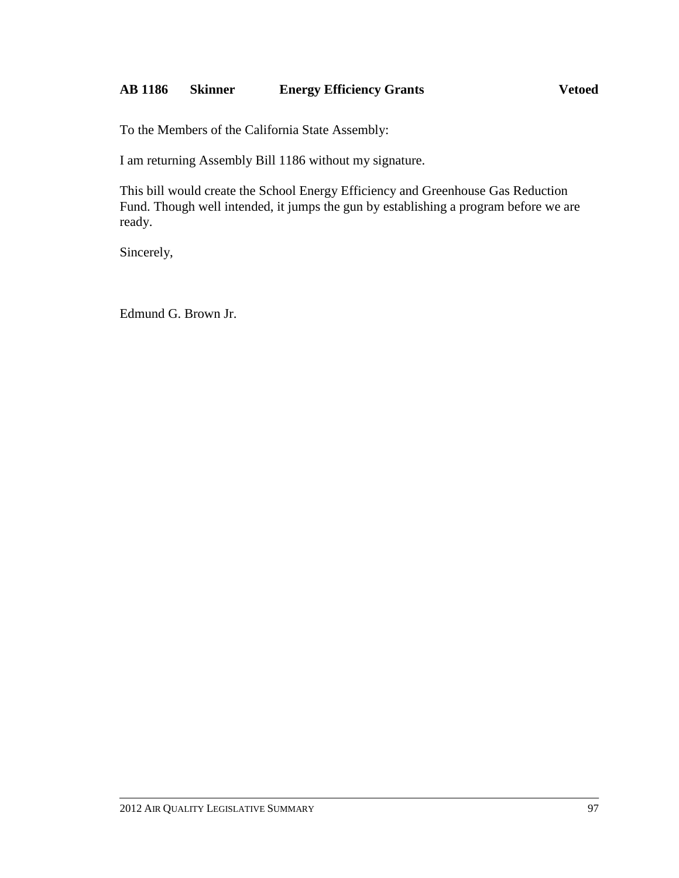### **AB 1186 Skinner Energy Efficiency Grants Vetoed**

To the Members of the California State Assembly:

I am returning Assembly Bill 1186 without my signature.

This bill would create the School Energy Efficiency and Greenhouse Gas Reduction Fund. Though well intended, it jumps the gun by establishing a program before we are ready.

Sincerely,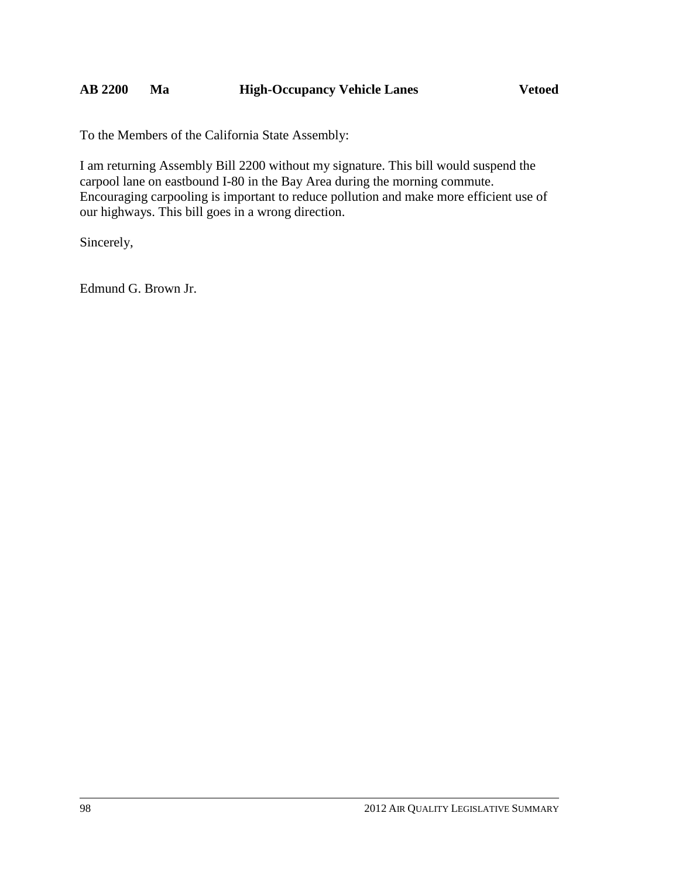To the Members of the California State Assembly:

I am returning Assembly Bill 2200 without my signature. This bill would suspend the carpool lane on eastbound I-80 in the Bay Area during the morning commute. Encouraging carpooling is important to reduce pollution and make more efficient use of our highways. This bill goes in a wrong direction.

Sincerely,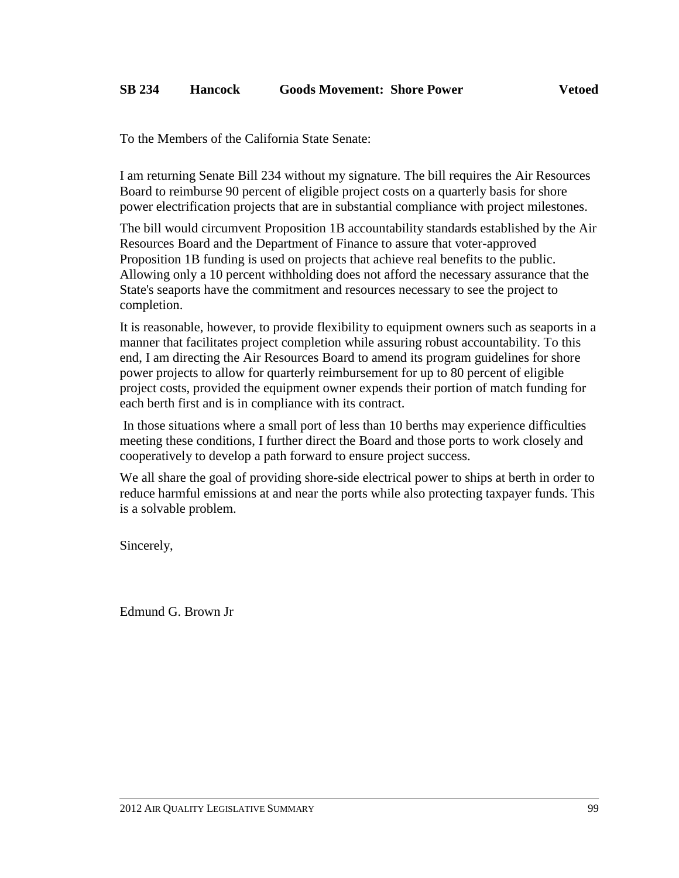To the Members of the California State Senate:

I am returning Senate Bill 234 without my signature. The bill requires the Air Resources Board to reimburse 90 percent of eligible project costs on a quarterly basis for shore power electrification projects that are in substantial compliance with project milestones.

The bill would circumvent Proposition 1B accountability standards established by the Air Resources Board and the Department of Finance to assure that voter-approved Proposition 1B funding is used on projects that achieve real benefits to the public. Allowing only a 10 percent withholding does not afford the necessary assurance that the State's seaports have the commitment and resources necessary to see the project to completion.

It is reasonable, however, to provide flexibility to equipment owners such as seaports in a manner that facilitates project completion while assuring robust accountability. To this end, I am directing the Air Resources Board to amend its program guidelines for shore power projects to allow for quarterly reimbursement for up to 80 percent of eligible project costs, provided the equipment owner expends their portion of match funding for each berth first and is in compliance with its contract.

In those situations where a small port of less than 10 berths may experience difficulties meeting these conditions, I further direct the Board and those ports to work closely and cooperatively to develop a path forward to ensure project success.

We all share the goal of providing shore-side electrical power to ships at berth in order to reduce harmful emissions at and near the ports while also protecting taxpayer funds. This is a solvable problem.

Sincerely,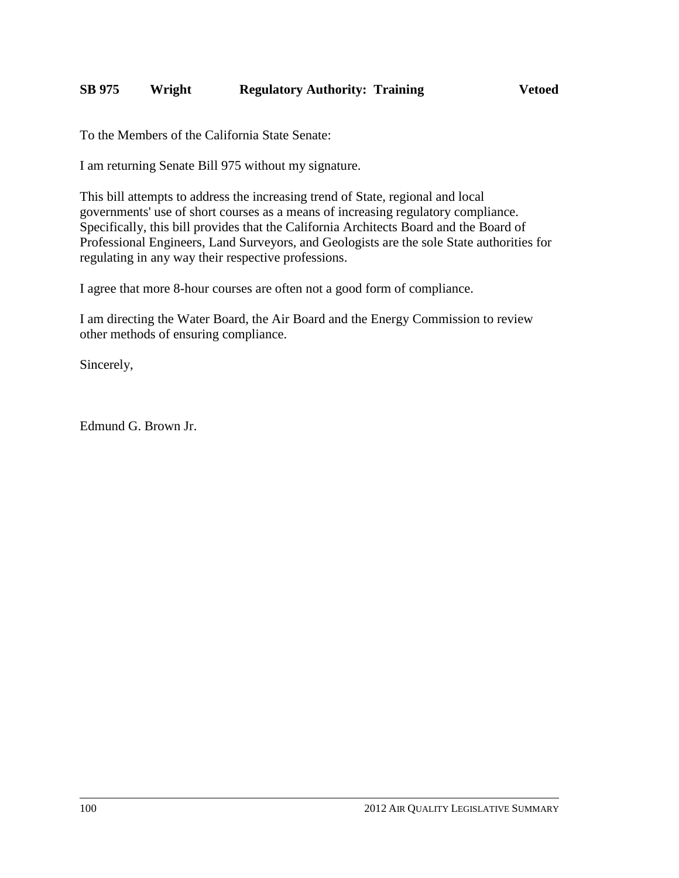### **SB 975 Wright Regulatory Authority: Training Vetoed**

To the Members of the California State Senate:

I am returning Senate Bill 975 without my signature.

This bill attempts to address the increasing trend of State, regional and local governments' use of short courses as a means of increasing regulatory compliance. Specifically, this bill provides that the California Architects Board and the Board of Professional Engineers, Land Surveyors, and Geologists are the sole State authorities for regulating in any way their respective professions.

I agree that more 8-hour courses are often not a good form of compliance.

I am directing the Water Board, the Air Board and the Energy Commission to review other methods of ensuring compliance.

Sincerely,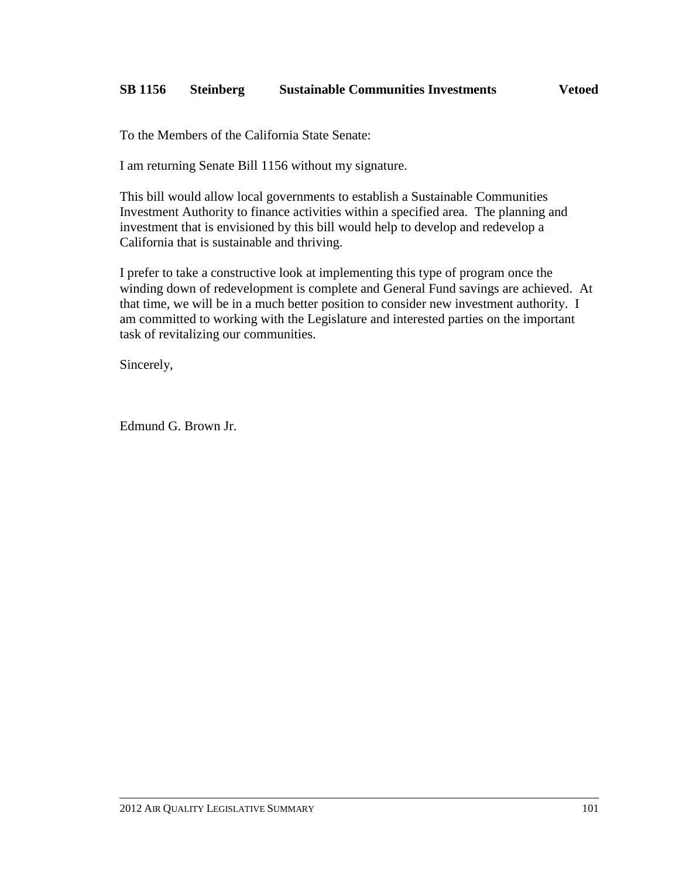## **SB 1156 Steinberg Sustainable Communities Investments Vetoed**

To the Members of the California State Senate:

I am returning Senate Bill 1156 without my signature.

This bill would allow local governments to establish a Sustainable Communities Investment Authority to finance activities within a specified area. The planning and investment that is envisioned by this bill would help to develop and redevelop a California that is sustainable and thriving.

I prefer to take a constructive look at implementing this type of program once the winding down of redevelopment is complete and General Fund savings are achieved. At that time, we will be in a much better position to consider new investment authority. I am committed to working with the Legislature and interested parties on the important task of revitalizing our communities.

Sincerely,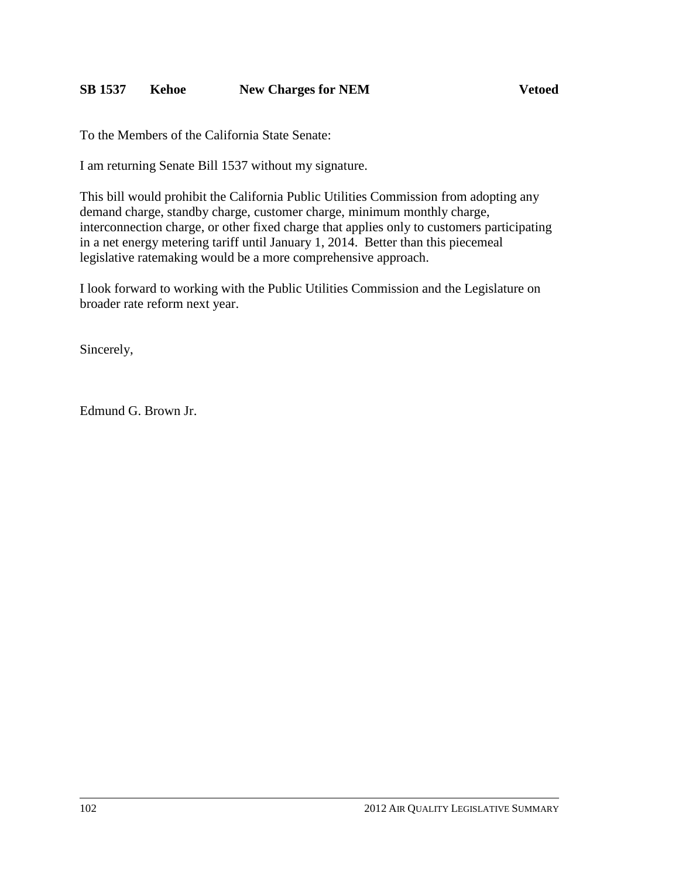### **SB 1537 Kehoe New Charges for NEM Vetoed**

To the Members of the California State Senate:

I am returning Senate Bill 1537 without my signature.

This bill would prohibit the California Public Utilities Commission from adopting any demand charge, standby charge, customer charge, minimum monthly charge, interconnection charge, or other fixed charge that applies only to customers participating in a net energy metering tariff until January 1, 2014. Better than this piecemeal legislative ratemaking would be a more comprehensive approach.

I look forward to working with the Public Utilities Commission and the Legislature on broader rate reform next year.

Sincerely,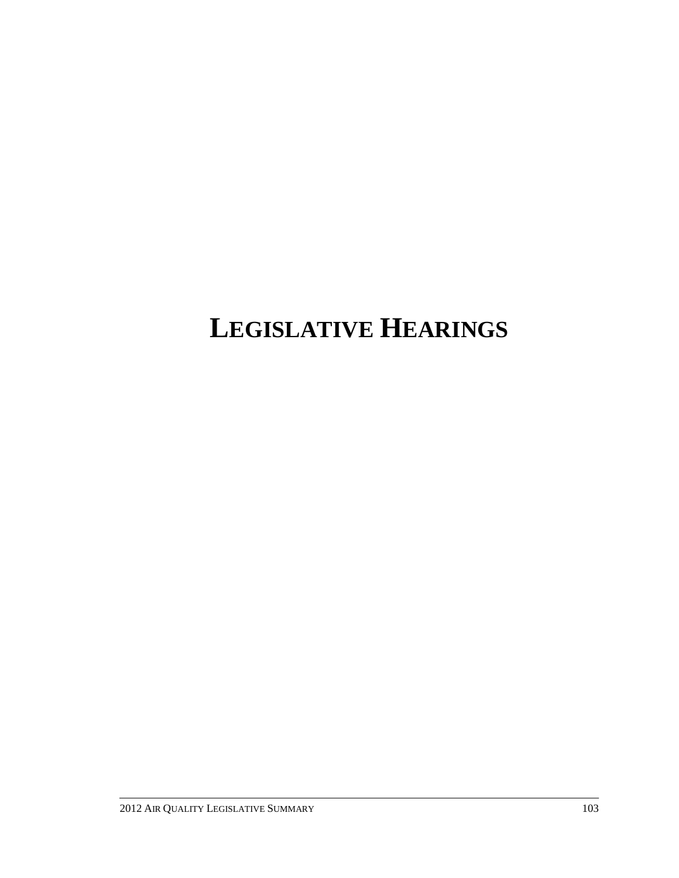## **LEGISLATIVE HEARINGS**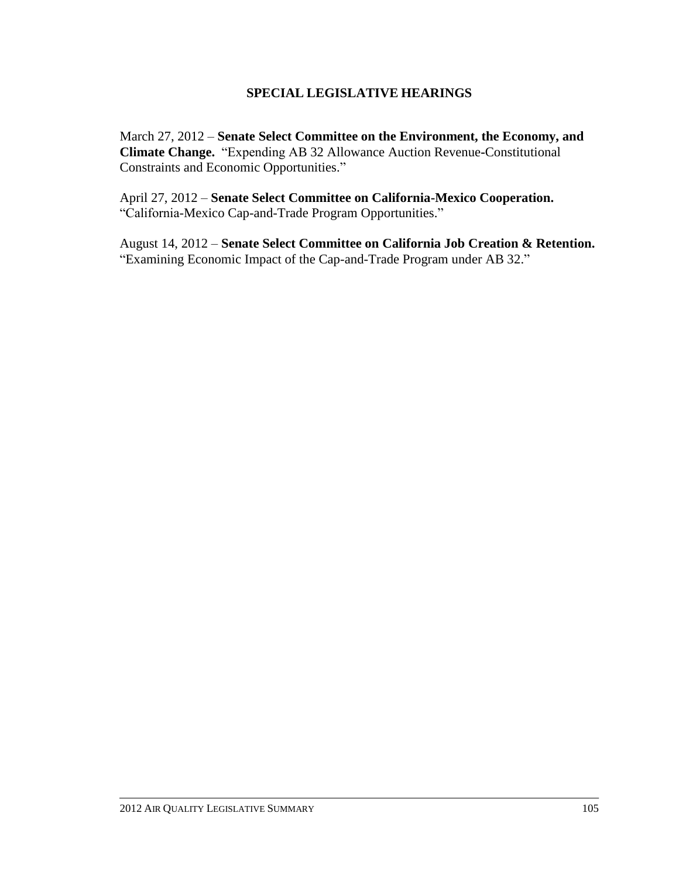#### **SPECIAL LEGISLATIVE HEARINGS**

March 27, 2012 – **Senate Select Committee on the Environment, the Economy, and Climate Change.** ―Expending AB 32 Allowance Auction Revenue**-**Constitutional Constraints and Economic Opportunities."

April 27, 2012 – **Senate Select Committee on California-Mexico Cooperation.** "California-Mexico Cap-and-Trade Program Opportunities."

August 14, 2012 – **Senate Select Committee on California Job Creation & Retention.** "Examining Economic Impact of the Cap-and-Trade Program under AB 32."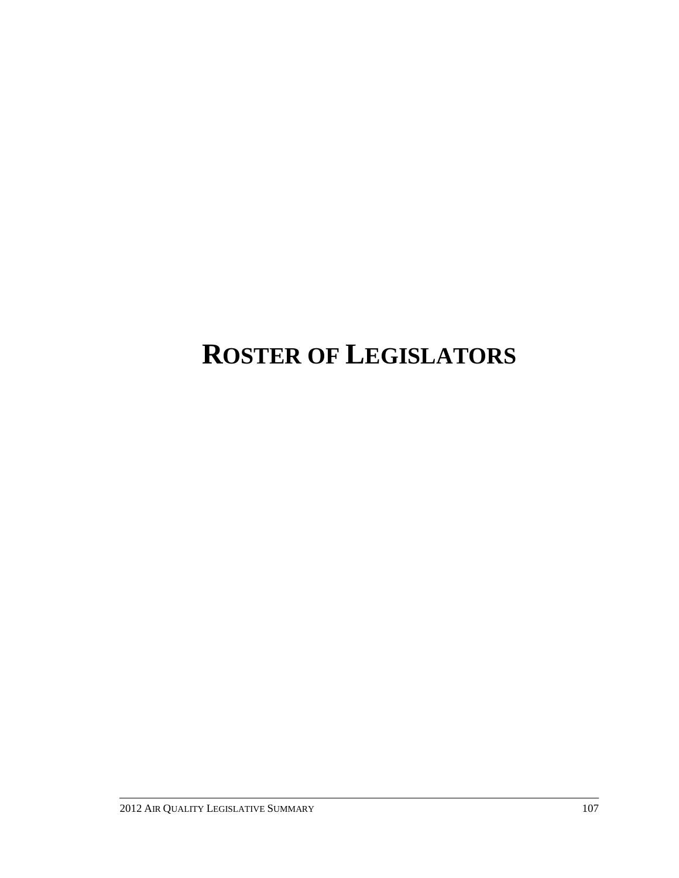# **ROSTER OF LEGISLATORS**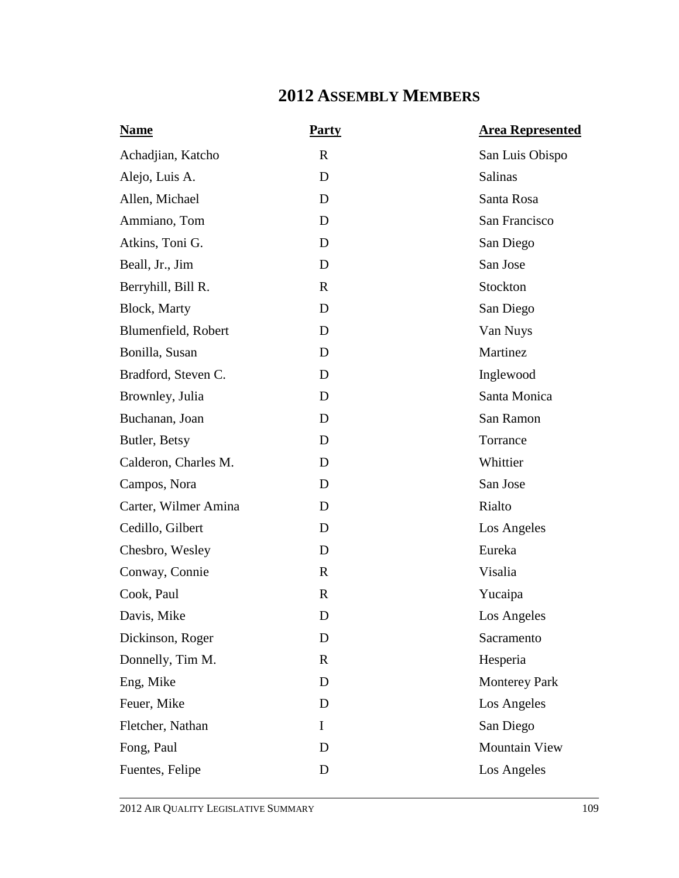### **2012 ASSEMBLY MEMBERS**

| <b>Name</b>          | <b>Party</b> | <b>Area Represented</b> |
|----------------------|--------------|-------------------------|
| Achadjian, Katcho    | $\mathbf R$  | San Luis Obispo         |
| Alejo, Luis A.       | D            | Salinas                 |
| Allen, Michael       | D            | Santa Rosa              |
| Ammiano, Tom         | D            | San Francisco           |
| Atkins, Toni G.      | D            | San Diego               |
| Beall, Jr., Jim      | D            | San Jose                |
| Berryhill, Bill R.   | R            | Stockton                |
| Block, Marty         | D            | San Diego               |
| Blumenfield, Robert  | D            | Van Nuys                |
| Bonilla, Susan       | D            | Martinez                |
| Bradford, Steven C.  | D            | Inglewood               |
| Brownley, Julia      | D            | Santa Monica            |
| Buchanan, Joan       | D            | San Ramon               |
| Butler, Betsy        | D            | Torrance                |
| Calderon, Charles M. | D            | Whittier                |
| Campos, Nora         | D            | San Jose                |
| Carter, Wilmer Amina | D            | Rialto                  |
| Cedillo, Gilbert     | D            | Los Angeles             |
| Chesbro, Wesley      | D            | Eureka                  |
| Conway, Connie       | $\mathbf R$  | Visalia                 |
| Cook, Paul           | $\mathbf R$  | Yucaipa                 |
| Davis, Mike          | D            | Los Angeles             |
| Dickinson, Roger     | D            | Sacramento              |
| Donnelly, Tim M.     | $\mathbf R$  | Hesperia                |
| Eng, Mike            | D            | <b>Monterey Park</b>    |
| Feuer, Mike          | D            | Los Angeles             |
| Fletcher, Nathan     | $\mathbf I$  | San Diego               |
| Fong, Paul           | D            | Mountain View           |
| Fuentes, Felipe      | D            | Los Angeles             |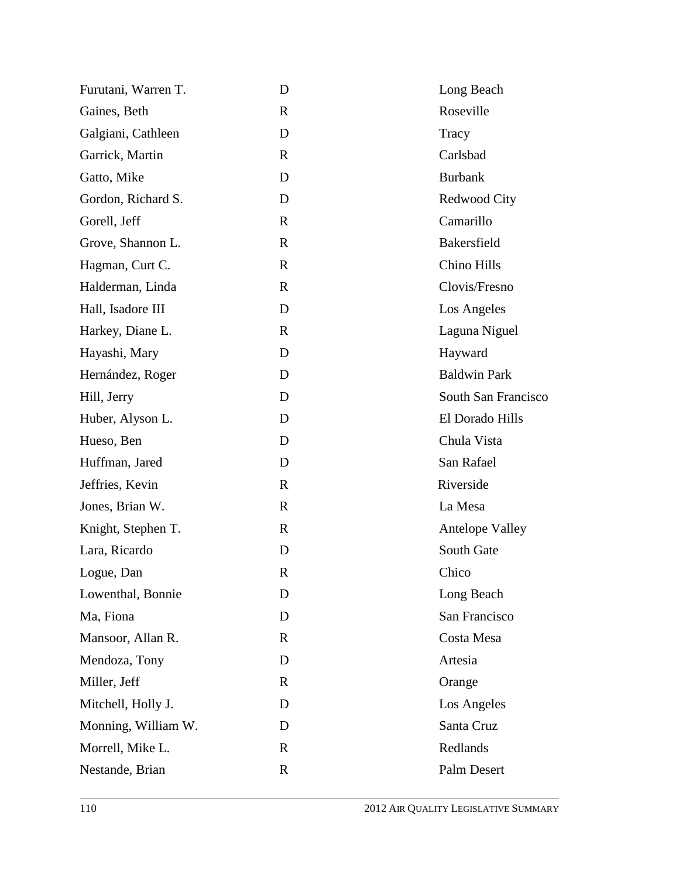| Furutani, Warren T. | D            | Long Beach             |
|---------------------|--------------|------------------------|
| Gaines, Beth        | $\mathbf{R}$ | Roseville              |
| Galgiani, Cathleen  | D            | Tracy                  |
| Garrick, Martin     | $\mathbf R$  | Carlsbad               |
| Gatto, Mike         | D            | <b>Burbank</b>         |
| Gordon, Richard S.  | D            | Redwood City           |
| Gorell, Jeff        | R            | Camarillo              |
| Grove, Shannon L.   | $\mathbf R$  | Bakersfield            |
| Hagman, Curt C.     | $\mathbb{R}$ | Chino Hills            |
| Halderman, Linda    | $\mathbf R$  | Clovis/Fresno          |
| Hall, Isadore III   | D            | Los Angeles            |
| Harkey, Diane L.    | $\mathbf{R}$ | Laguna Niguel          |
| Hayashi, Mary       | D            | Hayward                |
| Hernández, Roger    | D            | <b>Baldwin Park</b>    |
| Hill, Jerry         | D            | South San Francisco    |
| Huber, Alyson L.    | D            | El Dorado Hills        |
| Hueso, Ben          | D            | Chula Vista            |
| Huffman, Jared      | D            | San Rafael             |
| Jeffries, Kevin     | $\mathbb{R}$ | Riverside              |
| Jones, Brian W.     | $\mathbb{R}$ | La Mesa                |
| Knight, Stephen T.  | $\mathbf R$  | <b>Antelope Valley</b> |
| Lara, Ricardo       | D            | South Gate             |
| Logue, Dan          | $\mathbb{R}$ | Chico                  |
| Lowenthal, Bonnie   | D            | Long Beach             |
| Ma, Fiona           | D            | San Francisco          |
| Mansoor, Allan R.   | R            | Costa Mesa             |
| Mendoza, Tony       | D            | Artesia                |
| Miller, Jeff        | $\mathbf{R}$ | Orange                 |
| Mitchell, Holly J.  | D            | Los Angeles            |
| Monning, William W. | D            | Santa Cruz             |
| Morrell, Mike L.    | $\mathbf R$  | Redlands               |
| Nestande, Brian     | $\mathbf R$  | Palm Desert            |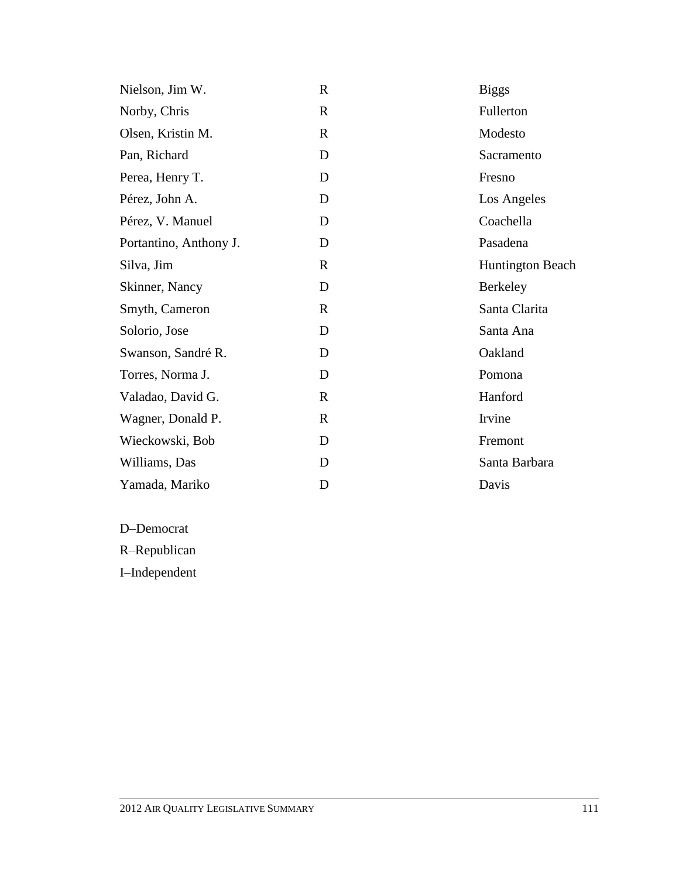| Nielson, Jim W.        | $\mathbb{R}$ | <b>Biggs</b>            |
|------------------------|--------------|-------------------------|
| Norby, Chris           | $\mathbb{R}$ | Fullerton               |
| Olsen, Kristin M.      | $\mathbf R$  | Modesto                 |
| Pan, Richard           | D            | Sacramento              |
| Perea, Henry T.        | D            | Fresno                  |
| Pérez, John A.         | D            | Los Angeles             |
| Pérez, V. Manuel       | D            | Coachella               |
| Portantino, Anthony J. | D            | Pasadena                |
| Silva, Jim             | $\mathbf R$  | <b>Huntington Beach</b> |
| Skinner, Nancy         | D            | Berkeley                |
| Smyth, Cameron         | R            | Santa Clarita           |
| Solorio, Jose          | D            | Santa Ana               |
| Swanson, Sandré R.     | D            | Oakland                 |
| Torres, Norma J.       | D            | Pomona                  |
| Valadao, David G.      | $\mathbb{R}$ | Hanford                 |
| Wagner, Donald P.      | R            | Irvine                  |
| Wieckowski, Bob        | D            | Fremont                 |
| Williams, Das          | D            | Santa Barbara           |
| Yamada, Mariko         | D            | Davis                   |

D–Democrat

R–Republican

I–Independent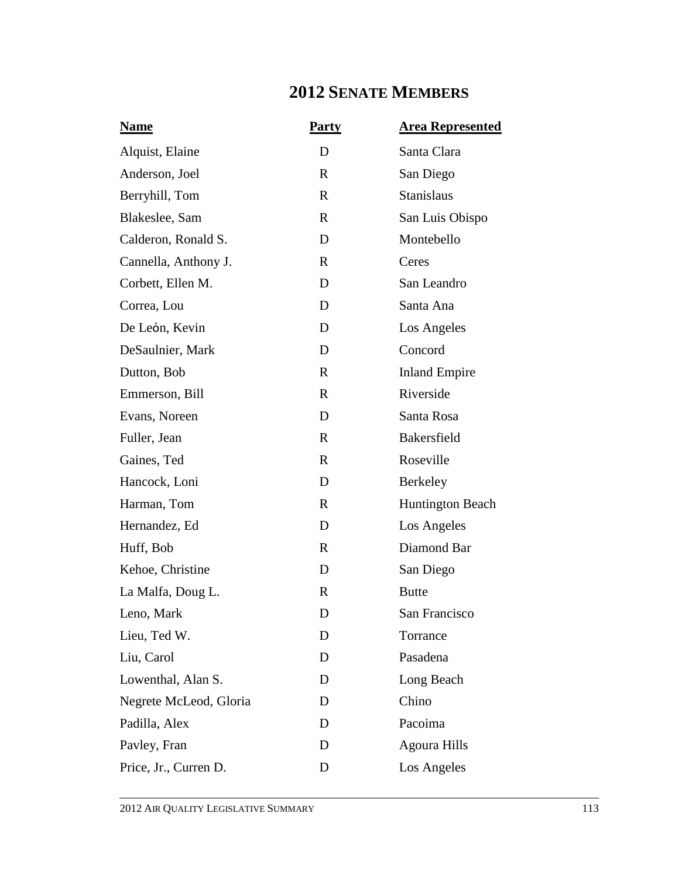### **2012 SENATE MEMBERS**

| <b>Name</b>            | <b>Party</b> | <b>Area Represented</b> |
|------------------------|--------------|-------------------------|
| Alquist, Elaine        | D            | Santa Clara             |
| Anderson, Joel         | $\mathbf R$  | San Diego               |
| Berryhill, Tom         | $\mathbf{R}$ | <b>Stanislaus</b>       |
| Blakeslee, Sam         | $\mathbf R$  | San Luis Obispo         |
| Calderon, Ronald S.    | D            | Montebello              |
| Cannella, Anthony J.   | $\mathbf R$  | Ceres                   |
| Corbett, Ellen M.      | D            | San Leandro             |
| Correa, Lou            | D            | Santa Ana               |
| De León, Kevin         | D            | Los Angeles             |
| DeSaulnier, Mark       | D            | Concord                 |
| Dutton, Bob            | $\mathbf R$  | <b>Inland Empire</b>    |
| Emmerson, Bill         | $\mathbf R$  | Riverside               |
| Evans, Noreen          | D            | Santa Rosa              |
| Fuller, Jean           | $\mathbf R$  | Bakersfield             |
| Gaines, Ted            | $\mathbf R$  | Roseville               |
| Hancock, Loni          | D            | Berkeley                |
| Harman, Tom            | $\mathbf R$  | Huntington Beach        |
| Hernandez, Ed          | D            | Los Angeles             |
| Huff, Bob              | $\mathbb{R}$ | Diamond Bar             |
| Kehoe, Christine       | D            | San Diego               |
| La Malfa, Doug L.      | $\mathbf R$  | <b>Butte</b>            |
| Leno, Mark             | D            | San Francisco           |
| Lieu, Ted W.           | D            | Torrance                |
| Liu, Carol             | D            | Pasadena                |
| Lowenthal, Alan S.     | D            | Long Beach              |
| Negrete McLeod, Gloria | D            | Chino                   |
| Padilla, Alex          | D            | Pacoima                 |
| Pavley, Fran           | D            | <b>Agoura Hills</b>     |
| Price, Jr., Curren D.  | D            | Los Angeles             |